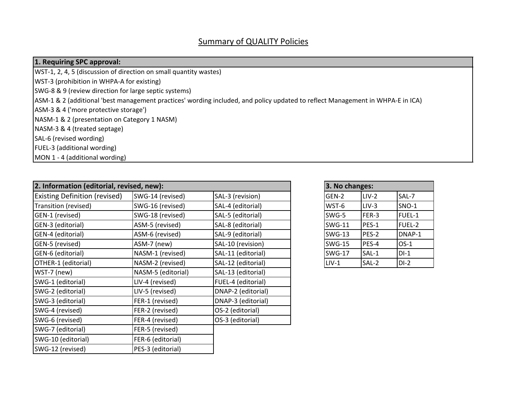#### **1. Requiring SPC approval:**

WST‐1, 2, 4, 5 (discussion of direction on small quantity wastes)

WST‐3 (prohibition in WHPA‐A for existing)

SWG‐8 & 9 (review direction for large septic systems)

ASM‐1 & 2 (additional 'best management practices' wording included, and policy updated to reflect Management in WHPA‐E in ICA)

ASM‐3 & 4 ('more protective storage')

NASM‐1 & 2 (presentation on Category 1 NASM)

NASM‐3 & 4 (treated septage)

SAL‐6 (revised wording)

FUEL‐3 (additional wording)

MON 1 ‐ 4 (additional wording)

| 2. Information (editorial, revised, new): |                    |                    |  |               |         |         |
|-------------------------------------------|--------------------|--------------------|--|---------------|---------|---------|
| <b>Existing Definition (revised)</b>      | SWG-14 (revised)   | SAL-3 (revision)   |  | GEN-2         | $LIV-2$ | SAL-7   |
| Transition (revised)                      | SWG-16 (revised)   | SAL-4 (editorial)  |  | WST-6         | $LIV-3$ | $SNO-1$ |
| GEN-1 (revised)                           | SWG-18 (revised)   | SAL-5 (editorial)  |  | SWG-5         | FER-3   | FUEL-1  |
| GEN-3 (editorial)                         | ASM-5 (revised)    | SAL-8 (editorial)  |  | SWG-11        | $PES-1$ | FUEL-2  |
| GEN-4 (editorial)                         | ASM-6 (revised)    | SAL-9 (editorial)  |  | <b>SWG-13</b> | PES-2   | DNAP-1  |
| GEN-5 (revised)                           | ASM-7 (new)        | SAL-10 (revision)  |  | <b>SWG-15</b> | PES-4   | $OS-1$  |
| GEN-6 (editorial)                         | NASM-1 (revised)   | SAL-11 (editorial) |  | <b>SWG-17</b> | SAL-1   | $DI-1$  |
| OTHER-1 (editorial)                       | NASM-2 (revised)   | SAL-12 (editorial) |  | $LIV-1$       | SAL-2   | $DI-2$  |
| WST-7 (new)                               | NASM-5 (editorial) | SAL-13 (editorial) |  |               |         |         |
| SWG-1 (editorial)                         | LIV-4 (revised)    | FUEL-4 (editorial) |  |               |         |         |
| SWG-2 (editorial)                         | LIV-5 (revised)    | DNAP-2 (editorial) |  |               |         |         |
| SWG-3 (editorial)                         | FER-1 (revised)    | DNAP-3 (editorial) |  |               |         |         |
| SWG-4 (revised)                           | FER-2 (revised)    | OS-2 (editorial)   |  |               |         |         |
| SWG-6 (revised)                           | FER-4 (revised)    | OS-3 (editorial)   |  |               |         |         |
| SWG-7 (editorial)                         | FER-5 (revised)    |                    |  |               |         |         |
| SWG-10 (editorial)                        | FER-6 (editorial)  |                    |  |               |         |         |
| SWG-12 (revised)                          | PES-3 (editorial)  |                    |  |               |         |         |

| 3. No changes: |         |              |  |  |  |  |  |  |  |
|----------------|---------|--------------|--|--|--|--|--|--|--|
| GEN-2          | $LIV-2$ | SAL-7        |  |  |  |  |  |  |  |
| WST-6          | $LIV-3$ | <b>SNO-1</b> |  |  |  |  |  |  |  |
| SWG-5          | FER-3   | FUEL-1       |  |  |  |  |  |  |  |
| <b>SWG-11</b>  | PES-1   | FUEL-2       |  |  |  |  |  |  |  |
| <b>SWG-13</b>  | PES-2   | DNAP-1       |  |  |  |  |  |  |  |
| <b>SWG-15</b>  | PES-4   | $OS-1$       |  |  |  |  |  |  |  |
| <b>SWG-17</b>  | SAL-1   | $DI-1$       |  |  |  |  |  |  |  |
| $LIV-1$        | SAL-2   | $DI-2$       |  |  |  |  |  |  |  |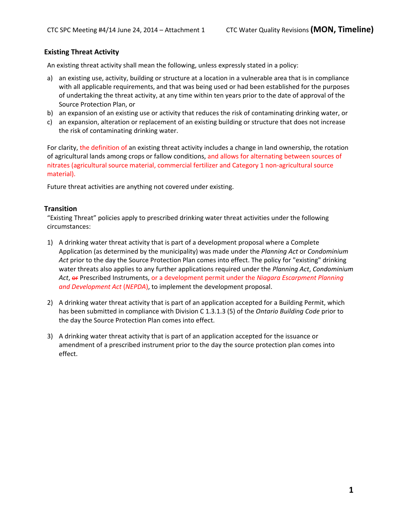## **Existing Threat Activity**

An existing threat activity shall mean the following, unless expressly stated in a policy:

- a) an existing use, activity, building or structure at a location in a vulnerable area that is in compliance with all applicable requirements, and that was being used or had been established for the purposes of undertaking the threat activity, at any time within ten years prior to the date of approval of the Source Protection Plan, or
- b) an expansion of an existing use or activity that reduces the risk of contaminating drinking water, or
- c) an expansion, alteration or replacement of an existing building or structure that does not increase the risk of contaminating drinking water.

For clarity, the definition of an existing threat activity includes a change in land ownership, the rotation of agricultural lands among crops or fallow conditions, and allows for alternating between sources of nitrates (agricultural source material, commercial fertilizer and Category 1 non‐agricultural source material).

Future threat activities are anything not covered under existing.

### **Transition**

"Existing Threat" policies apply to prescribed drinking water threat activities under the following circumstances:

- 1) A drinking water threat activity that is part of a development proposal where a Complete Application (as determined by the municipality) was made under the *Planning Act* or *Condominium Act* prior to the day the Source Protection Plan comes into effect. The policy for "existing" drinking water threats also applies to any further applications required under the *Planning Act*, *Condominium Act*, or Prescribed Instruments, or a development permit under the *Niagara Escarpment Planning and Development Act* (*NEPDA*), to implement the development proposal.
- 2) A drinking water threat activity that is part of an application accepted for a Building Permit, which has been submitted in compliance with Division C 1.3.1.3 (5) of the *Ontario Building Code* prior to the day the Source Protection Plan comes into effect.
- 3) A drinking water threat activity that is part of an application accepted for the issuance or amendment of a prescribed instrument prior to the day the source protection plan comes into effect.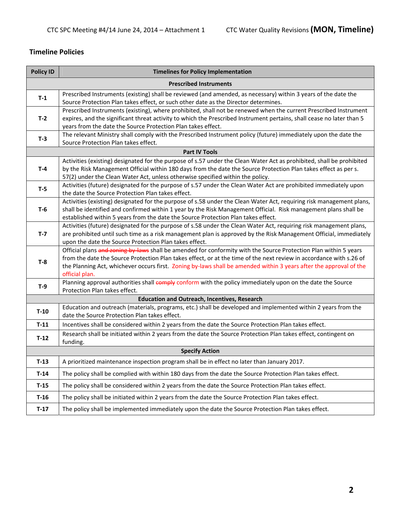# **Timeline Policies**

| <b>Policy ID</b> | <b>Timelines for Policy Implementation</b>                                                                                                                                                                                                                                                                                                                                      |
|------------------|---------------------------------------------------------------------------------------------------------------------------------------------------------------------------------------------------------------------------------------------------------------------------------------------------------------------------------------------------------------------------------|
|                  | <b>Prescribed Instruments</b>                                                                                                                                                                                                                                                                                                                                                   |
| $T-1$            | Prescribed Instruments (existing) shall be reviewed (and amended, as necessary) within 3 years of the date the<br>Source Protection Plan takes effect, or such other date as the Director determines.                                                                                                                                                                           |
| $T-2$            | Prescribed Instruments (existing), where prohibited, shall not be renewed when the current Prescribed Instrument<br>expires, and the significant threat activity to which the Prescribed Instrument pertains, shall cease no later than 5<br>years from the date the Source Protection Plan takes effect.                                                                       |
| $T-3$            | The relevant Ministry shall comply with the Prescribed Instrument policy (future) immediately upon the date the<br>Source Protection Plan takes effect.                                                                                                                                                                                                                         |
|                  | <b>Part IV Tools</b>                                                                                                                                                                                                                                                                                                                                                            |
| $T-4$            | Activities (existing) designated for the purpose of s.57 under the Clean Water Act as prohibited, shall be prohibited<br>by the Risk Management Official within 180 days from the date the Source Protection Plan takes effect as per s.<br>57(2) under the Clean Water Act, unless otherwise specified within the policy.                                                      |
| $T-5$            | Activities (future) designated for the purpose of s.57 under the Clean Water Act are prohibited immediately upon<br>the date the Source Protection Plan takes effect.                                                                                                                                                                                                           |
| T-6              | Activities (existing) designated for the purpose of s.58 under the Clean Water Act, requiring risk management plans,<br>shall be identified and confirmed within 1 year by the Risk Management Official. Risk management plans shall be<br>established within 5 years from the date the Source Protection Plan takes effect.                                                    |
| $T-7$            | Activities (future) designated for the purpose of s.58 under the Clean Water Act, requiring risk management plans,<br>are prohibited until such time as a risk management plan is approved by the Risk Management Official, immediately<br>upon the date the Source Protection Plan takes effect.                                                                               |
| $T-8$            | Official plans and zoning by laws shall be amended for conformity with the Source Protection Plan within 5 years<br>from the date the Source Protection Plan takes effect, or at the time of the next review in accordance with s.26 of<br>the Planning Act, whichever occurs first. Zoning by-laws shall be amended within 3 years after the approval of the<br>official plan. |
| $T-9$            | Planning approval authorities shall comply conform with the policy immediately upon on the date the Source<br>Protection Plan takes effect.                                                                                                                                                                                                                                     |
|                  | <b>Education and Outreach, Incentives, Research</b>                                                                                                                                                                                                                                                                                                                             |
| $T-10$           | Education and outreach (materials, programs, etc.) shall be developed and implemented within 2 years from the<br>date the Source Protection Plan takes effect.                                                                                                                                                                                                                  |
| $T-11$           | Incentives shall be considered within 2 years from the date the Source Protection Plan takes effect.                                                                                                                                                                                                                                                                            |
| $T-12$           | Research shall be initiated within 2 years from the date the Source Protection Plan takes effect, contingent on<br>funding.                                                                                                                                                                                                                                                     |
|                  | <b>Specify Action</b>                                                                                                                                                                                                                                                                                                                                                           |
| T-13             | A prioritized maintenance inspection program shall be in effect no later than January 2017.                                                                                                                                                                                                                                                                                     |
| $T-14$           | The policy shall be complied with within 180 days from the date the Source Protection Plan takes effect.                                                                                                                                                                                                                                                                        |
| $T-15$           | The policy shall be considered within 2 years from the date the Source Protection Plan takes effect.                                                                                                                                                                                                                                                                            |
| $T-16$           | The policy shall be initiated within 2 years from the date the Source Protection Plan takes effect.                                                                                                                                                                                                                                                                             |
| $T-17$           | The policy shall be implemented immediately upon the date the Source Protection Plan takes effect.                                                                                                                                                                                                                                                                              |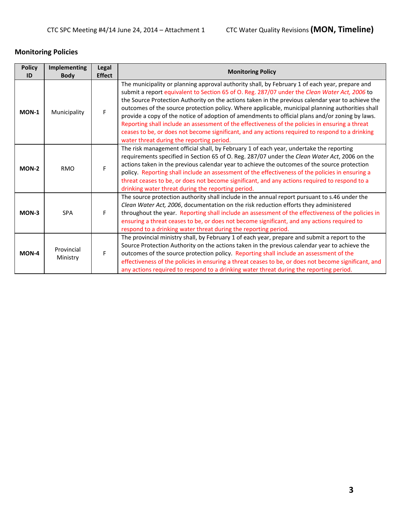# **Monitoring Policies**

| <b>Policy</b><br>ID | Implementing<br><b>Body</b> | Legal<br><b>Effect</b> | <b>Monitoring Policy</b>                                                                                                                                                                                                                                                                                                                                                                                                                                                                                                                                                                                                                                                                                                                                       |
|---------------------|-----------------------------|------------------------|----------------------------------------------------------------------------------------------------------------------------------------------------------------------------------------------------------------------------------------------------------------------------------------------------------------------------------------------------------------------------------------------------------------------------------------------------------------------------------------------------------------------------------------------------------------------------------------------------------------------------------------------------------------------------------------------------------------------------------------------------------------|
| MON-1               | Municipality                | F                      | The municipality or planning approval authority shall, by February 1 of each year, prepare and<br>submit a report equivalent to Section 65 of O. Reg. 287/07 under the Clean Water Act, 2006 to<br>the Source Protection Authority on the actions taken in the previous calendar year to achieve the<br>outcomes of the source protection policy. Where applicable, municipal planning authorities shall<br>provide a copy of the notice of adoption of amendments to official plans and/or zoning by laws.<br>Reporting shall include an assessment of the effectiveness of the policies in ensuring a threat<br>ceases to be, or does not become significant, and any actions required to respond to a drinking<br>water threat during the reporting period. |
| MON-2               | <b>RMO</b>                  | F                      | The risk management official shall, by February 1 of each year, undertake the reporting<br>requirements specified in Section 65 of O. Reg. 287/07 under the Clean Water Act, 2006 on the<br>actions taken in the previous calendar year to achieve the outcomes of the source protection<br>policy. Reporting shall include an assessment of the effectiveness of the policies in ensuring a<br>threat ceases to be, or does not become significant, and any actions required to respond to a<br>drinking water threat during the reporting period.                                                                                                                                                                                                            |
| MON-3               | <b>SPA</b>                  | F.                     | The source protection authority shall include in the annual report pursuant to s.46 under the<br>Clean Water Act, 2006, documentation on the risk reduction efforts they administered<br>throughout the year. Reporting shall include an assessment of the effectiveness of the policies in<br>ensuring a threat ceases to be, or does not become significant, and any actions required to<br>respond to a drinking water threat during the reporting period.                                                                                                                                                                                                                                                                                                  |
| MON-4               | Provincial<br>Ministry      | F                      | The provincial ministry shall, by February 1 of each year, prepare and submit a report to the<br>Source Protection Authority on the actions taken in the previous calendar year to achieve the<br>outcomes of the source protection policy. Reporting shall include an assessment of the<br>effectiveness of the policies in ensuring a threat ceases to be, or does not become significant, and<br>any actions required to respond to a drinking water threat during the reporting period.                                                                                                                                                                                                                                                                    |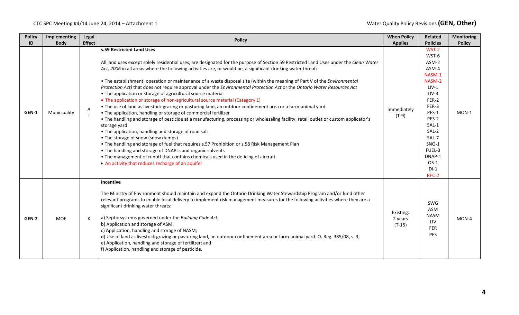#### CTC SPC Meeting #4/14 June 24, 2014 – Attachment 1 **Water 2006 1 2006 1 2006 1 2006 1 2006 1 2006 2 2006 2 2006 2 2006 2 2006 2 2006 2 2006 2 2007 2 2006 2 2007 2 2008 2 2009 2 2009 2 2009 2 2009 2 2009 2 2009 2 2009 2 200**

| <b>Policy</b><br>ID | Implementing<br><b>Body</b> | Legal<br><b>Effect</b> | <b>Policy</b>                                                                                                                                                                                                                                                                                                                                                                                                                                                                                                                                                                                                                                                                                                                                                                                                                                                                                                                                                                                                                                                                                                                                                                                                                                                                                                                                                                                                                                   | <b>When Policy</b><br><b>Applies</b> | Related<br><b>Policies</b>                                                                                                                                                                                 | <b>Monitoring</b><br><b>Policy</b> |
|---------------------|-----------------------------|------------------------|-------------------------------------------------------------------------------------------------------------------------------------------------------------------------------------------------------------------------------------------------------------------------------------------------------------------------------------------------------------------------------------------------------------------------------------------------------------------------------------------------------------------------------------------------------------------------------------------------------------------------------------------------------------------------------------------------------------------------------------------------------------------------------------------------------------------------------------------------------------------------------------------------------------------------------------------------------------------------------------------------------------------------------------------------------------------------------------------------------------------------------------------------------------------------------------------------------------------------------------------------------------------------------------------------------------------------------------------------------------------------------------------------------------------------------------------------|--------------------------------------|------------------------------------------------------------------------------------------------------------------------------------------------------------------------------------------------------------|------------------------------------|
| GEN-1               | Municipality                | Α                      | s.59 Restricted Land Uses<br>All land uses except solely residential uses, are designated for the purpose of Section 59 Restricted Land Uses under the Clean Water<br>Act, 2006 in all areas where the following activities are, or would be, a significant drinking water threat:<br>• The establishment, operation or maintenance of a waste disposal site (within the meaning of Part V of the Environmental<br>Protection Act) that does not require approval under the Environmental Protection Act or the Ontario Water Resources Act<br>• The application or storage of agricultural source material<br>• The application or storage of non-agricultural source material (Category 1)<br>. The use of land as livestock grazing or pasturing land, an outdoor confinement area or a farm-animal yard<br>• The application, handling or storage of commercial fertilizer<br>. The handling and storage of pesticide at a manufacturing, processing or wholesaling facility, retail outlet or custom applicator's<br>storage yard<br>• The application, handling and storage of road salt<br>• The storage of snow (snow dumps)<br>. The handling and storage of fuel that requires s.57 Prohibition or s.58 Risk Management Plan<br>• The handling and storage of DNAPLs and organic solvents<br>• The management of runoff that contains chemicals used in the de-icing of aircraft<br>• An activity that reduces recharge of an aquifer | Immediately<br>$(T-9)$               | WST-2<br>WST-6<br>ASM-2<br>ASM-4<br>NASM-1<br>NASM-2<br>$LIV-1$<br>$LIV-3$<br>FER-2<br>FER-3<br>PES-1<br>PES-2<br>SAL-1<br>SAL-2<br>SAL-7<br><b>SNO-1</b><br>FUEL-3<br>DNAP-1<br>$OS-1$<br>$DI-1$<br>REC-2 | $MON-1$                            |
| GEN-2               | <b>MOE</b>                  | К                      | Incentive<br>The Ministry of Environment should maintain and expand the Ontario Drinking Water Stewardship Program and/or fund other<br>relevant programs to enable local delivery to implement risk management measures for the following activities where they are a<br>significant drinking water threats:<br>a) Septic systems governed under the Building Code Act;<br>b) Application and storage of ASM;<br>c) Application, handling and storage of NASM;<br>d) Use of land as livestock grazing or pasturing land, an outdoor confinement area or farm-animal yard. O. Reg. 385/08, s. 3;<br>e) Application, handling and storage of fertilizer; and<br>f) Application, handling and storage of pesticide.                                                                                                                                                                                                                                                                                                                                                                                                                                                                                                                                                                                                                                                                                                                               | Existing:<br>2 years<br>$(T-15)$     | SWG<br><b>ASM</b><br><b>NASM</b><br>LIV<br><b>FER</b><br>PES                                                                                                                                               | MON-4                              |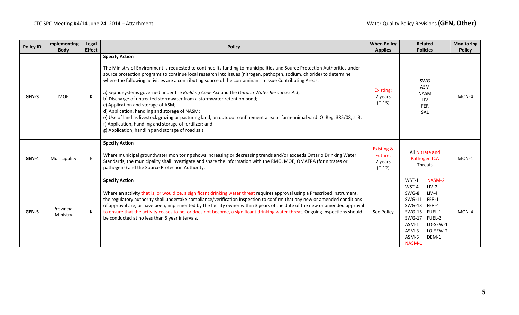| <b>Policy ID</b> | Implementing<br><b>Body</b> | <b>Legal</b><br><b>Effect</b> | <b>Policy</b>                                                                                                                                                                                                                                                                                                                                                                                                                                                                                                                                                                                                                                                                                                                                                                                                                                                                                              | <b>When Policy</b><br><b>Applies</b>                    | <b>Related</b><br><b>Policies</b>                                                                                                                                                                                      | <b>Monitoring</b><br><b>Policy</b> |
|------------------|-----------------------------|-------------------------------|------------------------------------------------------------------------------------------------------------------------------------------------------------------------------------------------------------------------------------------------------------------------------------------------------------------------------------------------------------------------------------------------------------------------------------------------------------------------------------------------------------------------------------------------------------------------------------------------------------------------------------------------------------------------------------------------------------------------------------------------------------------------------------------------------------------------------------------------------------------------------------------------------------|---------------------------------------------------------|------------------------------------------------------------------------------------------------------------------------------------------------------------------------------------------------------------------------|------------------------------------|
| GEN-3            | <b>MOE</b>                  | K                             | <b>Specify Action</b><br>The Ministry of Environment is requested to continue its funding to municipalities and Source Protection Authorities under<br>source protection programs to continue local research into issues (nitrogen, pathogen, sodium, chloride) to determine<br>where the following activities are a contributing source of the contaminant in Issue Contributing Areas:<br>a) Septic systems governed under the Building Code Act and the Ontario Water Resources Act;<br>b) Discharge of untreated stormwater from a stormwater retention pond;<br>c) Application and storage of ASM;<br>d) Application, handling and storage of NASM;<br>e) Use of land as livestock grazing or pasturing land, an outdoor confinement area or farm-animal yard. O. Reg. 385/08, s. 3;<br>f) Application, handling and storage of fertilizer; and<br>g) Application, handling and storage of road salt. | Existing:<br>2 years<br>$(T-15)$                        | <b>SWG</b><br>ASM<br><b>NASM</b><br>LIV<br><b>FER</b><br>SAL                                                                                                                                                           | MON-4                              |
| GEN-4            | Municipality                | E                             | <b>Specify Action</b><br>Where municipal groundwater monitoring shows increasing or decreasing trends and/or exceeds Ontario Drinking Water<br>Standards, the municipality shall investigate and share the information with the RMO, MOE, OMAFRA (for nitrates or<br>pathogens) and the Source Protection Authority.                                                                                                                                                                                                                                                                                                                                                                                                                                                                                                                                                                                       | <b>Existing &amp;</b><br>Future:<br>2 years<br>$(T-12)$ | All Nitrate and<br>Pathogen ICA<br>Threats                                                                                                                                                                             | $MON-1$                            |
| GEN-5            | Provincial<br>Ministry      | К                             | <b>Specify Action</b><br>Where an activity that is, or would be, a significant drinking water threat requires approval using a Prescribed Instrument,<br>the regulatory authority shall undertake compliance/verification inspection to confirm that any new or amended conditions<br>of approval are, or have been, implemented by the facility owner within 3 years of the date of the new or amended approval<br>to ensure that the activity ceases to be, or does not become, a significant drinking water threat. Ongoing inspections should<br>be conducted at no less than 5 year intervals.                                                                                                                                                                                                                                                                                                        | See Policy                                              | NASM-2<br>$WST-1$<br>WST-4<br>$LIV-2$<br>$LIV-4$<br>SWG-8<br>FER-1<br>$SWG-11$<br>SWG-13 FER-4<br>SWG-15 FUEL-1<br><b>FUEL-2</b><br>$SWG-17$<br>LO-SEW-1<br>$ASM-1$<br>LO-SEW-2<br>$ASM-3$<br>DEM-1<br>ASM-5<br>NASM-1 | MON-4                              |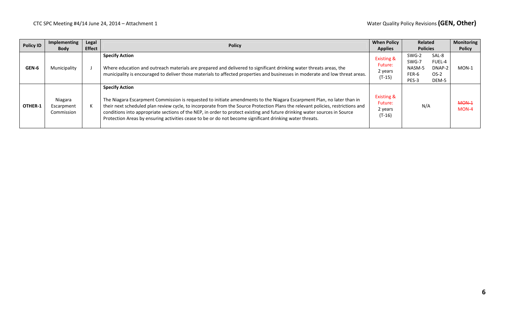| <b>Policy ID</b> | Implementing                        | Legal         | <b>When Policy</b><br><b>Policy</b><br><b>Applies</b>                                                                                                                                                                                                                                                                                                                                                                                                                                                                       |                                                         | <b>Related</b>                                                                                    | <b>Monitoring</b> |
|------------------|-------------------------------------|---------------|-----------------------------------------------------------------------------------------------------------------------------------------------------------------------------------------------------------------------------------------------------------------------------------------------------------------------------------------------------------------------------------------------------------------------------------------------------------------------------------------------------------------------------|---------------------------------------------------------|---------------------------------------------------------------------------------------------------|-------------------|
|                  | <b>Body</b>                         | <b>Effect</b> |                                                                                                                                                                                                                                                                                                                                                                                                                                                                                                                             |                                                         | <b>Policies</b>                                                                                   | <b>Policy</b>     |
| GEN-6            | Municipality                        |               | <b>Specify Action</b><br>Where education and outreach materials are prepared and delivered to significant drinking water threats areas, the<br>municipality is encouraged to deliver those materials to affected properties and businesses in moderate and low threat areas.                                                                                                                                                                                                                                                | <b>Existing &amp;</b><br>Future:<br>2 years<br>$(T-15)$ | SAL-8<br>SWG-2<br><b>FUEL-4</b><br>SWG-7<br>NASM-5<br>DNAP-2<br>FER-6<br>$OS-2$<br>PES-3<br>DEM-5 | $MON-1$           |
| OTHER-1          | Niagara<br>Escarpment<br>Commission |               | <b>Specify Action</b><br>The Niagara Escarpment Commission is requested to initiate amendments to the Niagara Escarpment Plan, no later than in<br>their next scheduled plan review cycle, to incorporate from the Source Protection Plans the relevant policies, restrictions and<br>conditions into appropriate sections of the NEP, in order to protect existing and future drinking water sources in Source<br>Protection Areas by ensuring activities cease to be or do not become significant drinking water threats. | <b>Existing &amp;</b><br>Future:<br>2 years<br>(T-16)   | N/A                                                                                               | MON-1<br>$MON-4$  |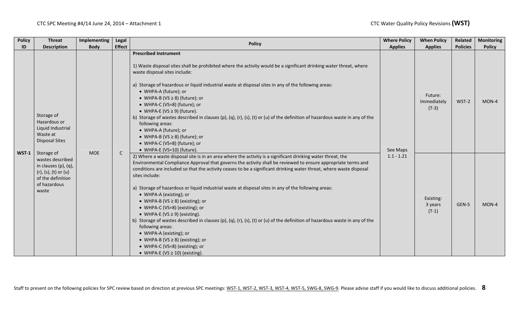| <b>Policy</b> | <b>Threat</b>                                                                                                                         | Implementing | Legal         | <b>Policy</b>                                                                                                                                                                                                                                                                                                                                                                                                                                                                                                                                                                                                                                                                                                                                                                                                                                                                                                            | <b>Where Policy</b> | <b>When Policy</b>                | Related         | <b>Monitoring</b> |
|---------------|---------------------------------------------------------------------------------------------------------------------------------------|--------------|---------------|--------------------------------------------------------------------------------------------------------------------------------------------------------------------------------------------------------------------------------------------------------------------------------------------------------------------------------------------------------------------------------------------------------------------------------------------------------------------------------------------------------------------------------------------------------------------------------------------------------------------------------------------------------------------------------------------------------------------------------------------------------------------------------------------------------------------------------------------------------------------------------------------------------------------------|---------------------|-----------------------------------|-----------------|-------------------|
| ID            | <b>Description</b>                                                                                                                    | <b>Body</b>  | <b>Effect</b> |                                                                                                                                                                                                                                                                                                                                                                                                                                                                                                                                                                                                                                                                                                                                                                                                                                                                                                                          | <b>Applies</b>      | <b>Applies</b>                    | <b>Policies</b> | <b>Policy</b>     |
| $WST-1$       | Storage of<br>Hazardous or<br>Liquid Industrial<br>Waste at<br><b>Disposal Sites</b>                                                  | <b>MOE</b>   | $\mathsf{C}$  | <b>Prescribed Instrument</b><br>1) Waste disposal sites shall be prohibited where the activity would be a significant drinking water threat, where<br>waste disposal sites include:<br>a) Storage of hazardous or liquid industrial waste at disposal sites in any of the following areas:<br>• WHPA-A (future); or<br>• WHPA-B (VS $\geq$ 8) (future); or<br>• WHPA-C (VS=8) (future); or<br>• WHPA-E (VS $\geq$ 9) (future).<br>b) Storage of wastes described in clauses (p), (q), (r), (s), (t) or (u) of the definition of hazardous waste in any of the<br>following areas:<br>• WHPA-A (future); or<br>• WHPA-B (VS $\geq$ 8) (future); or<br>• WHPA-C (VS=8) (future); or<br>• WHPA-E (VS=10) (future).                                                                                                                                                                                                          | See Maps            | Future:<br>Immediately<br>$(T-3)$ | WST-2           | MON-4             |
|               | Storage of<br>wastes described<br>in clauses $(p)$ , $(q)$ ,<br>$(r)$ , (s), (t) or (u)<br>of the definition<br>of hazardous<br>waste |              |               | 2) Where a waste disposal site is in an area where the activity is a significant drinking water threat, the<br>Environmental Compliance Approval that governs the activity shall be reviewed to ensure appropriate terms and<br>conditions are included so that the activity ceases to be a significant drinking water threat, where waste disposal<br>sites include:<br>a) Storage of hazardous or liquid industrial waste at disposal sites in any of the following areas:<br>• WHPA-A (existing); or<br>• WHPA-B (VS $\geq$ 8) (existing); or<br>• WHPA-C (VS=8) (existing); or<br>• WHPA-E (VS $\geq$ 9) (existing).<br>b) Storage of wastes described in clauses (p), (q), (r), (s), (t) or (u) of the definition of hazardous waste in any of the<br>following areas:<br>• WHPA-A (existing); or<br>• WHPA-B (VS $\geq$ 8) (existing); or<br>• WHPA-C (VS=8) (existing); or<br>• WHPA-E (VS $\geq$ 10) (existing). | $1.1 - 1.21$        | Existing:<br>3 years<br>$(T-1)$   | GEN-5           | MON-4             |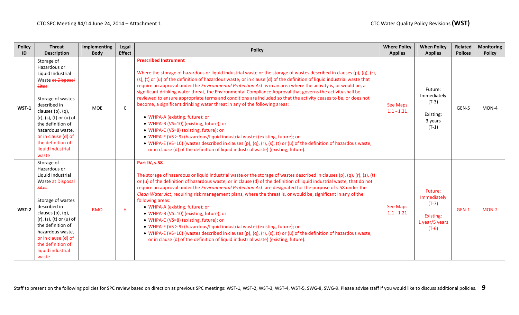| <b>Policy</b><br>ID | <b>Threat</b><br><b>Description</b>                                                                                                                                                                                                                                                          | Implementing<br><b>Body</b> | Legal<br><b>Effect</b> | <b>Policy</b>                                                                                                                                                                                                                                                                                                                                                                                                                                                                                                                                                                                                                                                                                                                                                                                                                                                                                                                                                                                                                                                                                                                                        | <b>Where Policy</b><br><b>Applies</b> | <b>When Policy</b><br><b>Applies</b>                                        | Related<br><b>Polices</b> | <b>Monitoring</b><br><b>Policy</b> |
|---------------------|----------------------------------------------------------------------------------------------------------------------------------------------------------------------------------------------------------------------------------------------------------------------------------------------|-----------------------------|------------------------|------------------------------------------------------------------------------------------------------------------------------------------------------------------------------------------------------------------------------------------------------------------------------------------------------------------------------------------------------------------------------------------------------------------------------------------------------------------------------------------------------------------------------------------------------------------------------------------------------------------------------------------------------------------------------------------------------------------------------------------------------------------------------------------------------------------------------------------------------------------------------------------------------------------------------------------------------------------------------------------------------------------------------------------------------------------------------------------------------------------------------------------------------|---------------------------------------|-----------------------------------------------------------------------------|---------------------------|------------------------------------|
| $WST-1$             | Storage of<br>Hazardous or<br>Liquid Industrial<br>Waste at Disposal<br><b>Sites</b><br>Storage of wastes<br>described in<br>clauses (p), (q),<br>(r), (s), (t) or (u) of<br>the definition of<br>hazardous waste,<br>or in clause (d) of<br>the definition of<br>liquid industrial<br>waste | <b>MOE</b>                  | C                      | <b>Prescribed Instrument</b><br>Where the storage of hazardous or liquid industrial waste or the storage of wastes described in clauses (p), (q), (r),<br>(s), (t) or (u) of the definition of hazardous waste, or in clause (d) of the definition of liquid industrial waste that<br>require an approval under the <i>Environmental Protection Act</i> is in an area where the activity is, or would be, a<br>significant drinking water threat, the Environmental Compliance Approval that governs the activity shall be<br>reviewed to ensure appropriate terms and conditions are included so that the activity ceases to be, or does not<br>become, a significant drinking water threat in any of the following areas:<br>• WHPA-A (existing, future); or<br>• WHPA-B (VS=10) (existing, future); or<br>• WHPA-C (VS=8) (existing, future); or<br>• WHPA-E (VS $\geq$ 9) (hazardous/liquid industrial waste) (existing, future); or<br>• WHPA-E (VS=10) (wastes described in clauses (p), (q), (r), (s), (t) or (u) of the definition of hazardous waste,<br>or in clause (d) of the definition of liquid industrial waste) (existing, future). | <b>See Maps</b><br>$1.1 - 1.21$       | Future:<br>Immediately<br>$(T-3)$<br>Existing:<br>3 years<br>$(T-1)$        | GEN-5                     | $MON-4$                            |
| WST-2               | Storage of<br>Hazardous or<br>Liquid Industrial<br>Waste at Disposal<br><b>Sites</b><br>Storage of wastes<br>described in<br>clauses (p), (q),<br>(r), (s), (t) or (u) of<br>the definition of<br>hazardous waste,<br>or in clause (d) of<br>the definition of<br>liquid industrial<br>waste | <b>RMO</b>                  | Η.                     | Part IV, s.58<br>The storage of hazardous or liquid industrial waste or the storage of wastes described in clauses (p), (q), (r), (s), (t)<br>or (u) of the definition of hazardous waste, or in clause (d) of the definition of liquid industrial waste, that do not<br>require an approval under the <i>Environmental Protection Act</i> are designated for the purpose of s.58 under the<br>Clean Water Act, requiring risk management plans, where the threat is, or would be, significant in any of the<br>following areas:<br>• WHPA-A (existing, future); or<br>• WHPA-B (VS=10) (existing, future); or<br>• WHPA-C (VS=8) (existing, future); or<br>• WHPA-E (VS $\geq$ 9) (hazardous/liquid industrial waste) (existing, future); or<br>• WHPA-E (VS=10) (wastes described in clauses (p), (q), (r), (s), (t) or (u) of the definition of hazardous waste,<br>or in clause (d) of the definition of liquid industrial waste) (existing, future).                                                                                                                                                                                            | <b>See Maps</b><br>$1.1 - 1.21$       | Future:<br>Immediately<br>$(T-7)$<br>Existing:<br>1 year/5 years<br>$(T-6)$ | GEN-1                     | $MON-2$                            |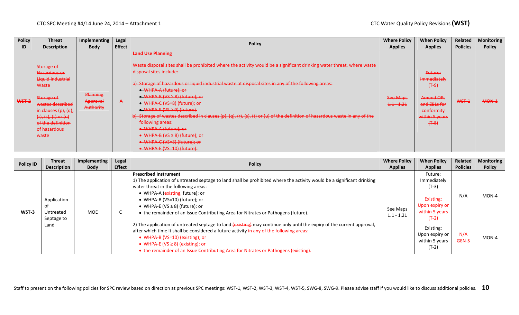| <b>Policy</b> | <b>Threat</b>                                                                                                                                                                                      | <b>Implementing</b>                      | Legal         | <b>Policy</b>                                                                                                                                                                                                                                                                                                                                                                                                                                                                                                                                                                                                                                                                                                | <b>Where Policy</b>      | <b>When Policy</b>                                                                                            | Related         | <b>Monitoring</b> |
|---------------|----------------------------------------------------------------------------------------------------------------------------------------------------------------------------------------------------|------------------------------------------|---------------|--------------------------------------------------------------------------------------------------------------------------------------------------------------------------------------------------------------------------------------------------------------------------------------------------------------------------------------------------------------------------------------------------------------------------------------------------------------------------------------------------------------------------------------------------------------------------------------------------------------------------------------------------------------------------------------------------------------|--------------------------|---------------------------------------------------------------------------------------------------------------|-----------------|-------------------|
| ID            | <b>Description</b>                                                                                                                                                                                 | <b>Body</b>                              | <b>Effect</b> |                                                                                                                                                                                                                                                                                                                                                                                                                                                                                                                                                                                                                                                                                                              | <b>Applies</b>           | <b>Applies</b>                                                                                                | <b>Policies</b> | <b>Policy</b>     |
| WST-2         | Storage of<br>Hazardous or<br>Liquid Industrial<br>Waste<br>Storage of<br>wastes described<br>in clauses $(p)$ , $(q)$ ,<br>$(r), (s), (t)$ or $(u)$<br>of the definition<br>of hazardous<br>waste | Planning<br>Approval<br><b>Authority</b> | $\mathbf{A}$  | <b>Land Use Planning</b><br>Waste disposal sites shall be prohibited where the activity would be a significant drinking water threat, where waste<br>disposal sites include:<br>a) Storage of hazardous or liquid industrial waste at disposal sites in any of the following areas:<br>• WHPA-A (future); or<br>● WHPA-B (VS ≥ 8) (future); or<br>• WHPA-C (VS=8) (future); or<br>$\bullet$ WHPA-E (VS $\geq$ 9) (future).<br>b) Storage of wastes described in clauses (p), (q), (r), (s), (t) or (u) of the definition of hazardous waste in any of the<br>following areas:<br>• WHPA-A (future); or<br>• WHPA-B ( $VS \ge 8$ ) (future); or<br>• WHPA-C (VS=8) (future); or<br>• WHPA-E (VS=10) (future). | See Maps<br>$1.1 - 1.21$ | Future:<br>Immediately<br>$(+ - 9)$<br>Amend OPs<br>and ZBLs for<br>conformity<br>within 5 years<br>$(+ - 8)$ | WST-1           | MON-1             |

| <b>Policy ID</b> | <b>Threat</b><br><b>Description</b>            | Implementing<br><b>Body</b> | Legal<br><b>Effect</b> | <b>Policy</b>                                                                                                                                                                                                                                                                                                                                                                                  | <b>Where Policy</b><br><b>Applies</b> | <b>When Policy</b><br><b>Applies</b>                                                          | Related<br><b>Policies</b> | <b>Monitoring</b><br><b>Policy</b> |
|------------------|------------------------------------------------|-----------------------------|------------------------|------------------------------------------------------------------------------------------------------------------------------------------------------------------------------------------------------------------------------------------------------------------------------------------------------------------------------------------------------------------------------------------------|---------------------------------------|-----------------------------------------------------------------------------------------------|----------------------------|------------------------------------|
| WST-3            | Application<br>Untreated<br>Septage to<br>Land | <b>MOE</b>                  | ◡                      | <b>Prescribed Instrument</b><br>1) The application of untreated septage to land shall be prohibited where the activity would be a significant drinking<br>water threat in the following areas:<br>• WHPA-A (existing, future); or<br>• WHPA-B (VS=10) (future); or<br>• WHPA-E (VS $\geq$ 8) (future); or<br>• the remainder of an Issue Contributing Area for Nitrates or Pathogens (future). | See Maps<br>$1.1 - 1.21$              | Future:<br>Immediately<br>$(T-3)$<br>Existing:<br>Upon expiry or<br>within 5 years<br>$(T-2)$ | N/A                        | MON-4                              |
|                  |                                                |                             |                        | 2) The application of untreated septage to land (existing) may continue only until the expiry of the current approval,<br>after which time it shall be considered a future activity in any of the following areas:<br>• WHPA-B (VS=10) (existing); or<br>• WHPA-E ( $VS \ge 8$ ) (existing); or<br>• the remainder of an Issue Contributing Area for Nitrates or Pathogens (existing).         |                                       | Existing:<br>Upon expiry or<br>within 5 years<br>$(T-2)$                                      | N/A<br>GEN-5               | MON-4                              |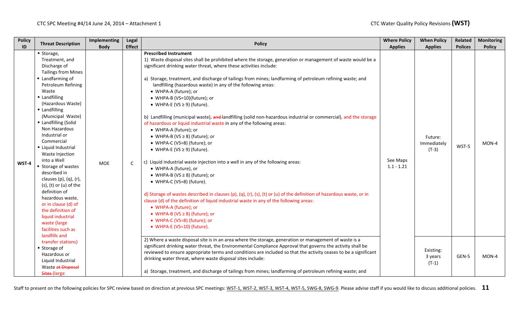| <b>Policy</b><br>ID | <b>Threat Description</b>                                                                                                                                                                                                                                                                                                                                                                                                                                                                                                                                                                 | Implementing<br><b>Body</b> | Legal<br><b>Effect</b> | <b>Policy</b>                                                                                                                                                                                                                                                                                                                                                                                                                                                                                                                                                                                                                                                                                                                                                                                                                                                                                                                                                                                                                                                                                                                                                                                                                                                                                                                                                  | <b>Where Policy</b><br><b>Applies</b> | <b>When Policy</b><br><b>Applies</b> | Related<br><b>Polices</b> | <b>Monitoring</b><br><b>Policy</b> |
|---------------------|-------------------------------------------------------------------------------------------------------------------------------------------------------------------------------------------------------------------------------------------------------------------------------------------------------------------------------------------------------------------------------------------------------------------------------------------------------------------------------------------------------------------------------------------------------------------------------------------|-----------------------------|------------------------|----------------------------------------------------------------------------------------------------------------------------------------------------------------------------------------------------------------------------------------------------------------------------------------------------------------------------------------------------------------------------------------------------------------------------------------------------------------------------------------------------------------------------------------------------------------------------------------------------------------------------------------------------------------------------------------------------------------------------------------------------------------------------------------------------------------------------------------------------------------------------------------------------------------------------------------------------------------------------------------------------------------------------------------------------------------------------------------------------------------------------------------------------------------------------------------------------------------------------------------------------------------------------------------------------------------------------------------------------------------|---------------------------------------|--------------------------------------|---------------------------|------------------------------------|
| WST-4               | ■ Storage,<br>Treatment, and<br>Discharge of<br><b>Tailings from Mines</b><br>Landfarming of<br>Petroleum Refining<br>Waste<br>Landfilling<br>(Hazardous Waste)<br>■ Landfilling<br>(Municipal Waste)<br>Landfilling (Solid<br>Non Hazardous<br>Industrial or<br>Commercial<br>Liquid Industrial<br>Waste Injection<br>into a Well<br>■ Storage of wastes<br>described in<br>clauses $(p)$ , $(q)$ , $(r)$ ,<br>$(s)$ , $(t)$ or $(u)$ of the<br>definition of<br>hazardous waste,<br>or in clause (d) of<br>the definition of<br>liquid industrial<br>waste (large<br>facilities such as | <b>MOE</b>                  | $\mathsf{C}$           | <b>Prescribed Instrument</b><br>1) Waste disposal sites shall be prohibited where the storage, generation or management of waste would be a<br>significant drinking water threat, where these activities include:<br>a) Storage, treatment, and discharge of tailings from mines; landfarming of petroleum refining waste; and<br>landfilling (hazardous waste) in any of the following areas:<br>• WHPA-A (future); or<br>• WHPA-B (VS=10)(future); or<br>• WHPA-E (VS $\geq$ 9) (future).<br>b) Landfilling (municipal waste), and landfilling (solid non-hazardous industrial or commercial), and the storage<br>of hazardous or liquid industrial waste in any of the following areas:<br>• WHPA-A (future); or<br>• WHPA-B (VS $\geq$ 8) (future); or<br>• WHPA-C (VS=8) (future); or<br>• WHPA-E (VS $\geq$ 9) (future).<br>c) Liquid industrial waste injection into a well in any of the following areas:<br>• WHPA-A (future), or<br>• WHPA-B (VS $\geq$ 8) (future); or<br>• WHPA-C (VS=8) (future).<br>d) Storage of wastes described in clauses (p), (q), (r), (s), (t) or (u) of the definition of hazardous waste, or in<br>clause (d) of the definition of liquid industrial waste in any of the following areas:<br>• WHPA-A (future); or<br>• WHPA-B (VS $\geq$ 8) (future); or<br>• WHPA-C (VS=8) (future); or<br>• WHPA-E (VS=10) (future). | See Maps<br>$1.1 - 1.21$              | Future:<br>Immediately<br>$(T-3)$    | WST-5                     | MON-4                              |
|                     | landfills and<br>transfer stations)<br>■ Storage of<br>Hazardous or<br>Liquid Industrial<br>Waste at Disposal<br>Sites-(large                                                                                                                                                                                                                                                                                                                                                                                                                                                             |                             |                        | 2) Where a waste disposal site is in an area where the storage, generation or management of waste is a<br>significant drinking water threat, the Environmental Compliance Approval that governs the activity shall be<br>reviewed to ensure appropriate terms and conditions are included so that the activity ceases to be a significant<br>drinking water threat, where waste disposal sites include:<br>a) Storage, treatment, and discharge of tailings from mines; landfarming of petroleum refining waste; and                                                                                                                                                                                                                                                                                                                                                                                                                                                                                                                                                                                                                                                                                                                                                                                                                                           |                                       | Existing:<br>3 years<br>$(T-1)$      | GEN-5                     | MON-4                              |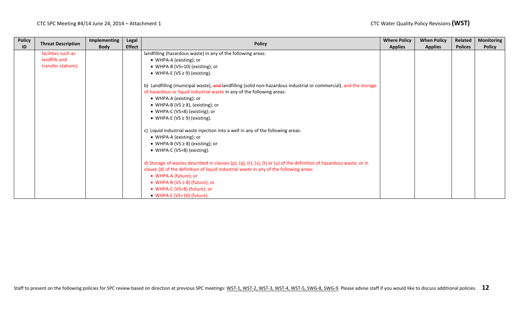| <b>Policy</b> | <b>Threat Description</b> | Implementing | Legal         |                                                                                                                                                                                                                                                                                                                                               | <b>Where Policy</b> | <b>When Policy</b> | Related        | <b>Monitoring</b> |
|---------------|---------------------------|--------------|---------------|-----------------------------------------------------------------------------------------------------------------------------------------------------------------------------------------------------------------------------------------------------------------------------------------------------------------------------------------------|---------------------|--------------------|----------------|-------------------|
| ID            |                           | <b>Body</b>  | <b>Effect</b> | <b>Policy</b>                                                                                                                                                                                                                                                                                                                                 | <b>Applies</b>      | <b>Applies</b>     | <b>Polices</b> | <b>Policy</b>     |
|               | facilities such as        |              |               | landfilling (hazardous waste) in any of the following areas:                                                                                                                                                                                                                                                                                  |                     |                    |                |                   |
|               | landfills and             |              |               | • WHPA-A (existing); or                                                                                                                                                                                                                                                                                                                       |                     |                    |                |                   |
|               | transfer stations)        |              |               | • WHPA-B (VS=10) (existing); or                                                                                                                                                                                                                                                                                                               |                     |                    |                |                   |
|               |                           |              |               | • WHPA-E (VS $\geq$ 9) (existing).                                                                                                                                                                                                                                                                                                            |                     |                    |                |                   |
|               |                           |              |               | b) Landfilling (municipal waste), and landfilling (solid non-hazardous industrial or commercial), and the storage<br>of hazardous or liquid industrial waste in any of the following areas:<br>• WHPA-A (existing); or<br>• WHPA-B (VS $\geq$ 8), (existing); or                                                                              |                     |                    |                |                   |
|               |                           |              |               | • WHPA-C (VS=8) (existing); or                                                                                                                                                                                                                                                                                                                |                     |                    |                |                   |
|               |                           |              |               | • WHPA-E (VS $\geq$ 9) (existing).                                                                                                                                                                                                                                                                                                            |                     |                    |                |                   |
|               |                           |              |               | c) Liquid industrial waste injection into a well in any of the following areas:<br>• WHPA-A (existing); or<br>• WHPA-B (VS $\geq$ 8) (existing); or<br>• WHPA-C (VS=8) (existing).                                                                                                                                                            |                     |                    |                |                   |
|               |                           |              |               | d) Storage of wastes described in clauses (p), (q), (r), (s), (t) or (u) of the definition of hazardous waste, or in<br>clause (d) of the definition of liquid industrial waste in any of the following areas:<br>• WHPA-A (future); or<br>• WHPA-B ( $VS \ge 8$ ) (future); or<br>• WHPA-C (VS=8) (future); or<br>• WHPA-E (VS=10) (future). |                     |                    |                |                   |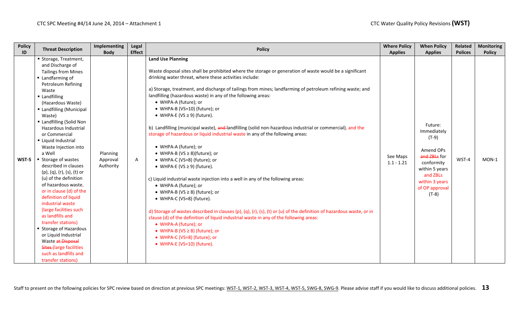| <b>Policy</b> | <b>Threat Description</b>                                                                                                                                                                                                                                                                                                                                                                                                                                                                                                                                                                                                                                                                                                                             | Implementing                      | Legal         | <b>Policy</b>                                                                                                                                                                                                                                                                                                                                                                                                                                                                                                                                                                                                                                                                                                                                                                                                                                                                                                                                                                                                                                                                                                                                                                                                                                                                                                                               | <b>Where Policy</b>      | <b>When Policy</b>                                                                                                                                      | Related        | <b>Monitoring</b> |
|---------------|-------------------------------------------------------------------------------------------------------------------------------------------------------------------------------------------------------------------------------------------------------------------------------------------------------------------------------------------------------------------------------------------------------------------------------------------------------------------------------------------------------------------------------------------------------------------------------------------------------------------------------------------------------------------------------------------------------------------------------------------------------|-----------------------------------|---------------|---------------------------------------------------------------------------------------------------------------------------------------------------------------------------------------------------------------------------------------------------------------------------------------------------------------------------------------------------------------------------------------------------------------------------------------------------------------------------------------------------------------------------------------------------------------------------------------------------------------------------------------------------------------------------------------------------------------------------------------------------------------------------------------------------------------------------------------------------------------------------------------------------------------------------------------------------------------------------------------------------------------------------------------------------------------------------------------------------------------------------------------------------------------------------------------------------------------------------------------------------------------------------------------------------------------------------------------------|--------------------------|---------------------------------------------------------------------------------------------------------------------------------------------------------|----------------|-------------------|
| ID            |                                                                                                                                                                                                                                                                                                                                                                                                                                                                                                                                                                                                                                                                                                                                                       | <b>Body</b>                       | <b>Effect</b> |                                                                                                                                                                                                                                                                                                                                                                                                                                                                                                                                                                                                                                                                                                                                                                                                                                                                                                                                                                                                                                                                                                                                                                                                                                                                                                                                             | <b>Applies</b>           | <b>Applies</b>                                                                                                                                          | <b>Polices</b> | <b>Policy</b>     |
| WST-5         | Storage, Treatment,<br>and Discharge of<br><b>Tailings from Mines</b><br>Landfarming of<br>Petroleum Refining<br>Waste<br>Landfilling<br>(Hazardous Waste)<br>■ Landfilling (Municipal<br>Waste)<br>■ Landfilling (Solid Non<br>Hazardous Industrial<br>or Commercial<br>Liquid Industrial<br>Waste Injection into<br>a Well<br>■ Storage of wastes<br>described in clauses<br>(p), (q), (r), (s), (t) or<br>(u) of the definition<br>of hazardous waste,<br>or in clause (d) of the<br>definition of liquid<br>industrial waste<br>(large facilities such<br>as landfills and<br>transfer stations)<br>■ Storage of Hazardous<br>or Liquid Industrial<br>Waste at Disposal<br>Sites-(large facilities<br>such as landfills and<br>transfer stations) | Planning<br>Approval<br>Authority | A             | <b>Land Use Planning</b><br>Waste disposal sites shall be prohibited where the storage or generation of waste would be a significant<br>drinking water threat, where these activities include:<br>a) Storage, treatment, and discharge of tailings from mines; landfarming of petroleum refining waste; and<br>landfilling (hazardous waste) in any of the following areas:<br>• WHPA-A (future); or<br>• WHPA-B (VS=10) (future); or<br>• WHPA-E (VS $\geq$ 9) (future).<br>b) Landfilling (municipal waste), and landfilling (solid non-hazardous industrial or commercial), and the<br>storage of hazardous or liquid industrial waste in any of the following areas:<br>• WHPA-A (future); or<br>• WHPA-B (VS $\geq$ 8)(future); or<br>• WHPA-C (VS=8) (future); or<br>• WHPA-E (VS $\geq$ 9) (future).<br>c) Liquid industrial waste injection into a well in any of the following areas:<br>• WHPA-A (future); or<br>• WHPA-B (VS $\geq$ 8) (future); or<br>• WHPA-C (VS=8) (future).<br>d) Storage of wastes described in clauses (p), (q), (r), (s), (t) or (u) of the definition of hazardous waste, or in<br>clause (d) of the definition of liquid industrial waste in any of the following areas:<br>• WHPA-A (future); or<br>• WHPA-B (VS $\geq$ 8) (future); or<br>• WHPA-C (VS=8) (future); or<br>• WHPA-E (VS=10) (future). | See Maps<br>$1.1 - 1.21$ | Future:<br>Immediately<br>(T-9)<br>Amend OPs<br>and ZBLs for<br>conformity<br>within 5 years<br>and ZBLs<br>within 3 years<br>of OP approval<br>$(T-8)$ | WST-4          | $MON-1$           |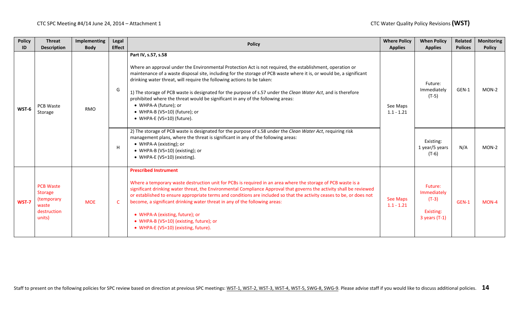| <b>Policy</b><br>ID | <b>Threat</b><br><b>Description</b>                                                | Implementing<br><b>Body</b> | Legal<br><b>Effect</b> | <b>Policy</b>                                                                                                                                                                                                                                                                                                                                                                                                                                                                                                                                                                                                                  | <b>Where Policy</b><br><b>Applies</b> | <b>When Policy</b><br><b>Applies</b>                              | <b>Related</b><br><b>Polices</b> | <b>Monitoring</b><br><b>Policy</b> |
|---------------------|------------------------------------------------------------------------------------|-----------------------------|------------------------|--------------------------------------------------------------------------------------------------------------------------------------------------------------------------------------------------------------------------------------------------------------------------------------------------------------------------------------------------------------------------------------------------------------------------------------------------------------------------------------------------------------------------------------------------------------------------------------------------------------------------------|---------------------------------------|-------------------------------------------------------------------|----------------------------------|------------------------------------|
| WST-6               | PCB Waste<br>Storage                                                               | <b>RMO</b>                  | G                      | Part IV, s.57, s.58<br>Where an approval under the Environmental Protection Act is not required, the establishment, operation or<br>maintenance of a waste disposal site, including for the storage of PCB waste where it is, or would be, a significant<br>drinking water threat, will require the following actions to be taken:<br>1) The storage of PCB waste is designated for the purpose of s.57 under the Clean Water Act, and is therefore<br>prohibited where the threat would be significant in any of the following areas:<br>• WHPA-A (future); or<br>• WHPA-B (VS=10) (future); or<br>• WHPA-E (VS=10) (future). | See Maps<br>$1.1 - 1.21$              | Future:<br>Immediately<br>$(T-5)$                                 | GEN-1                            | $MON-2$<br>$MON-2$<br>$MON-4$      |
|                     |                                                                                    |                             | H                      | 2) The storage of PCB waste is designated for the purpose of s.58 under the Clean Water Act, requiring risk<br>management plans, where the threat is significant in any of the following areas:<br>• WHPA-A (existing); or<br>• WHPA-B (VS=10) (existing); or<br>• WHPA-E (VS=10) (existing).                                                                                                                                                                                                                                                                                                                                  |                                       | Existing:<br>1 year/5 years<br>$(T-6)$                            | N/A                              |                                    |
| WST-7               | <b>PCB Waste</b><br><b>Storage</b><br>(temporary<br>waste<br>destruction<br>units) | <b>MOE</b>                  | $\mathsf{C}$           | <b>Prescribed Instrument</b><br>Where a temporary waste destruction unit for PCBs is required in an area where the storage of PCB waste is a<br>significant drinking water threat, the Environmental Compliance Approval that governs the activity shall be reviewed<br>or established to ensure appropriate terms and conditions are included so that the activity ceases to be, or does not<br>become, a significant drinking water threat in any of the following areas:<br>• WHPA-A (existing, future); or<br>• WHPA-B (VS=10) (existing, future); or<br>• WHPA-E (VS=10) (existing, future).                              | <b>See Maps</b><br>$1.1 - 1.21$       | Future:<br>Immediately<br>$(T-3)$<br>Existing:<br>$3$ years (T-1) | GEN-1                            |                                    |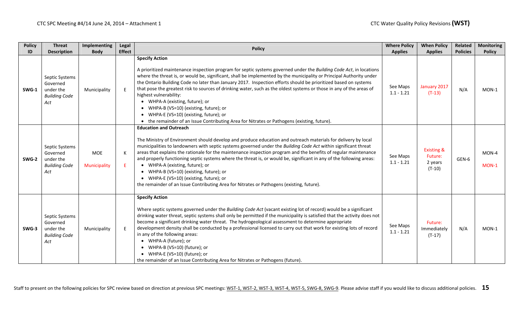| <b>Policy</b> | <b>Threat</b>                                                          | <b>Implementing</b>        | Legal         | <b>Policy</b>                                                                                                                                                                                                                                                                                                                                                                                                                                                                                                                                                                                                                                                                                                                                                    | <b>Where Policy</b>      | <b>When Policy</b>                                      | Related         | <b>Monitoring</b> |
|---------------|------------------------------------------------------------------------|----------------------------|---------------|------------------------------------------------------------------------------------------------------------------------------------------------------------------------------------------------------------------------------------------------------------------------------------------------------------------------------------------------------------------------------------------------------------------------------------------------------------------------------------------------------------------------------------------------------------------------------------------------------------------------------------------------------------------------------------------------------------------------------------------------------------------|--------------------------|---------------------------------------------------------|-----------------|-------------------|
| ID            | <b>Description</b>                                                     | <b>Body</b>                | <b>Effect</b> |                                                                                                                                                                                                                                                                                                                                                                                                                                                                                                                                                                                                                                                                                                                                                                  | <b>Applies</b>           | <b>Applies</b>                                          | <b>Policies</b> | <b>Policy</b>     |
| SWG-1         | Septic Systems<br>Governed<br>under the<br><b>Building Code</b><br>Act | Municipality               | E             | <b>Specify Action</b><br>A prioritized maintenance inspection program for septic systems governed under the Building Code Act, in locations<br>where the threat is, or would be, significant, shall be implemented by the municipality or Principal Authority under<br>the Ontario Building Code no later than January 2017. Inspection efforts should be prioritized based on systems<br>that pose the greatest risk to sources of drinking water, such as the oldest systems or those in any of the areas of<br>highest vulnerability:<br>• WHPA-A (existing, future); or<br>• WHPA-B (VS=10) (existing, future); or<br>• WHPA-E (VS=10) (existing, future); or<br>• the remainder of an Issue Contributing Area for Nitrates or Pathogens (existing, future). | See Maps<br>$1.1 - 1.21$ | January 2017<br>$(T-13)$                                | N/A             | $MON-1$           |
| SWG-2         | Septic Systems<br>Governed<br>under the<br><b>Building Code</b><br>Act | <b>MOE</b><br>Municipality | К<br>E.       | <b>Education and Outreach</b><br>The Ministry of Environment should develop and produce education and outreach materials for delivery by local<br>municipalities to landowners with septic systems governed under the Building Code Act within significant threat<br>areas that explains the rationale for the maintenance inspection program and the benefits of regular maintenance<br>and properly functioning septic systems where the threat is, or would be, significant in any of the following areas:<br>• WHPA-A (existing, future); or<br>• WHPA-B (VS=10) (existing, future); or<br>• WHPA-E (VS=10) (existing, future); or<br>the remainder of an Issue Contributing Area for Nitrates or Pathogens (existing, future).                              | See Maps<br>$1.1 - 1.21$ | <b>Existing &amp;</b><br>Future:<br>2 years<br>$(T-10)$ | GEN-6           | MON-4<br>$MON-1$  |
| SWG-3         | Septic Systems<br>Governed<br>under the<br><b>Building Code</b><br>Act | Municipality               | E             | <b>Specify Action</b><br>Where septic systems governed under the Building Code Act (vacant existing lot of record) would be a significant<br>drinking water threat, septic systems shall only be permitted if the municipality is satisfied that the activity does not<br>become a significant drinking water threat. The hydrogeological assessment to determine appropriate<br>development density shall be conducted by a professional licensed to carry out that work for existing lots of record<br>in any of the following areas:<br>• WHPA-A (future); or<br>• WHPA-B (VS=10) (future); or<br>• WHPA-E (VS=10) (future); or<br>the remainder of an Issue Contributing Area for Nitrates or Pathogens (future).                                            | See Maps<br>$1.1 - 1.21$ | Future:<br>Immediately<br>$(T-17)$                      | N/A             | MON-1             |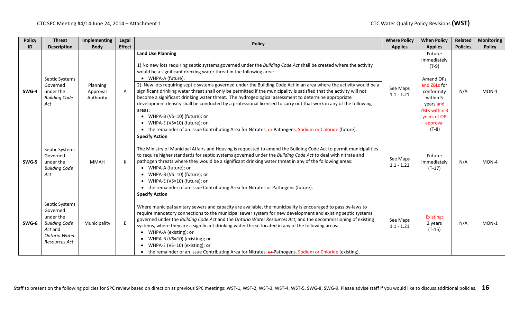| <b>Policy</b> | <b>Threat</b>                                                                                                       | Implementing                      | Legal         | <b>Policy</b>                                                                                                                                                                                                                                                                                                                                                                                                                                                                                                                                                                                                                                                                                        | <b>Where Policy</b>      | <b>When Policy</b>                                                                                         | Related         | <b>Monitoring</b> |
|---------------|---------------------------------------------------------------------------------------------------------------------|-----------------------------------|---------------|------------------------------------------------------------------------------------------------------------------------------------------------------------------------------------------------------------------------------------------------------------------------------------------------------------------------------------------------------------------------------------------------------------------------------------------------------------------------------------------------------------------------------------------------------------------------------------------------------------------------------------------------------------------------------------------------------|--------------------------|------------------------------------------------------------------------------------------------------------|-----------------|-------------------|
| ID            | <b>Description</b>                                                                                                  | <b>Body</b>                       | <b>Effect</b> |                                                                                                                                                                                                                                                                                                                                                                                                                                                                                                                                                                                                                                                                                                      | <b>Applies</b>           | <b>Applies</b>                                                                                             | <b>Policies</b> | <b>Policy</b>     |
|               | Septic Systems                                                                                                      |                                   |               | <b>Land Use Planning</b><br>1) No new lots requiring septic systems governed under the Building Code Act shall be created where the activity<br>would be a significant drinking water threat in the following area:<br>• WHPA-A (future).                                                                                                                                                                                                                                                                                                                                                                                                                                                            |                          | Future:<br>Immediately<br>$(T-9)$<br>Amend OPs                                                             |                 |                   |
| SWG-4         | Governed<br>under the<br><b>Building Code</b><br>Act                                                                | Planning<br>Approval<br>Authority | A             | 2) New lots requiring septic systems governed under the Building Code Act in an area where the activity would be a<br>significant drinking water threat shall only be permitted if the municipality is satisfied that the activity will not<br>become a significant drinking water threat. The hydrogeological assessment to determine appropriate<br>development density shall be conducted by a professional licensed to carry out that work in any of the following<br>areas:<br>• WHPA-B (VS=10) (future); or<br>• WHPA-E (VS=10) (future); or<br>• the remainder of an Issue Contributing Area for Nitrates, or-Pathogens, Sodium or Chloride (future).                                         | See Maps<br>$1.1 - 1.21$ | and ZBLs for<br>conformity<br>within 5<br>years and<br>ZBLs within 3<br>years of OP<br>approval<br>$(T-8)$ | N/A             | $MON-1$           |
| SWG-5         | Septic Systems<br>Governed<br>under the<br><b>Building Code</b><br>Act                                              | <b>MMAH</b>                       | К             | <b>Specify Action</b><br>The Ministry of Municipal Affairs and Housing is requested to amend the Building Code Act to permit municipalities<br>to require higher standards for septic systems governed under the Building Code Act to deal with nitrate and<br>pathogen threats where they would be a significant drinking water threat in any of the following areas:<br>• WHPA-A (future); or<br>• WHPA-B (VS=10) (future); or<br>• WHPA-E (VS=10) (future); or<br>• the remainder of an Issue Contributing Area for Nitrates or Pathogens (future).                                                                                                                                               | See Maps<br>$1.1 - 1.21$ | Future:<br>Immediately<br>$(T-17)$                                                                         | N/A             | MON-4             |
| SWG-6         | Septic Systems<br>Governed<br>under the<br><b>Building Code</b><br>Act and<br><b>Ontario Water</b><br>Resources Act | Municipality                      | $\mathsf E$   | <b>Specify Action</b><br>Where municipal sanitary sewers and capacity are available, the municipality is encouraged to pass by-laws to<br>require mandatory connections to the municipal sewer system for new development and existing septic systems<br>governed under the Building Code Act and the Ontario Water Resources Act, and the decommissioning of existing<br>systems, where they are a significant drinking water threat located in any of the following areas:<br>• WHPA-A (existing); or<br>• WHPA-B (VS=10) (existing); or<br>WHPA-E (VS=10) (existing); or<br>$\bullet$<br>• the remainder of an Issue Contributing Area for Nitrates, or-Pathogens, Sodium or Chloride (existing). | See Maps<br>$1.1 - 1.21$ | Existing:<br>2 years<br>$(T-15)$                                                                           | N/A             | $MON-1$           |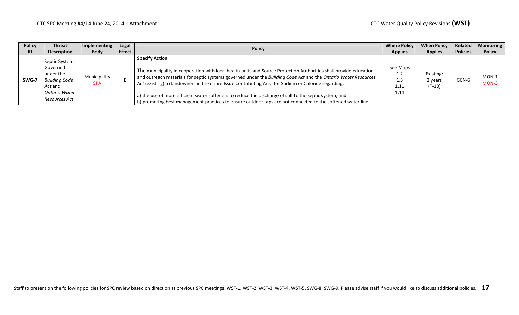| <b>Policy</b> | <b>Threat</b>                                                                                                | Implementing               | Legal         | <b>Policy</b>                                                                                                                                                                                                                                                                                                                                                                                                                                                                                                                                                                                 | <b>Where Policy</b>                    | <b>When Policy</b>               | Related         | <b>Monitoring</b>  |
|---------------|--------------------------------------------------------------------------------------------------------------|----------------------------|---------------|-----------------------------------------------------------------------------------------------------------------------------------------------------------------------------------------------------------------------------------------------------------------------------------------------------------------------------------------------------------------------------------------------------------------------------------------------------------------------------------------------------------------------------------------------------------------------------------------------|----------------------------------------|----------------------------------|-----------------|--------------------|
| ID            | <b>Description</b>                                                                                           | <b>Body</b>                | <b>Effect</b> |                                                                                                                                                                                                                                                                                                                                                                                                                                                                                                                                                                                               | <b>Applies</b>                         | <b>Applies</b>                   | <b>Policies</b> | <b>Policy</b>      |
| SWG-7         | Septic Systems<br>Governed<br>under the<br><b>Building Code</b><br>Act and<br>Ontario Water<br>Resources Act | Municipality<br><b>SPA</b> |               | <b>Specify Action</b><br>The municipality in cooperation with local health units and Source Protection Authorities shall provide education<br>and outreach materials for septic systems governed under the Building Code Act and the Ontario Water Resources<br>Act (existing) to landowners in the entire Issue Contributing Area for Sodium or Chloride regarding:<br>a) the use of more efficient water softeners to reduce the discharge of salt to the septic system; and<br>b) promoting best management practices to ensure outdoor taps are not connected to the softened water line. | See Maps<br>1.2<br>1.3<br>1.11<br>1.14 | Existing:<br>2 years<br>$(T-10)$ | GEN-6           | $MON-1$<br>$MON-3$ |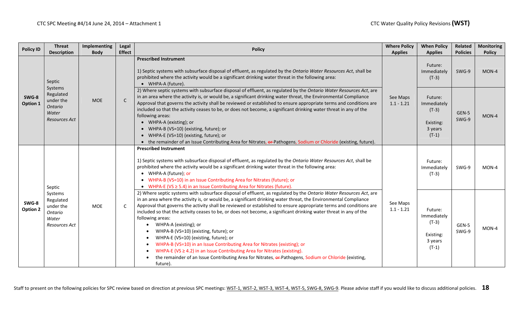| <b>Policy ID</b>  | <b>Threat</b><br><b>Description</b>                                    | Implementing<br><b>Body</b> | Legal<br><b>Effect</b> | <b>Policy</b>                                                                                                                                                                                                                                                                                                                                                                                                                                                                                                                                                                                                                                                                                                                                                                                                                                                                                      | <b>Where Policy</b><br><b>Applies</b> | <b>When Policy</b><br><b>Applies</b>                                 | Related        | <b>Monitoring</b>                                                    |
|-------------------|------------------------------------------------------------------------|-----------------------------|------------------------|----------------------------------------------------------------------------------------------------------------------------------------------------------------------------------------------------------------------------------------------------------------------------------------------------------------------------------------------------------------------------------------------------------------------------------------------------------------------------------------------------------------------------------------------------------------------------------------------------------------------------------------------------------------------------------------------------------------------------------------------------------------------------------------------------------------------------------------------------------------------------------------------------|---------------------------------------|----------------------------------------------------------------------|----------------|----------------------------------------------------------------------|
|                   | Septic                                                                 |                             |                        | <b>Prescribed Instrument</b><br>1) Septic systems with subsurface disposal of effluent, as regulated by the Ontario Water Resources Act, shall be<br>prohibited where the activity would be a significant drinking water threat in the following area:<br>• WHPA-A (future).                                                                                                                                                                                                                                                                                                                                                                                                                                                                                                                                                                                                                       |                                       | Future:<br>Immediately<br>$(T-3)$                                    | SWG-9          | <b>Policies</b><br><b>Policy</b><br>MON-4<br>MON-4<br>MON-4<br>MON-4 |
| SWG-8<br>Option 1 | Systems<br>Regulated<br>under the<br>Ontario<br>Water<br>Resources Act | <b>MOE</b>                  | $\mathsf{C}$           | 2) Where septic systems with subsurface disposal of effluent, as regulated by the Ontario Water Resources Act, are<br>in an area where the activity is, or would be, a significant drinking water threat, the Environmental Compliance<br>Approval that governs the activity shall be reviewed or established to ensure appropriate terms and conditions are<br>included so that the activity ceases to be, or does not become, a significant drinking water threat in any of the<br>following areas:<br>• WHPA-A (existing); or<br>• WHPA-B (VS=10) (existing, future); or<br>• WHPA-E (VS=10) (existing, future); or<br>• the remainder of an Issue Contributing Area for Nitrates, or-Pathogens, Sodium or Chloride (existing, future).                                                                                                                                                         | See Maps<br>$1.1 - 1.21$              | Future:<br>Immediately<br>$(T-3)$<br>Existing:<br>3 years<br>$(T-1)$ | GEN-5<br>SWG-9 |                                                                      |
|                   | Septic                                                                 |                             |                        | <b>Prescribed Instrument</b><br>1) Septic systems with subsurface disposal of effluent, as regulated by the Ontario Water Resources Act, shall be<br>prohibited where the activity would be a significant drinking water threat in the following area:<br>• WHPA-A (future); or<br>• WHPA-B (VS=10) in an Issue Contributing Area for Nitrates (future); or<br>• WHPA-E (VS $\geq$ 5.4) in an Issue Contributing Area for Nitrates (future).                                                                                                                                                                                                                                                                                                                                                                                                                                                       |                                       | Future:<br>Immediately<br>$(T-3)$                                    | SWG-9          |                                                                      |
| SWG-8<br>Option 2 | Systems<br>Regulated<br>under the<br>Ontario<br>Water<br>Resources Act | <b>MOE</b>                  | C                      | 2) Where septic systems with subsurface disposal of effluent, as regulated by the Ontario Water Resources Act, are<br>in an area where the activity is, or would be, a significant drinking water threat, the Environmental Compliance<br>Approval that governs the activity shall be reviewed or established to ensure appropriate terms and conditions are<br>included so that the activity ceases to be, or does not become, a significant drinking water threat in any of the<br>following areas:<br>WHPA-A (existing); or<br>WHPA-B (VS=10) (existing, future); or<br>WHPA-E (VS=10) (existing, future); or<br>WHPA-B (VS=10) in an Issue Contributing Area for Nitrates (existing); or<br>WHPA-E (VS $\geq$ 4.2) in an Issue Contributing Area for Nitrates (existing).<br>the remainder of an Issue Contributing Area for Nitrates, or-Pathogens, Sodium or Chloride (existing,<br>future). | See Maps<br>$1.1 - 1.21$              | Future:<br>Immediately<br>$(T-3)$<br>Existing:<br>3 years<br>$(T-1)$ | GEN-5<br>SWG-9 |                                                                      |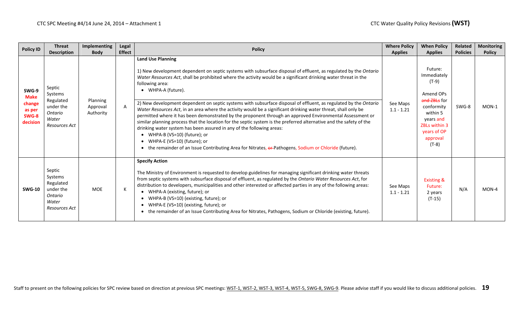| <b>Policy ID</b>                                              | <b>Threat</b><br><b>Description</b>                                              | Implementing<br><b>Body</b>       | Legal<br><b>Effect</b> | <b>Policy</b>                                                                                                                                                                                                                                                                                                                                                                                                                                                                                                                                                                                                                                                                                                                                                                                                                                                                                                                                                                                                                         | <b>Where Policy</b><br><b>Applies</b> | <b>When Policy</b><br><b>Applies</b>                                                                                                                              | Related<br><b>Policies</b> | <b>Monitoring</b><br><b>Policy</b> |
|---------------------------------------------------------------|----------------------------------------------------------------------------------|-----------------------------------|------------------------|---------------------------------------------------------------------------------------------------------------------------------------------------------------------------------------------------------------------------------------------------------------------------------------------------------------------------------------------------------------------------------------------------------------------------------------------------------------------------------------------------------------------------------------------------------------------------------------------------------------------------------------------------------------------------------------------------------------------------------------------------------------------------------------------------------------------------------------------------------------------------------------------------------------------------------------------------------------------------------------------------------------------------------------|---------------------------------------|-------------------------------------------------------------------------------------------------------------------------------------------------------------------|----------------------------|------------------------------------|
| SWG-9<br><b>Make</b><br>change<br>as per<br>SWG-8<br>decision | Septic<br>Systems<br>Regulated<br>under the<br>Ontario<br>Water<br>Resources Act | Planning<br>Approval<br>Authority | $\mathsf{A}$           | <b>Land Use Planning</b><br>1) New development dependent on septic systems with subsurface disposal of effluent, as regulated by the Ontario<br>Water Resources Act, shall be prohibited where the activity would be a significant drinking water threat in the<br>following area:<br>• WHPA-A (future).<br>2) New development dependent on septic systems with subsurface disposal of effluent, as regulated by the Ontario<br>Water Resources Act, in an area where the activity would be a significant drinking water threat, shall only be<br>permitted where it has been demonstrated by the proponent through an approved Environmental Assessment or<br>similar planning process that the location for the septic system is the preferred alternative and the safety of the<br>drinking water system has been assured in any of the following areas:<br>• WHPA-B (VS=10) (future); or<br>• WHPA-E (VS=10) (future); or<br>the remainder of an Issue Contributing Area for Nitrates, or-Pathogens, Sodium or Chloride (future). | See Maps<br>$1.1 - 1.21$              | Future:<br>Immediately<br>(T-9)<br>Amend OPs<br>and ZBLs for<br>conformity<br>within 5<br>years and<br><b>ZBLs within 3</b><br>years of OP<br>approval<br>$(T-8)$ | SWG-8                      | $MON-1$                            |
| <b>SWG-10</b>                                                 | Septic<br>Systems<br>Regulated<br>under the<br>Ontario<br>Water<br>Resources Act | <b>MOE</b>                        | К                      | <b>Specify Action</b><br>The Ministry of Environment is requested to develop guidelines for managing significant drinking water threats<br>from septic systems with subsurface disposal of effluent, as regulated by the Ontario Water Resources Act, for<br>distribution to developers, municipalities and other interested or affected parties in any of the following areas:<br>• WHPA-A (existing, future); or<br>• WHPA-B (VS=10) (existing, future); or<br>• WHPA-E (VS=10) (existing, future); or<br>• the remainder of an Issue Contributing Area for Nitrates, Pathogens, Sodium or Chloride (existing, future).                                                                                                                                                                                                                                                                                                                                                                                                             | See Maps<br>$1.1 - 1.21$              | <b>Existing &amp;</b><br>Future:<br>2 years<br>$(T-15)$                                                                                                           | N/A                        | $MON-4$                            |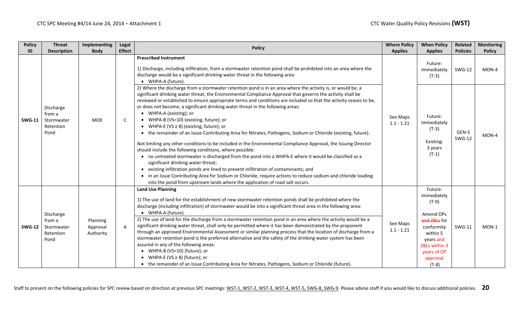| <b>Policy</b> | <b>Threat</b>                                          | Implementing                      | Legal         | <b>Policy</b>                                                                                                                                                                                                                                                                                                                                                                                                                                                                                                                                                                                                                                                                                                                                                                                                                                                                                                                                                                                                                                                                                                                                                                                                                                                                                      | <b>Where Policy</b>      | <b>When Policy</b>                                                                                                                                           | Related                | <b>Monitoring</b> |
|---------------|--------------------------------------------------------|-----------------------------------|---------------|----------------------------------------------------------------------------------------------------------------------------------------------------------------------------------------------------------------------------------------------------------------------------------------------------------------------------------------------------------------------------------------------------------------------------------------------------------------------------------------------------------------------------------------------------------------------------------------------------------------------------------------------------------------------------------------------------------------------------------------------------------------------------------------------------------------------------------------------------------------------------------------------------------------------------------------------------------------------------------------------------------------------------------------------------------------------------------------------------------------------------------------------------------------------------------------------------------------------------------------------------------------------------------------------------|--------------------------|--------------------------------------------------------------------------------------------------------------------------------------------------------------|------------------------|-------------------|
| ID            | <b>Description</b>                                     | <b>Body</b>                       | <b>Effect</b> |                                                                                                                                                                                                                                                                                                                                                                                                                                                                                                                                                                                                                                                                                                                                                                                                                                                                                                                                                                                                                                                                                                                                                                                                                                                                                                    | <b>Applies</b>           | <b>Applies</b>                                                                                                                                               | <b>Policies</b>        | <b>Policy</b>     |
|               |                                                        |                                   |               | <b>Prescribed Instrument</b><br>1) Discharge, including infiltration, from a stormwater retention pond shall be prohibited into an area where the<br>discharge would be a significant drinking water threat in the following area:<br>• WHPA-A (future).                                                                                                                                                                                                                                                                                                                                                                                                                                                                                                                                                                                                                                                                                                                                                                                                                                                                                                                                                                                                                                           |                          | Future:<br>Immediately<br>$(T-3)$                                                                                                                            | <b>SWG-12</b>          | MON-4             |
| <b>SWG-11</b> | Discharge<br>from a<br>Stormwater<br>Retention<br>Pond | <b>MOE</b>                        | C             | 2) Where the discharge from a stormwater retention pond is in an area where the activity is, or would be, a<br>significant drinking water threat, the Environmental Compliance Approval that governs the activity shall be<br>reviewed or established to ensure appropriate terms and conditions are included so that the activity ceases to be,<br>or does not become, a significant drinking water threat in the following areas:<br>• WHPA-A (existing); or<br>• WHPA-B (VS=10) (existing, future); or<br>• WHPA-E (VS $\geq$ 8) (existing, future); or<br>• the remainder of an Issue Contributing Area for Nitrates, Pathogens, Sodium or Chloride (existing, future).<br>Not limiting any other conditions to be included in the Environmental Compliance Approval, the Issuing Director<br>should include the following conditions, where possible:<br>• no untreated stormwater is discharged from the pond into a WHPA-E where it would be classified as a<br>significant drinking water threat;<br>• existing infiltration ponds are lined to prevent infiltration of contaminants; and<br>• in an Issue Contributing Area for Sodium or Chloride, require actions to reduce sodium and chloride loading<br>into the pond from upstream lands where the application of road salt occurs. | See Maps<br>$1.1 - 1.21$ | Future:<br>Immediately<br>$(T-3)$<br>Existing:<br>3 years<br>$(T-1)$                                                                                         | GEN-5<br><b>SWG-12</b> | MON-4             |
| <b>SWG-12</b> | Discharge<br>from a<br>Stormwater<br>Retention<br>Pond | Planning<br>Approval<br>Authority | $\mathsf{A}$  | <b>Land Use Planning</b><br>1) The use of land for the establishment of new stormwater retention ponds shall be prohibited where the<br>discharge (including infiltration) of stormwater would be into a significant threat area in the following area:<br>• WHPA-A (future).<br>2) The use of land for the discharge from a stormwater retention pond in an area where the activity would be a<br>significant drinking water threat, shall only be permitted where it has been demonstrated by the proponent<br>through an approved Environmental Assessment or similar planning process that the location of discharge from a<br>stormwater retention pond is the preferred alternative and the safety of the drinking water system has been<br>assured in any of the following areas:<br>• WHPA-B (VS=10) (future); or<br>• WHPA-E (VS $\geq$ 8) (future); or<br>• the remainder of an Issue Contributing Area for Nitrates, Pathogens, Sodium or Chloride (future).                                                                                                                                                                                                                                                                                                                            | See Maps<br>$1.1 - 1.21$ | Future:<br>Immediately<br>$(T-9)$<br>Amend OPs<br>and ZBLs for<br>conformity<br>within 5<br>years and<br>ZBLs within 3<br>years of OP<br>approval<br>$(T-8)$ | <b>SWG-11</b>          | MON-1             |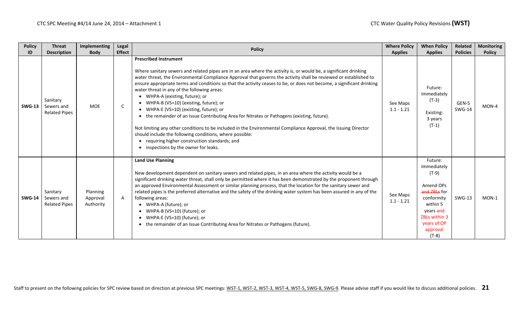| <b>Policy</b> | <b>Threat</b>                                  | Implementing                      | Legal         | <b>Policy</b>                                                                                                                                                                                                                                                                                                                                                                                                                                                                                                                                                                                                                                                                                                                                                                                                                                                                                                                                    | <b>Where Policy</b>      | <b>When Policy</b>                                                                                                                                           | Related                | <b>Monitoring</b> |
|---------------|------------------------------------------------|-----------------------------------|---------------|--------------------------------------------------------------------------------------------------------------------------------------------------------------------------------------------------------------------------------------------------------------------------------------------------------------------------------------------------------------------------------------------------------------------------------------------------------------------------------------------------------------------------------------------------------------------------------------------------------------------------------------------------------------------------------------------------------------------------------------------------------------------------------------------------------------------------------------------------------------------------------------------------------------------------------------------------|--------------------------|--------------------------------------------------------------------------------------------------------------------------------------------------------------|------------------------|-------------------|
| ID            | <b>Description</b>                             | <b>Body</b>                       | <b>Effect</b> |                                                                                                                                                                                                                                                                                                                                                                                                                                                                                                                                                                                                                                                                                                                                                                                                                                                                                                                                                  | <b>Applies</b>           | <b>Applies</b>                                                                                                                                               | <b>Policies</b>        | <b>Policy</b>     |
| <b>SWG-13</b> | Sanitary<br>Sewers and<br><b>Related Pipes</b> | <b>MOE</b>                        | $\mathsf C$   | <b>Prescribed Instrument</b><br>Where sanitary sewers and related pipes are in an area where the activity is, or would be, a significant drinking<br>water threat, the Environmental Compliance Approval that governs the activity shall be reviewed or established to<br>ensure appropriate terms and conditions so that the activity ceases to be, or does not become, a significant drinking<br>water threat in any of the following areas:<br>• WHPA-A (existing, future); or<br>• WHPA-B (VS=10) (existing, future); or<br>• WHPA-E (VS=10) (existing, future); or<br>• the remainder of an Issue Contributing Area for Nitrates or Pathogens (existing, future).<br>Not limiting any other conditions to be included in the Environmental Compliance Approval, the Issuing Director<br>should include the following conditions, where possible:<br>• requiring higher construction standards; and<br>• inspections by the owner for leaks. | See Maps<br>$1.1 - 1.21$ | Future:<br>Immediately<br>$(T-3)$<br>Existing:<br>3 years<br>$(T-1)$                                                                                         | GEN-5<br><b>SWG-14</b> | MON-4             |
| <b>SWG-14</b> | Sanitary<br>Sewers and<br><b>Related Pipes</b> | Planning<br>Approval<br>Authority | $\mathsf{A}$  | <b>Land Use Planning</b><br>New development dependent on sanitary sewers and related pipes, in an area where the activity would be a<br>significant drinking water threat, shall only be permitted where it has been demonstrated by the proponent through<br>an approved Environmental Assessment or similar planning process, that the location for the sanitary sewer and<br>related pipes is the preferred alternative and the safety of the drinking water system has been assured in any of the<br>following areas:<br>• WHPA-A (future); or<br>• WHPA-B (VS=10) (future); or<br>• WHPA-E (VS=10) (future); or<br>• the remainder of an Issue Contributing Area for Nitrates or Pathogens (future).                                                                                                                                                                                                                                        | See Maps<br>$1.1 - 1.21$ | Future:<br>Immediately<br>$(T-9)$<br>Amend OPs<br>and ZBLs for<br>conformity<br>within 5<br>years and<br>ZBLs within 3<br>years of OP<br>approval<br>$(T-8)$ | <b>SWG-13</b>          | $MON-1$           |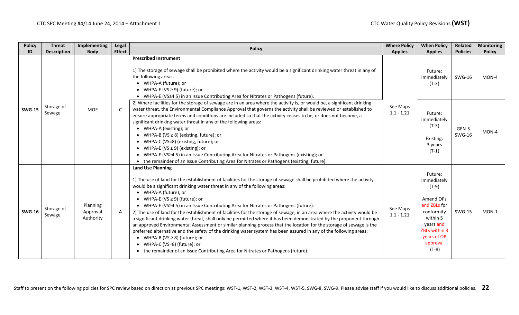| <b>Policy</b> | <b>Threat</b>        | Implementing                      | Legal         | <b>Policy</b>                                                                                                                                                                                                                                                                                                                                                                                                                                                                                                                                                                                                                                                                                                                                                                                                                                                                                                                                                                                                                                     | <b>Where Policy</b>      | <b>When Policy</b>                                                                                                                                           | <b>Related</b>         | <b>Monitoring</b>                            |
|---------------|----------------------|-----------------------------------|---------------|---------------------------------------------------------------------------------------------------------------------------------------------------------------------------------------------------------------------------------------------------------------------------------------------------------------------------------------------------------------------------------------------------------------------------------------------------------------------------------------------------------------------------------------------------------------------------------------------------------------------------------------------------------------------------------------------------------------------------------------------------------------------------------------------------------------------------------------------------------------------------------------------------------------------------------------------------------------------------------------------------------------------------------------------------|--------------------------|--------------------------------------------------------------------------------------------------------------------------------------------------------------|------------------------|----------------------------------------------|
| ID            | <b>Description</b>   | <b>Body</b>                       | <b>Effect</b> |                                                                                                                                                                                                                                                                                                                                                                                                                                                                                                                                                                                                                                                                                                                                                                                                                                                                                                                                                                                                                                                   | <b>Applies</b>           | <b>Applies</b>                                                                                                                                               | <b>Policies</b>        |                                              |
|               |                      |                                   |               | <b>Prescribed Instrument</b><br>1) The storage of sewage shall be prohibited where the activity would be a significant drinking water threat in any of<br>the following areas:<br>• WHPA-A (future); or<br>WHPA-E (VS $\geq$ 9) (future); or<br>WHPA-E (VS≥4.5) in an Issue Contributing Area for Nitrates or Pathogens (future).                                                                                                                                                                                                                                                                                                                                                                                                                                                                                                                                                                                                                                                                                                                 |                          | Future:<br>Immediately<br>$(T-3)$                                                                                                                            | <b>SWG-16</b>          | <b>Policy</b><br>$MON-4$<br>MON-4<br>$MON-1$ |
| <b>SWG-15</b> | Storage of<br>Sewage | <b>MOE</b>                        | C             | 2) Where facilities for the storage of sewage are in an area where the activity is, or would be, a significant drinking<br>water threat, the Environmental Compliance Approval that governs the activity shall be reviewed or established to<br>ensure appropriate terms and conditions are included so that the activity ceases to be, or does not become, a<br>significant drinking water threat in any of the following areas:<br>WHPA-A (existing); or<br>• WHPA-B (VS $\geq$ 8) (existing, future); or<br>WHPA-C (VS=8) (existing, future); or<br>WHPA-E (VS $\geq$ 9) (existing); or<br>WHPA-E (VS≥4.5) in an Issue Contributing Area for Nitrates or Pathogens (existing); or<br>• the remainder of an Issue Contributing Area for Nitrates or Pathogens (existing, future).                                                                                                                                                                                                                                                               | See Maps<br>$1.1 - 1.21$ | Future:<br>Immediately<br>$(T-3)$<br>Existing:<br>3 years<br>$(T-1)$                                                                                         | GEN-5<br><b>SWG-16</b> |                                              |
| <b>SWG-16</b> | Storage of<br>Sewage | Planning<br>Approval<br>Authority | A             | <b>Land Use Planning</b><br>1) The use of land for the establishment of facilities for the storage of sewage shall be prohibited where the activity<br>would be a significant drinking water threat in any of the following areas:<br>• WHPA-A (future); or<br>WHPA-E (VS $\geq$ 9) (future); or<br>• WHPA-E (VS≥4.5) in an Issue Contributing Area for Nitrates or Pathogens (future).<br>2) The use of land for the establishment of facilities for the storage of sewage, in an area where the activity would be<br>a significant drinking water threat, shall only be permitted where it has been demonstrated by the proponent through<br>an approved Environmental Assessment or similar planning process that the location for the storage of sewage is the<br>preferred alternative and the safety of the drinking water system has been assured in any of the following areas:<br>WHPA-B (VS $\geq$ 8) (future); or<br>• WHPA-C (VS=8) (future); or<br>• the remainder of an Issue Contributing Area for Nitrates or Pathogens (future). | See Maps<br>$1.1 - 1.21$ | Future:<br>Immediately<br>$(T-9)$<br>Amend OPs<br>and ZBLs for<br>conformity<br>within 5<br>years and<br>ZBLs within 3<br>years of OP<br>approval<br>$(T-8)$ | <b>SWG-15</b>          |                                              |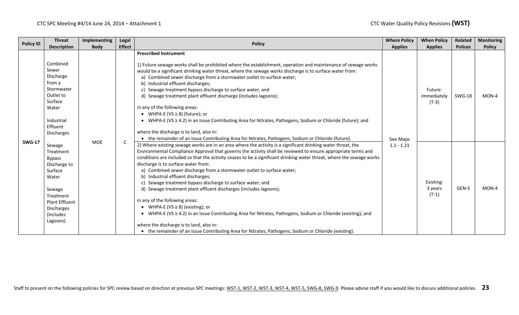| <b>Policy ID</b> | <b>Threat</b>                                                                                                                                                   | Implementing | <b>Legal</b>  | <b>Policy</b>                                                                                                                                                                                                                                                                                                                                                                                                                                                                                                                                                                                                                                                                                                                                                                                                                                                                                                                                                                                          | <b>Where Policy</b> | <b>When Policy</b>                | Related        | <b>Monitoring</b> |
|------------------|-----------------------------------------------------------------------------------------------------------------------------------------------------------------|--------------|---------------|--------------------------------------------------------------------------------------------------------------------------------------------------------------------------------------------------------------------------------------------------------------------------------------------------------------------------------------------------------------------------------------------------------------------------------------------------------------------------------------------------------------------------------------------------------------------------------------------------------------------------------------------------------------------------------------------------------------------------------------------------------------------------------------------------------------------------------------------------------------------------------------------------------------------------------------------------------------------------------------------------------|---------------------|-----------------------------------|----------------|-------------------|
|                  | <b>Description</b>                                                                                                                                              | <b>Body</b>  | <b>Effect</b> |                                                                                                                                                                                                                                                                                                                                                                                                                                                                                                                                                                                                                                                                                                                                                                                                                                                                                                                                                                                                        | <b>Applies</b>      | <b>Applies</b>                    | <b>Polices</b> | <b>Policy</b>     |
|                  | Combined<br>Sewer<br>Discharge<br>from a<br>Stormwater<br>Outlet to<br>Surface<br>Water<br>Industrial<br>Effluent<br><b>Discharges</b>                          |              | C             | <b>Prescribed Instrument</b><br>1) Future sewage works shall be prohibited where the establishment, operation and maintenance of sewage works<br>would be a significant drinking water threat, where the sewage works discharge is to surface water from:<br>a) Combined sewer discharge from a stormwater outlet to surface water;<br>b) Industrial effluent discharges;<br>c) Sewage treatment bypass discharge to surface water; and<br>d) Sewage treatment plant effluent discharge (includes lagoons);<br>in any of the following areas:<br>• WHPA-E (VS $\geq$ 8) (future); or<br>• WHPA-E (VS $\geq$ 4.2) in an Issue Contributing Area for Nitrates, Pathogens, Sodium or Chloride (future); and<br>where the discharge is to land, also in:<br>• the remainder of an Issue Contributing Area for Nitrates, Pathogens, Sodium or Chloride (future).                                                                                                                                            | See Maps            | Future:<br>Immediately<br>$(T-3)$ | <b>SWG-18</b>  | MON-4             |
| <b>SWG-17</b>    | Sewage<br>Treatment<br><b>Bypass</b><br>Discharge to<br>Surface<br>Water<br>Sewage<br>Treatment<br><b>Plant Effluent</b><br>Discharges<br>(Includes<br>Lagoons) | <b>MOE</b>   |               | 2) Where existing sewage works are in an area where the activity is a significant drinking water threat, the<br>Environmental Compliance Approval that governs the activity shall be reviewed to ensure appropriate terms and<br>conditions are included so that the activity ceases to be a significant drinking water threat, where the sewage works<br>discharge is to surface water from:<br>a) Combined sewer discharge from a stormwater outlet to surface water;<br>b) Industrial effluent discharges;<br>c) Sewage treatment bypass discharge to surface water; and<br>d) Sewage treatment plant effluent discharges (includes lagoons);<br>in any of the following areas:<br>• WHPA-E (VS $\geq$ 8) (existing); or<br>• WHPA-E (VS $\geq$ 4.2) in an Issue Contributing Area for Nitrates, Pathogens, Sodium or Chloride (existing); and<br>where the discharge is to land, also in:<br>• the remainder of an Issue Contributing Area for Nitrates, Pathogens, Sodium or Chloride (existing). | $1.1 - 1.21$        | Existing:<br>3 years<br>$(T-1)$   | GEN-5          | $MON-4$           |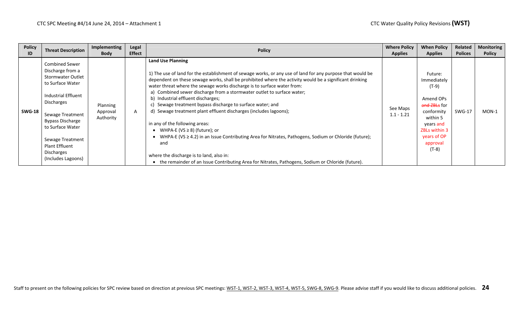| <b>Policy</b><br>ID | <b>Threat Description</b>                                                                                                                                                                                                                                                          | Implementing<br><b>Body</b>       | Legal<br><b>Effect</b> | <b>Policy</b>                                                                                                                                                                                                                                                                                                                                                                                                                                                                                                                                                                                                                                                                                                                                                                                                                                                                                                               | <b>Where Policy</b><br><b>Applies</b> | <b>When Policy</b><br><b>Applies</b>                                                                                                                              | Related<br><b>Polices</b> | <b>Monitoring</b><br><b>Policy</b> |
|---------------------|------------------------------------------------------------------------------------------------------------------------------------------------------------------------------------------------------------------------------------------------------------------------------------|-----------------------------------|------------------------|-----------------------------------------------------------------------------------------------------------------------------------------------------------------------------------------------------------------------------------------------------------------------------------------------------------------------------------------------------------------------------------------------------------------------------------------------------------------------------------------------------------------------------------------------------------------------------------------------------------------------------------------------------------------------------------------------------------------------------------------------------------------------------------------------------------------------------------------------------------------------------------------------------------------------------|---------------------------------------|-------------------------------------------------------------------------------------------------------------------------------------------------------------------|---------------------------|------------------------------------|
| <b>SWG-18</b>       | <b>Combined Sewer</b><br>Discharge from a<br><b>Stormwater Outlet</b><br>to Surface Water<br>Industrial Effluent<br><b>Discharges</b><br>Sewage Treatment<br>Bypass Discharge<br>to Surface Water<br>Sewage Treatment<br><b>Plant Effluent</b><br>Discharges<br>(Includes Lagoons) | Planning<br>Approval<br>Authority | A                      | <b>Land Use Planning</b><br>1) The use of land for the establishment of sewage works, or any use of land for any purpose that would be<br>dependent on these sewage works, shall be prohibited where the activity would be a significant drinking<br>water threat where the sewage works discharge is to surface water from:<br>a) Combined sewer discharge from a stormwater outlet to surface water;<br>b) Industrial effluent discharges;<br>Sewage treatment bypass discharge to surface water; and<br>d) Sewage treatment plant effluent discharges (includes lagoons);<br>in any of the following areas:<br>WHPA-E (VS $\geq$ 8) (future); or<br>WHPA-E (VS $\geq$ 4.2) in an Issue Contributing Area for Nitrates, Pathogens, Sodium or Chloride (future);<br>and<br>where the discharge is to land, also in:<br>• the remainder of an Issue Contributing Area for Nitrates, Pathogens, Sodium or Chloride (future). | See Maps<br>$1.1 - 1.21$              | Future:<br>Immediately<br>(T-9)<br>Amend OPs<br>and ZBLs for<br>conformity<br>within 5<br>years and<br><b>ZBLs within 3</b><br>years of OP<br>approval<br>$(T-8)$ | <b>SWG-17</b>             | $MON-1$                            |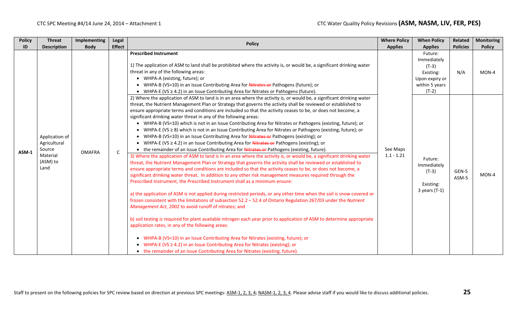| <b>Policy</b> | <b>Threat</b>                                                            | Implementing  | Legal         | <b>Policy</b>                                                                                                                                                                                                                                                                                                                                                                                                                                                                                                                                                                                                                                                                                                                                                                                                                                                                                                                                                                                                                                                                                                                                                                                                                                                                                                                                                                                                                                                                                                                                                                                                                                                                                                                                                                                                                                                                                                                                                                                                                                                                                                                                                                                                                                                                | <b>Where Policy</b>      | <b>When Policy</b>                                                                            | Related         | Monitoring    |
|---------------|--------------------------------------------------------------------------|---------------|---------------|------------------------------------------------------------------------------------------------------------------------------------------------------------------------------------------------------------------------------------------------------------------------------------------------------------------------------------------------------------------------------------------------------------------------------------------------------------------------------------------------------------------------------------------------------------------------------------------------------------------------------------------------------------------------------------------------------------------------------------------------------------------------------------------------------------------------------------------------------------------------------------------------------------------------------------------------------------------------------------------------------------------------------------------------------------------------------------------------------------------------------------------------------------------------------------------------------------------------------------------------------------------------------------------------------------------------------------------------------------------------------------------------------------------------------------------------------------------------------------------------------------------------------------------------------------------------------------------------------------------------------------------------------------------------------------------------------------------------------------------------------------------------------------------------------------------------------------------------------------------------------------------------------------------------------------------------------------------------------------------------------------------------------------------------------------------------------------------------------------------------------------------------------------------------------------------------------------------------------------------------------------------------------|--------------------------|-----------------------------------------------------------------------------------------------|-----------------|---------------|
| ID            | <b>Description</b>                                                       | <b>Body</b>   | <b>Effect</b> |                                                                                                                                                                                                                                                                                                                                                                                                                                                                                                                                                                                                                                                                                                                                                                                                                                                                                                                                                                                                                                                                                                                                                                                                                                                                                                                                                                                                                                                                                                                                                                                                                                                                                                                                                                                                                                                                                                                                                                                                                                                                                                                                                                                                                                                                              | <b>Applies</b>           | <b>Applies</b>                                                                                | <b>Policies</b> | <b>Policy</b> |
|               |                                                                          |               |               | <b>Prescribed Instrument</b><br>1) The application of ASM to land shall be prohibited where the activity is, or would be, a significant drinking water<br>threat in any of the following areas:<br>• WHPA-A (existing, future); or<br>• WHPA-B (VS=10) in an Issue Contributing Area for Nitrates or Pathogens (future); or<br>• WHPA-E (VS $\geq$ 4.2) in an Issue Contributing Area for Nitrates or Pathogens (future).                                                                                                                                                                                                                                                                                                                                                                                                                                                                                                                                                                                                                                                                                                                                                                                                                                                                                                                                                                                                                                                                                                                                                                                                                                                                                                                                                                                                                                                                                                                                                                                                                                                                                                                                                                                                                                                    |                          | Future:<br>Immediately<br>$(T-3)$<br>Existing:<br>Upon expiry or<br>within 5 years<br>$(T-2)$ | N/A             | MON-4         |
| $ASM-1$       | Application of<br>Agricultural<br>Source<br>Material<br>(ASM) to<br>Land | <b>OMAFRA</b> | $\mathsf{C}$  | 2) Where the application of ASM to land is in an area where the activity is, or would be, a significant drinking water<br>threat, the Nutrient Management Plan or Strategy that governs the activity shall be reviewed or established to<br>ensure appropriate terms and conditions are included so that the activity ceases to be, or does not become, a<br>significant drinking water threat in any of the following areas:<br>• WHPA-B (VS=10) which is not in an Issue Contributing Area for Nitrates or Pathogens (existing, future); or<br>• WHPA-E (VS $\geq$ 8) which is not in an Issue Contributing Area for Nitrates or Pathogens (existing, future); or<br>• WHPA-B (VS=10) in an Issue Contributing Area for Nitrates or Pathogens (existing); or<br>• WHPA-E (VS $\geq$ 4.2) in an Issue Contributing Area for Nitrates or Pathogens (existing); or<br>• the remainder of an Issue Contributing Area for Nitrates or Pathogens (existing, future).<br>3) Where the application of ASM to land is in an area where the activity is, or would be, a significant drinking water<br>threat, the Nutrient Management Plan or Strategy that governs the activity shall be reviewed or established to<br>ensure appropriate terms and conditions are included so that the activity ceases to be, or does not become, a<br>significant drinking water threat. In addition to any other risk management measures required through the<br>Prescribed Instrument, the Prescribed Instrument shall as a minimum ensure:<br>a) the application of ASM is not applied during restricted periods, or any other time when the soil is snow covered or<br>frozen consistent with the limitations of subsection 52.2 - 52.4 of Ontario Regulation 267/03 under the Nutrient<br>Management Act, 2002 to avoid runoff of nitrates; and<br>b) soil testing is required for plant available nitrogen each year prior to application of ASM to determine appropriate<br>application rates, in any of the following areas:<br>• WHPA-B (VS=10) in an Issue Contributing Area for Nitrates (existing, future); or<br>WHPA-E (VS $\geq$ 4.2) in an Issue Contributing Area for Nitrates (existing); or<br>• the remainder of an Issue Contributing Area for Nitrates (existing, future). | See Maps<br>$1.1 - 1.21$ | Future:<br>Immediately<br>$(T-3)$<br>Existing:<br>3 years $(T-1)$                             | GEN-5<br>ASM-5  | MON-4         |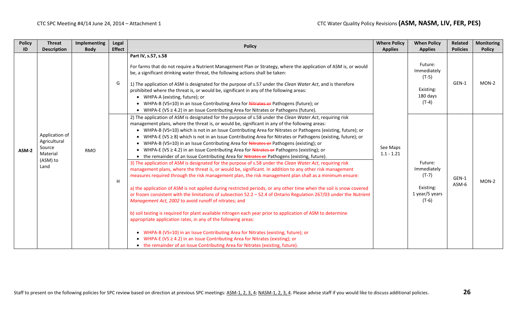| <b>Policy</b> | <b>Threat</b>                                                            | Implementing | Legal         | <b>Policy</b>                                                                                                                                                                                                                                                                                                                                                                                                                                                                                                                                                                                                                                                                                                                                                                                                                                                                                                                                                                                                                                                                                                                                                                                                                                                                                                                                                                                                                                                                                                                                                                                                                                                                                                                                                                                                                        | <b>Where Policy</b>      | <b>When Policy</b>                                                          | Related         | <b>Monitoring</b> |
|---------------|--------------------------------------------------------------------------|--------------|---------------|--------------------------------------------------------------------------------------------------------------------------------------------------------------------------------------------------------------------------------------------------------------------------------------------------------------------------------------------------------------------------------------------------------------------------------------------------------------------------------------------------------------------------------------------------------------------------------------------------------------------------------------------------------------------------------------------------------------------------------------------------------------------------------------------------------------------------------------------------------------------------------------------------------------------------------------------------------------------------------------------------------------------------------------------------------------------------------------------------------------------------------------------------------------------------------------------------------------------------------------------------------------------------------------------------------------------------------------------------------------------------------------------------------------------------------------------------------------------------------------------------------------------------------------------------------------------------------------------------------------------------------------------------------------------------------------------------------------------------------------------------------------------------------------------------------------------------------------|--------------------------|-----------------------------------------------------------------------------|-----------------|-------------------|
| ID            | <b>Description</b>                                                       | <b>Body</b>  | <b>Effect</b> |                                                                                                                                                                                                                                                                                                                                                                                                                                                                                                                                                                                                                                                                                                                                                                                                                                                                                                                                                                                                                                                                                                                                                                                                                                                                                                                                                                                                                                                                                                                                                                                                                                                                                                                                                                                                                                      | <b>Applies</b>           | <b>Applies</b>                                                              | <b>Policies</b> | <b>Policy</b>     |
|               |                                                                          |              | G             | Part IV, s.57, s.58<br>For farms that do not require a Nutrient Management Plan or Strategy, where the application of ASM is, or would<br>be, a significant drinking water threat, the following actions shall be taken:<br>1) The application of ASM is designated for the purpose of s.57 under the Clean Water Act, and is therefore<br>prohibited where the threat is, or would be, significant in any of the following areas:<br>• WHPA-A (existing, future); or<br>• WHPA-B (VS=10) in an Issue Contributing Area for Nitrates or Pathogens (future); or<br>• WHPA-E (VS $\geq$ 4.2) in an Issue Contributing Area for Nitrates or Pathogens (future).                                                                                                                                                                                                                                                                                                                                                                                                                                                                                                                                                                                                                                                                                                                                                                                                                                                                                                                                                                                                                                                                                                                                                                         |                          | Future:<br>Immediately<br>$(T-5)$<br>Existing:<br>180 days<br>$(T-4)$       | GEN-1           | $MON-2$           |
| ASM-2         | Application of<br>Agricultural<br>Source<br>Material<br>(ASM) to<br>Land | <b>RMO</b>   | H             | 2) The application of ASM is designated for the purpose of s.58 under the Clean Water Act, requiring risk<br>management plans, where the threat is, or would be, significant in any of the following areas:<br>• WHPA-B (VS=10) which is not in an Issue Contributing Area for Nitrates or Pathogens (existing, future); or<br>• WHPA-E (VS $\geq$ 8) which is not in an Issue Contributing Area for Nitrates or Pathogens (existing, future); or<br>• WHPA-B (VS=10) in an Issue Contributing Area for Nitrates or Pathogens (existing); or<br>• WHPA-E (VS $\geq$ 4.2) in an Issue Contributing Area for Nitrates or Pathogens (existing); or<br>• the remainder of an Issue Contributing Area for Nitrates or Pathogens (existing, future).<br>3) The application of ASM is designated for the purpose of s.58 under the Clean Water Act, requiring risk<br>management plans, where the threat is, or would be, significant. In addition to any other risk management<br>measures required through the risk management plan, the risk management plan shall as a minimum ensure:<br>a) the application of ASM is not applied during restricted periods, or any other time when the soil is snow covered<br>or frozen consistent with the limitations of subsection 52.2 - 52.4 of Ontario Regulation 267/03 under the Nutrient<br>Management Act, 2002 to avoid runoff of nitrates; and<br>b) soil testing is required for plant available nitrogen each year prior to application of ASM to determine<br>appropriate application rates, in any of the following areas:<br>WHPA-B (VS=10) in an Issue Contributing Area for Nitrates (existing, future); or<br>WHPA-E (VS $\geq$ 4.2) in an Issue Contributing Area for Nitrates (existing); or<br>• the remainder of an Issue Contributing Area for Nitrates (existing, future). | See Maps<br>$1.1 - 1.21$ | Future:<br>Immediately<br>$(T-7)$<br>Existing:<br>1 year/5 years<br>$(T-6)$ | GEN-1<br>ASM-6  | $MON-2$           |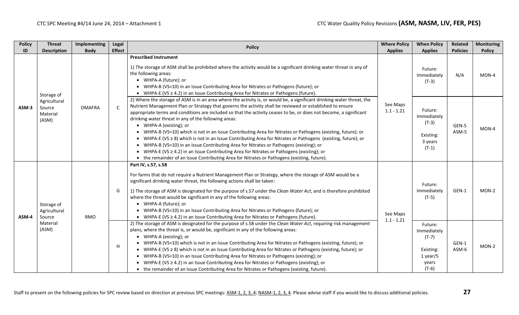| <b>Policy</b> | <b>Threat</b>                               | Implementing  | Legal         | <b>Policy</b>                                                                                                                                                                                                                                                                                                                                                                                                                                                                                                                                                                                                                                                                                                                                                                                                                                                                                                                                                              | <b>Where Policy</b>      | <b>When Policy</b>                                                               | Related         | <b>Monitoring</b> |
|---------------|---------------------------------------------|---------------|---------------|----------------------------------------------------------------------------------------------------------------------------------------------------------------------------------------------------------------------------------------------------------------------------------------------------------------------------------------------------------------------------------------------------------------------------------------------------------------------------------------------------------------------------------------------------------------------------------------------------------------------------------------------------------------------------------------------------------------------------------------------------------------------------------------------------------------------------------------------------------------------------------------------------------------------------------------------------------------------------|--------------------------|----------------------------------------------------------------------------------|-----------------|-------------------|
| ID            | <b>Description</b>                          | <b>Body</b>   | <b>Effect</b> |                                                                                                                                                                                                                                                                                                                                                                                                                                                                                                                                                                                                                                                                                                                                                                                                                                                                                                                                                                            | <b>Applies</b>           | <b>Applies</b>                                                                   | <b>Policies</b> | <b>Policy</b>     |
|               | Storage of                                  |               |               | <b>Prescribed Instrument</b><br>1) The storage of ASM shall be prohibited where the activity would be a significant drinking water threat in any of<br>the following areas:<br>• WHPA-A (future); or<br>• WHPA-B (VS=10) in an Issue Contributing Area for Nitrates or Pathogens (future); or<br>• WHPA-E (VS $\geq$ 4.2) in an Issue Contributing Area for Nitrates or Pathogens (future).                                                                                                                                                                                                                                                                                                                                                                                                                                                                                                                                                                                |                          | Future:<br>Immediately<br>$(T-3)$                                                | N/A             | MON-4             |
| ASM-3         | Agricultural<br>Source<br>Material<br>(ASM) | <b>OMAFRA</b> | $\mathsf{C}$  | 2) Where the storage of ASM is in an area where the activity is, or would be, a significant drinking water threat, the<br>Nutrient Management Plan or Strategy that governs the activity shall be reviewed or established to ensure<br>appropriate terms and conditions are included so that the activity ceases to be, or does not become, a significant<br>drinking water threat in any of the following areas:<br>• WHPA-A (existing); or<br>• WHPA-B (VS=10) which is not in an Issue Contributing Area for Nitrates or Pathogens (existing, future); or<br>• WHPA-E (VS ≥ 8) which is not in an Issue Contributing Area for Nitrates or Pathogens (existing, future); or<br>• WHPA-B (VS=10) in an Issue Contributing Area for Nitrates or Pathogens (existing); or<br>• WHPA-E (VS $\geq$ 4.2) in an Issue Contributing Area for Nitrates or Pathogens (existing); or<br>• the remainder of an Issue Contributing Area for Nitrates or Pathogens (existing, future). | See Maps<br>$1.1 - 1.21$ | Future:<br>Immediately<br>$(T-3)$<br>Existing:<br>3 years<br>$(T-1)$             | GEN-5<br>ASM-5  | MON-4             |
| ASM-4         | Storage of<br>Agricultural<br>Source        | <b>RMO</b>    | G             | Part IV, s.57, s.58<br>For farms that do not require a Nutrient Management Plan or Strategy, where the storage of ASM would be a<br>significant drinking water threat, the following actions shall be taken:<br>1) The storage of ASM is designated for the purpose of s.57 under the Clean Water Act, and is therefore prohibited<br>where the threat would be significant in any of the following areas:<br>• WHPA-A (future); or<br>• WHPA-B (VS=10) in an Issue Contributing Area for Nitrates or Pathogens (future); or<br>• WHPA-E (VS $\geq$ 4.2) in an Issue Contributing Area for Nitrates or Pathogens (future).                                                                                                                                                                                                                                                                                                                                                 | See Maps<br>$1.1 - 1.21$ | Future:<br>Immediately<br>$(T-5)$                                                | GEN-1           | MON-2             |
|               | Material<br>(ASM)                           |               | H             | 2) The storage of ASM is designated for the purpose of s.58 under the Clean Water Act, requiring risk management<br>plans, where the threat is, or would be, significant in any of the following areas:<br>• WHPA-A (existing); or<br>• WHPA-B (VS=10) which is not in an Issue Contributing Area for Nitrates or Pathogens (existing, future); or<br>• WHPA-E (VS $\geq$ 8) which is not in an Issue Contributing Area for Nitrates or Pathogens (existing, future); or<br>• WHPA-B (VS=10) in an Issue Contributing Area for Nitrates or Pathogens (existing); or<br>• WHPA-E (VS $\geq$ 4.2) in an Issue Contributing Area for Nitrates or Pathogens (existing); or<br>• the remainder of an Issue Contributing Area for Nitrates or Pathogens (existing, future).                                                                                                                                                                                                      |                          | Future:<br>Immediately<br>$(T-7)$<br>Existing:<br>$1$ year/5<br>years<br>$(T-6)$ | GEN-1<br>ASM-6  | $MON-2$           |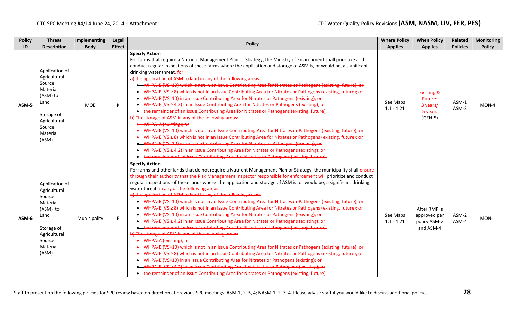| <b>Policy</b><br>ID | <b>Threat</b><br><b>Description</b>                                                                                                   | <b>Implementing</b><br><b>Body</b> | Legal<br><b>Effect</b> | <b>Policy</b>                                                                                                                                                                                                                                                                                                                                                                                                                                                                                                                                                                                                                                                                                                                                                                                                                                                                                                                                                                                                                                                                                                                                                                                                                                                                                                                                                                                                                                                                                                                                                                                                                                      | <b>Where Policy</b><br><b>Applies</b> | <b>When Policy</b><br><b>Applies</b>                                 | Related<br><b>Policies</b> | <b>Monitoring</b><br><b>Policy</b> |
|---------------------|---------------------------------------------------------------------------------------------------------------------------------------|------------------------------------|------------------------|----------------------------------------------------------------------------------------------------------------------------------------------------------------------------------------------------------------------------------------------------------------------------------------------------------------------------------------------------------------------------------------------------------------------------------------------------------------------------------------------------------------------------------------------------------------------------------------------------------------------------------------------------------------------------------------------------------------------------------------------------------------------------------------------------------------------------------------------------------------------------------------------------------------------------------------------------------------------------------------------------------------------------------------------------------------------------------------------------------------------------------------------------------------------------------------------------------------------------------------------------------------------------------------------------------------------------------------------------------------------------------------------------------------------------------------------------------------------------------------------------------------------------------------------------------------------------------------------------------------------------------------------------|---------------------------------------|----------------------------------------------------------------------|----------------------------|------------------------------------|
| ASM-5               | Application of<br>Agricultural<br>Source<br>Material<br>(ASM) to<br>Land<br>Storage of<br>Agricultural<br>Source<br>Material<br>(ASM) | <b>MOE</b>                         | К                      | <b>Specify Action</b><br>For farms that require a Nutrient Management Plan or Strategy, the Ministry of Environment shall prioritize and<br>conduct regular inspections of these farms where the application and storage of ASM is, or would be, a significant<br>drinking water threat. for:<br>a) the application of ASM to land in any of the following areas:<br>• WHPA-B (VS=10) which is not in an Issue Contributing Area for Nitrates or Pathogens (existing, future); or<br>• WHPA E (VS ≥ 8) which is not in an Issue Contributing Area for Nitrates or Pathogens (existing, future); or<br>• WHPA-B (VS=10) in an Issue Contributing Area for Nitrates or Pathogens (existing); or<br>• WHPA-E (VS ≥ 4.2) in an Issue Contributing Area for Nitrates or Pathogens (existing); or<br>. the remainder of an Issue Contributing Area for Nitrates or Pathogens (existing, future).<br>b) The storage of ASM in any of the following areas:<br>• WHPA-A (existing); or<br>• WHPA-B (VS=10) which is not in an Issue Contributing Area for Nitrates or Pathogens (existing, future); or<br>• WHPA-E (VS 2-8) which is not in an Issue Contributing Area for Nitrates or Pathogens (existing, future); or<br>• WHPA-B (VS=10) in an Issue Contributing Area for Nitrates or Pathogens (existing); or<br>• WHPA-E (VS ≥ 4.2) in an Issue Contributing Area for Nitrates or Pathogens (existing); or<br>• the remainder of an Issue Contributing Area for Nitrates or Pathogens (existing, future).                                                                                                                                             | See Maps<br>$1.1 - 1.21$              | <b>Existing &amp;</b><br>Future:<br>3 years/<br>5 years<br>$(GEN-5)$ | ASM-1<br>$ASM-3$           | $MON-4$                            |
| ASM-6               | Application of<br>Agricultural<br>Source<br>Material<br>(ASM) to<br>Land<br>Storage of<br>Agricultural<br>Source<br>Material<br>(ASM) | Municipality                       | E.                     | <b>Specify Action</b><br>For farms and other lands that do not require a Nutrient Management Plan or Strategy, the municipality shall ensure<br>through their authority that the Risk Management Inspector responsible for enforcement will prioritize and conduct<br>regular inspections of these lands where the application and storage of ASM is, or would be, a significant drinking<br>water threat. in any of the following areas:<br>a) the application of ASM to land in any of the following areas:<br>• WHPA-B (VS-10) which is not in an Issue Contributing Area for Nitrates or Pathogens (existing, future); or<br>• WHPA-E (VS ≥ 8) which is not in an Issue Contributing Area for Nitrates or Pathogens (existing, future); or<br>• WHPA-B (VS-10) in an Issue Contributing Area for Nitrates or Pathogens (existing); or<br>• WHPA-E (VS ≥ 4.2) in an Issue Contributing Area for Nitrates or Pathogens (existing); or<br>. the remainder of an Issue Contributing Area for Nitrates or Pathogens (existing, future).<br>b) The storage of ASM in any of the following areas:<br>• WHPA-A (existing); or<br>• WHPA B (VS=10) which is not in an Issue Contributing Area for Nitrates or Pathogens (existing, future); or<br>• WHPA-E (VS ≥ 8) which is not in an Issue Contributing Area for Nitrates or Pathogens (existing, future); or<br>• WHPA-B (VS=10) in an Issue Contributing Area for Nitrates or Pathogens (existing); or<br>• WHPA-E (VS ≥ 4.2) in an Issue Contributing Area for Nitrates or Pathogens (existing); or<br>• the remainder of an Issue Contributing Area for Nitrates or Pathogens (existing, future). | See Maps<br>$1.1 - 1.21$              | After RMP is<br>approved per<br>policy ASM-2<br>and ASM-4            | ASM-2<br>ASM-4             | MON-1                              |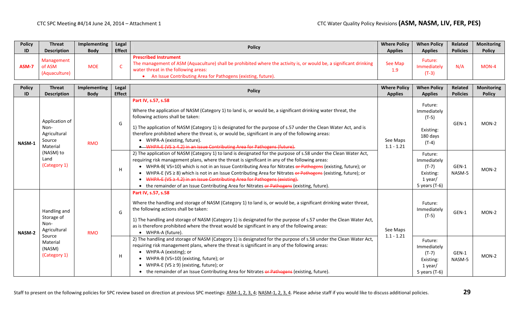| <b>Policy</b> | <b>Threat</b>                         | <b>Implementing</b> | Legal         | <b>Policy</b>                                                                                                                                                                                                                                              | <b>Where Policy</b>         | <b>When Policy</b>                | Related         | <b>Monitoring</b> |
|---------------|---------------------------------------|---------------------|---------------|------------------------------------------------------------------------------------------------------------------------------------------------------------------------------------------------------------------------------------------------------------|-----------------------------|-----------------------------------|-----------------|-------------------|
| ID            | <b>Description</b>                    | <b>Body</b>         | <b>Effect</b> |                                                                                                                                                                                                                                                            | <b>Applies</b>              | <b>Applies</b>                    | <b>Policies</b> | <b>Policy</b>     |
| ASM-7         | Management<br>of ASM<br>(Aquaculture) | <b>MOE</b>          |               | <b>Prescribed Instrument</b><br>The management of ASM (Aquaculture) shall be prohibited where the activity is, or would be, a significant drinking<br>water threat in the following areas:<br>An Issue Contributing Area for Pathogens (existing, future). | See Map<br>1.9 <sub>z</sub> | Future:<br>Immediately<br>$(T-3)$ | N/A             | MON-4             |

| <b>Policy</b> | <b>Threat</b>                                                | Implementing | Legal         | <b>Policy</b>                                                                                                                                                                                                                                                                                                                                                                                                                                                                                                                                                                                                                        | <b>Where Policy</b>      | <b>When Policy</b>                                                           | Related         | <b>Monitoring</b> |
|---------------|--------------------------------------------------------------|--------------|---------------|--------------------------------------------------------------------------------------------------------------------------------------------------------------------------------------------------------------------------------------------------------------------------------------------------------------------------------------------------------------------------------------------------------------------------------------------------------------------------------------------------------------------------------------------------------------------------------------------------------------------------------------|--------------------------|------------------------------------------------------------------------------|-----------------|-------------------|
| ID            | <b>Description</b>                                           | <b>Body</b>  | <b>Effect</b> |                                                                                                                                                                                                                                                                                                                                                                                                                                                                                                                                                                                                                                      | <b>Applies</b>           | <b>Applies</b>                                                               | <b>Policies</b> | <b>Policy</b>     |
| NASM-1        | Application of<br>Non-<br>Agricultural<br>Source<br>Material | <b>RMO</b>   | G             | Part IV, s.57, s.58<br>Where the application of NASM (Category 1) to land is, or would be, a significant drinking water threat, the<br>following actions shall be taken:<br>1) The application of NASM (Category 1) is designated for the purpose of s.57 under the Clean Water Act, and is<br>therefore prohibited where the threat is, or would be, significant in any of the following areas:<br>• WHPA-A (existing, future).<br>• WHPA-E (VS ≥ 4.2) in an Issue Contributing Area for Pathogens (future).                                                                                                                        | See Maps<br>$1.1 - 1.21$ | Future:<br>Immediately<br>$(T-5)$<br>Existing:<br>180 days<br>$(T-4)$        | GEN-1           | $MON-2$           |
|               | (NASM) to<br>Land<br>(Category 1)                            |              | H             | 2) The application of NASM (Category 1) to land is designated for the purpose of s.58 under the Clean Water Act,<br>requiring risk management plans, where the threat is significant in any of the following areas:<br>• WHPA-B(VS=10) which is not in an Issue Contributing Area for Nitrates or Pathogens (existing, future); or<br>• WHPA-E (VS $\geq$ 8) which is not in an Issue Contributing Area for Nitrates or Pathogens (existing, future); or<br>WHPA-E (VS ≥ 4.2) in an Issue Contributing Area for Pathogens (existing).<br>• the remainder of an Issue Contributing Area for Nitrates or Pathogens (existing, future). |                          | Future:<br>Immediately<br>$(T-7)$<br>Existing:<br>1 year/<br>5 years (T-6)   | GEN-1<br>NASM-5 | $MON-2$           |
| NASM-2        | Handling and<br>Storage of<br>Non-<br>Agricultural           | <b>RMO</b>   | G             | Part IV, s.57, s.58<br>Where the handling and storage of NASM (Category 1) to land is, or would be, a significant drinking water threat,<br>the following actions shall be taken:<br>1) The handling and storage of NASM (Category 1) is designated for the purpose of s.57 under the Clean Water Act,<br>as is therefore prohibited where the threat would be significant in any of the following areas:<br>• WHPA-A (future).                                                                                                                                                                                                      | See Maps                 | Future:<br>Immediately<br>$(T-5)$                                            | GEN-1           | MON-2             |
|               | Source<br>Material<br>(NASM)<br>(Category 1)                 |              | H             | 2) The handling and storage of NASM (Category 1) is designated for the purpose of s.58 under the Clean Water Act,<br>requiring risk management plans, where the threat is significant in any of the following areas:<br>• WHPA-A (existing); or<br>• WHPA-B (VS=10) (existing, future); or<br>• WHPA-E (VS $\geq$ 9) (existing, future); or<br>• the remainder of an Issue Contributing Area for Nitrates or Pathogens (existing, future).                                                                                                                                                                                           | $1.1 - 1.21$             | Future:<br>Immediately<br>$(T-7)$<br>Existing:<br>1 year/<br>5 years $(T-6)$ | GEN-1<br>NASM-5 | MON-2             |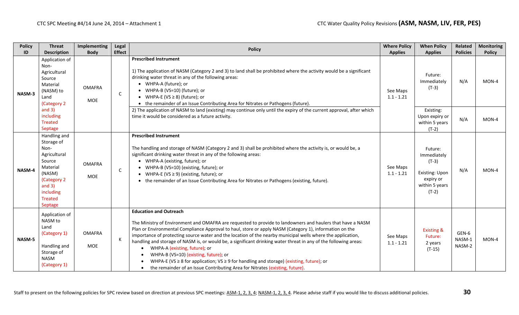| <b>Policy</b> | <b>Threat</b>                                                                                                                                                  | Implementing                | Legal         | <b>Policy</b>                                                                                                                                                                                                                                                                                                                                                                                                                                                                                                                                                                                                                                                                                                                                            | <b>Where Policy</b>      | <b>When Policy</b>                                                                                   | Related                   | <b>Monitoring</b> |
|---------------|----------------------------------------------------------------------------------------------------------------------------------------------------------------|-----------------------------|---------------|----------------------------------------------------------------------------------------------------------------------------------------------------------------------------------------------------------------------------------------------------------------------------------------------------------------------------------------------------------------------------------------------------------------------------------------------------------------------------------------------------------------------------------------------------------------------------------------------------------------------------------------------------------------------------------------------------------------------------------------------------------|--------------------------|------------------------------------------------------------------------------------------------------|---------------------------|-------------------|
| ID            | <b>Description</b>                                                                                                                                             | <b>Body</b>                 | <b>Effect</b> |                                                                                                                                                                                                                                                                                                                                                                                                                                                                                                                                                                                                                                                                                                                                                          | <b>Applies</b>           | <b>Applies</b>                                                                                       | <b>Policies</b>           | <b>Policy</b>     |
| NASM-3        | Application of<br>Non-<br>Agricultural<br>Source<br>Material<br>(NASM) to<br>Land<br>(Category 2                                                               | <b>OMAFRA</b><br>MOE        | $\mathsf C$   | <b>Prescribed Instrument</b><br>1) The application of NASM (Category 2 and 3) to land shall be prohibited where the activity would be a significant<br>drinking water threat in any of the following areas:<br>• WHPA-A (future); or<br>• WHPA-B (VS=10) (future); or<br>• WHPA-E (VS $\geq$ 8) (future); or<br>• the remainder of an Issue Contributing Area for Nitrates or Pathogens (future).                                                                                                                                                                                                                                                                                                                                                        | See Maps<br>$1.1 - 1.21$ | Future:<br>Immediately<br>$(T-3)$                                                                    | N/A                       | $MON-4$           |
|               | and $3)$<br>including<br><b>Treated</b><br>Septage                                                                                                             |                             |               | 2) The application of NASM to land (existing) may continue only until the expiry of the current approval, after which<br>time it would be considered as a future activity.                                                                                                                                                                                                                                                                                                                                                                                                                                                                                                                                                                               |                          | Existing:<br>Upon expiry or<br>within 5 years<br>$(T-2)$                                             | N/A                       | MON-4             |
| NASM-4        | Handling and<br>Storage of<br>Non-<br>Agricultural<br>Source<br>Material<br>(NASM)<br>(Category 2<br>and $3)$<br>including<br><b>Treated</b><br><b>Septage</b> | <b>OMAFRA</b><br><b>MOE</b> | $\mathsf{C}$  | <b>Prescribed Instrument</b><br>The handling and storage of NASM (Category 2 and 3) shall be prohibited where the activity is, or would be, a<br>significant drinking water threat in any of the following areas:<br>• WHPA-A (existing, future); or<br>• WHPA-B (VS=10) (existing, future); or<br>• WHPA-E (VS $\geq$ 9) (existing, future); or<br>• the remainder of an Issue Contributing Area for Nitrates or Pathogens (existing, future).                                                                                                                                                                                                                                                                                                          | See Maps<br>$1.1 - 1.21$ | Future:<br>Immediately<br>$(T-3)$<br><b>Existing: Upon</b><br>expiry or<br>within 5 years<br>$(T-2)$ | N/A                       | MON-4             |
| NASM-5        | Application of<br>NASM to<br>Land<br>(Category 1)<br>Handling and<br>Storage of<br><b>NASM</b><br>(Category 1)                                                 | <b>OMAFRA</b><br>MOE        | К             | <b>Education and Outreach</b><br>The Ministry of Environment and OMAFRA are requested to provide to landowners and haulers that have a NASM<br>Plan or Environmental Compliance Approval to haul, store or apply NASM (Category 1), information on the<br>importance of protecting source water and the location of the nearby municipal wells where the application,<br>handling and storage of NASM is, or would be, a significant drinking water threat in any of the following areas:<br>WHPA-A (existing, future); or<br>WHPA-B (VS=10) (existing, future); or<br>WHPA-E (VS $\geq$ 8 for application; VS $\geq$ 9 for handling and storage) (existing, future); or<br>the remainder of an Issue Contributing Area for Nitrates (existing, future). | See Maps<br>$1.1 - 1.21$ | <b>Existing &amp;</b><br>Future:<br>2 years<br>$(T-15)$                                              | GEN-6<br>NASM-1<br>NASM-2 | MON-4             |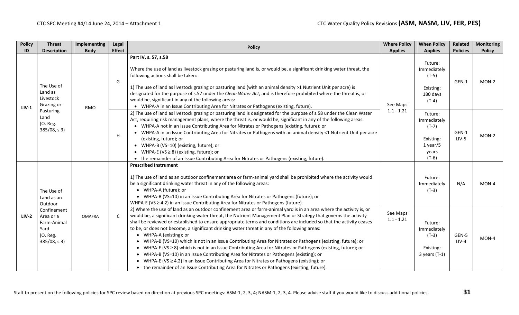| <b>Policy</b> | <b>Threat</b>                                                               | Implementing  | Legal         | <b>Policy</b>                                                                                                                                                                                                                                                                                                                                                                                                                                                                                                                                                                                                                                                                                                                                                                                                                                                                                                                                                                                                       | <b>Where Policy</b>                                                                                                                                                                                                                                                                                                                                                                                                                                                                                                                                                                                                                                                                  | <b>When Policy</b>                                                    | Related                                                                          | <b>Monitoring</b> |
|---------------|-----------------------------------------------------------------------------|---------------|---------------|---------------------------------------------------------------------------------------------------------------------------------------------------------------------------------------------------------------------------------------------------------------------------------------------------------------------------------------------------------------------------------------------------------------------------------------------------------------------------------------------------------------------------------------------------------------------------------------------------------------------------------------------------------------------------------------------------------------------------------------------------------------------------------------------------------------------------------------------------------------------------------------------------------------------------------------------------------------------------------------------------------------------|--------------------------------------------------------------------------------------------------------------------------------------------------------------------------------------------------------------------------------------------------------------------------------------------------------------------------------------------------------------------------------------------------------------------------------------------------------------------------------------------------------------------------------------------------------------------------------------------------------------------------------------------------------------------------------------|-----------------------------------------------------------------------|----------------------------------------------------------------------------------|-------------------|
| ID            | <b>Description</b>                                                          | <b>Body</b>   | <b>Effect</b> |                                                                                                                                                                                                                                                                                                                                                                                                                                                                                                                                                                                                                                                                                                                                                                                                                                                                                                                                                                                                                     | <b>Applies</b>                                                                                                                                                                                                                                                                                                                                                                                                                                                                                                                                                                                                                                                                       | <b>Applies</b>                                                        | <b>Policies</b>                                                                  | <b>Policy</b>     |
| $LIV-1$       | The Use of<br>Land as<br>Livestock<br>Grazing or                            | <b>RMO</b>    | G             | Part IV, s. 57, s.58<br>Where the use of land as livestock grazing or pasturing land is, or would be, a significant drinking water threat, the<br>following actions shall be taken:<br>1) The use of land as livestock grazing or pasturing land (with an animal density >1 Nutrient Unit per acre) is<br>designated for the purpose of s.57 under the Clean Water Act, and is therefore prohibited where the threat is, or<br>would be, significant in any of the following areas:<br>• WHPA-A in an Issue Contributing Area for Nitrates or Pathogens (existing, future).                                                                                                                                                                                                                                                                                                                                                                                                                                         | See Maps                                                                                                                                                                                                                                                                                                                                                                                                                                                                                                                                                                                                                                                                             | Future:<br>Immediately<br>$(T-5)$<br>Existing:<br>180 days<br>$(T-4)$ | GEN-1                                                                            | $MON-2$           |
|               | Pasturing<br>Land<br>(O. Reg.<br>$385/08$ , s.3)                            |               |               | H                                                                                                                                                                                                                                                                                                                                                                                                                                                                                                                                                                                                                                                                                                                                                                                                                                                                                                                                                                                                                   | 2) The use of land as livestock grazing or pasturing land is designated for the purpose of s.58 under the Clean Water<br>Act, requiring risk management plans, where the threat is, or would be, significant in any of the following areas:<br>• WHPA-A not in an Issue Contributing Area for Nitrates or Pathogens (existing, future); or<br>• WHPA-A in an Issue Contributing Area for Nitrates or Pathogens with an animal density <1 Nutrient Unit per acre<br>(existing, future); or<br>• WHPA-B (VS=10) (existing, future); or<br>• WHPA-E (VS $\geq$ 8) (existing, future); or<br>• the remainder of an Issue Contributing Area for Nitrates or Pathogens (existing, future). | $1.1 - 1.21$                                                          | Future:<br>Immediately<br>$(T-7)$<br>Existing:<br>$1$ year/5<br>years<br>$(T-6)$ | GEN-1<br>$LIV-5$  |
|               | The Use of<br>Land as an<br>Outdoor                                         |               |               | <b>Prescribed Instrument</b><br>1) The use of land as an outdoor confinement area or farm-animal yard shall be prohibited where the activity would<br>be a significant drinking water threat in any of the following areas:<br>• WHPA-A (future); or<br>• WHPA-B (VS=10) in an Issue Contributing Area for Nitrates or Pathogens (future); or<br>WHPA-E (VS $\geq$ 4.2) in an Issue Contributing Area for Nitrates or Pathogens (future).                                                                                                                                                                                                                                                                                                                                                                                                                                                                                                                                                                           |                                                                                                                                                                                                                                                                                                                                                                                                                                                                                                                                                                                                                                                                                      | Future:<br>Immediately<br>$(T-3)$                                     | N/A                                                                              | MON-4             |
| <b>LIV-2</b>  | Confinement<br>Area or a<br>Farm-Animal<br>Yard<br>(O. Reg.<br>385/08, s.3) | <b>OMAFRA</b> | <sub>c</sub>  | 2) Where the use of land as an outdoor confinement area or farm-animal yard is in an area where the activity is, or<br>would be, a significant drinking water threat, the Nutrient Management Plan or Strategy that governs the activity<br>shall be reviewed or established to ensure appropriate terms and conditions are included so that the activity ceases<br>to be, or does not become, a significant drinking water threat in any of the following areas:<br>• WHPA-A (existing); or<br>• WHPA-B (VS=10) which is not in an Issue Contributing Area for Nitrates or Pathogens (existing, future); or<br>• WHPA-E (VS ≥ 8) which is not in an Issue Contributing Area for Nitrates or Pathogens (existing, future); or<br>• WHPA-B (VS=10) in an Issue Contributing Area for Nitrates or Pathogens (existing); or<br>WHPA-E (VS ≥ 4.2) in an Issue Contributing Area for Nitrates or Pathogens (existing); or<br>• the remainder of an Issue Contributing Area for Nitrates or Pathogens (existing, future). | See Maps<br>$1.1 - 1.21$                                                                                                                                                                                                                                                                                                                                                                                                                                                                                                                                                                                                                                                             | Future:<br>Immediately<br>$(T-3)$<br>Existing:<br>$3$ years $(T-1)$   | GEN-5<br>$LIV-4$                                                                 | MON-4             |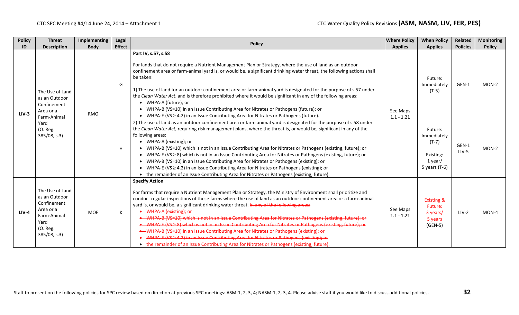| <b>Policy</b> | <b>Threat</b>                                                                                                   | Implementing | Legal              | <b>Policy</b>                                                                                                                                                                                                                                                                                                                                                                                                                                                                                                                                                                                                                                                                                                                                                                                                                                                                                                                                                                                                                   | <b>Where Policy</b>      | <b>When Policy</b>                                                           | Related                     | <b>Monitoring</b>      |
|---------------|-----------------------------------------------------------------------------------------------------------------|--------------|--------------------|---------------------------------------------------------------------------------------------------------------------------------------------------------------------------------------------------------------------------------------------------------------------------------------------------------------------------------------------------------------------------------------------------------------------------------------------------------------------------------------------------------------------------------------------------------------------------------------------------------------------------------------------------------------------------------------------------------------------------------------------------------------------------------------------------------------------------------------------------------------------------------------------------------------------------------------------------------------------------------------------------------------------------------|--------------------------|------------------------------------------------------------------------------|-----------------------------|------------------------|
| ID            | <b>Description</b><br>The Use of Land<br>as an Outdoor<br>Confinement                                           | <b>Body</b>  | <b>Effect</b><br>G | Part IV, s.57, s.58<br>For lands that do not require a Nutrient Management Plan or Strategy, where the use of land as an outdoor<br>confinement area or farm-animal yard is, or would be, a significant drinking water threat, the following actions shall<br>be taken:<br>1) The use of land for an outdoor confinement area or farm-animal yard is designated for the purpose of s.57 under<br>the Clean Water Act, and is therefore prohibited where it would be significant in any of the following areas:<br>• WHPA-A (future); or                                                                                                                                                                                                                                                                                                                                                                                                                                                                                         | <b>Applies</b>           | <b>Applies</b><br>Future:<br>Immediately<br>$(T-5)$                          | <b>Policies</b><br>GEN-1    | <b>Policy</b><br>MON-2 |
| $LIV-3$       | Area or a<br>Farm-Animal<br>Yard<br>(O. Reg.<br>385/08, s.3)                                                    | <b>RMO</b>   | H                  | WHPA-B (VS=10) in an Issue Contributing Area for Nitrates or Pathogens (future); or<br>• WHPA-E (VS $\geq$ 4.2) in an Issue Contributing Area for Nitrates or Pathogens (future).<br>2) The use of land as an outdoor confinement area or farm animal yard is designated for the purpose of s.58 under<br>the Clean Water Act, requiring risk management plans, where the threat is, or would be, significant in any of the<br>following areas:<br>• WHPA-A (existing); or<br>WHPA-B (VS=10) which is not in an Issue Contributing Area for Nitrates or Pathogens (existing, future); or<br>$\bullet$<br>WHPA-E (VS $\geq$ 8) which is not in an Issue Contributing Area for Nitrates or Pathogens (existing, future); or<br>WHPA-B (VS=10) in an Issue Contributing Area for Nitrates or Pathogens (existing); or<br>WHPA-E (VS $\geq$ 4.2) in an Issue Contributing Area for Nitrates or Pathogens (existing); or<br>$\bullet$<br>• the remainder of an Issue Contributing Area for Nitrates or Pathogens (existing, future). | See Maps<br>$1.1 - 1.21$ | Future:<br>Immediately<br>$(T-7)$<br>Existing:<br>1 year/<br>5 years $(T-6)$ | GEN-1<br>$LIV-5$<br>$LIV-2$ | MON-2                  |
| $LIV-4$       | The Use of Land<br>as an Outdoor<br>Confinement<br>Area or a<br>Farm-Animal<br>Yard<br>(O. Reg.<br>385/08, s.3) | <b>MOE</b>   | К                  | <b>Specify Action</b><br>For farms that require a Nutrient Management Plan or Strategy, the Ministry of Environment shall prioritize and<br>conduct regular inspections of these farms where the use of land as an outdoor confinement area or a farm-animal<br>yard is, or would be, a significant drinking water threat. in any of the following areas:<br>• WHPA-A (existing); or<br>• WHPA-B (VS=10) which is not in an Issue Contributing Area for Nitrates or Pathogens (existing, future); or<br>• WHPA-E (VS ≥ 8) which is not in an Issue Contributing Area for Nitrates or Pathogens (existing, future); or<br>• WHPA-B (VS=10) in an Issue Contributing Area for Nitrates or Pathogens (existing); or<br>• WHPA E (VS ≥ 4.2) in an Issue Contributing Area for Nitrates or Pathogens (existing): or<br>• the remainder of an Issue Contributing Area for Nitrates or Pathogens (existing, future).                                                                                                                   | See Maps<br>$1.1 - 1.21$ | <b>Existing &amp;</b><br>Future:<br>3 years/<br>5 years<br>$(GEN-5)$         |                             | MON-4                  |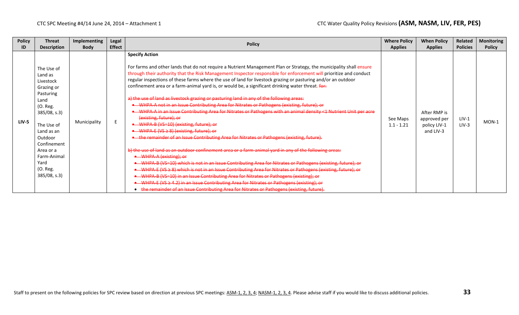| <b>Policy</b> | <b>Threat</b>                                                                                                                                                                                                                 | <b>Implementing</b> | Legal         |                                                                                                                                                                                                                                                                                                                                                                                                                                                                                                                                                                                                                                                                                                                                                                                                                                                                                                                                                                                                                                                                                                                                                                                                                                                                                                                                                                                                                                                                                                                                                                                                                                                                                        | <b>Where Policy</b>      | <b>When Policy</b>                                        | Related            | <b>Monitoring</b> |
|---------------|-------------------------------------------------------------------------------------------------------------------------------------------------------------------------------------------------------------------------------|---------------------|---------------|----------------------------------------------------------------------------------------------------------------------------------------------------------------------------------------------------------------------------------------------------------------------------------------------------------------------------------------------------------------------------------------------------------------------------------------------------------------------------------------------------------------------------------------------------------------------------------------------------------------------------------------------------------------------------------------------------------------------------------------------------------------------------------------------------------------------------------------------------------------------------------------------------------------------------------------------------------------------------------------------------------------------------------------------------------------------------------------------------------------------------------------------------------------------------------------------------------------------------------------------------------------------------------------------------------------------------------------------------------------------------------------------------------------------------------------------------------------------------------------------------------------------------------------------------------------------------------------------------------------------------------------------------------------------------------------|--------------------------|-----------------------------------------------------------|--------------------|-------------------|
| ID            | <b>Description</b>                                                                                                                                                                                                            | <b>Body</b>         | <b>Effect</b> | <b>Policy</b>                                                                                                                                                                                                                                                                                                                                                                                                                                                                                                                                                                                                                                                                                                                                                                                                                                                                                                                                                                                                                                                                                                                                                                                                                                                                                                                                                                                                                                                                                                                                                                                                                                                                          | <b>Applies</b>           | <b>Applies</b>                                            | <b>Policies</b>    | <b>Policy</b>     |
| $LIV-5$       | The Use of<br>Land as<br>Livestock<br>Grazing or<br>Pasturing<br>Land<br>(O. Reg.<br>$385/08$ , s.3)<br>The Use of<br>Land as an<br>Outdoor<br>Confinement<br>Area or a<br>Farm-Animal<br>Yard<br>(O. Reg.<br>$385/08$ , s.3) | Municipality        |               | <b>Specify Action</b><br>For farms and other lands that do not require a Nutrient Management Plan or Strategy, the municipality shall ensure<br>through their authority that the Risk Management Inspector responsible for enforcement will prioritize and conduct<br>regular inspections of these farms where the use of land for livestock grazing or pasturing and/or an outdoor<br>confinement area or a farm-animal yard is, or would be, a significant drinking water threat. for:<br>a) the use of land as livestock grazing or pasturing land in any of the following areas:<br>• WHPA A not in an Issue Contributing Area for Nitrates or Pathogens (existing, future); or<br>• WHPA A in an Issue Contributing Area for Nitrates or Pathogens with an animal density <1 Nutrient Unit per acre<br>(existing, future); or<br>• WHPA-B (VS=10) (existing, future); or<br>-WHPA-E (VS ≥ 8) (existing, future); or<br>the remainder of an Issue Contributing Area for Nitrates or Pathogens (existing, future).<br>b) the use of land as an outdoor confinement area or a farm-animal yard in any of the following areas:<br>• WHPA-A (existing); or<br>• WHPA B (VS=10) which is not in an Issue Contributing Area for Nitrates or Pathogens (existing, future); or<br>• WHPA-E (VS $\geq$ 8) which is not in an Issue Contributing Area for Nitrates or Pathogens (existing, future); or<br>• WHPA B (VS=10) in an Issue Contributing Area for Nitrates or Pathogens (existing); or<br>• WHPA-E (VS ≥ 4.2) in an Issue Contributing Area for Nitrates or Pathogens (existing); or<br>the remainder of an Issue Contributing Area for Nitrates or Pathogens (existing, future). | See Maps<br>$1.1 - 1.21$ | After RMP is<br>approved per<br>policy LIV-1<br>and LIV-3 | $LIV-1$<br>$LIV-3$ | $MON-1$           |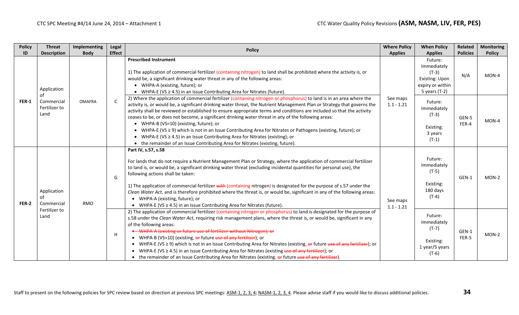| <b>Policy</b> | <b>Threat</b>                             | Implementing  | Legal         | <b>Policy</b>                                                                                                                                                                                                                                                                                                                                                                                                                                                                                                                                                                                                                                                                                                                                                                                                                | <b>Where Policy</b>      | <b>When Policy</b>                                                                       | Related         | <b>Monitoring</b> |
|---------------|-------------------------------------------|---------------|---------------|------------------------------------------------------------------------------------------------------------------------------------------------------------------------------------------------------------------------------------------------------------------------------------------------------------------------------------------------------------------------------------------------------------------------------------------------------------------------------------------------------------------------------------------------------------------------------------------------------------------------------------------------------------------------------------------------------------------------------------------------------------------------------------------------------------------------------|--------------------------|------------------------------------------------------------------------------------------|-----------------|-------------------|
| ID            | <b>Description</b>                        | <b>Body</b>   | <b>Effect</b> |                                                                                                                                                                                                                                                                                                                                                                                                                                                                                                                                                                                                                                                                                                                                                                                                                              | <b>Applies</b>           | <b>Applies</b>                                                                           | <b>Policies</b> | <b>Policy</b>     |
| <b>FER-1</b>  | Application                               |               |               | <b>Prescribed Instrument</b><br>1) The application of commercial fertilizer (containing nitrogen) to land shall be prohibited where the activity is, or<br>would be, a significant drinking water threat in any of the following areas:<br>• WHPA-A (existing, future); or<br>WHPA-E (VS $\geq$ 4.5) in an Issue Contributing Area for Nitrates (future).<br>$\bullet$                                                                                                                                                                                                                                                                                                                                                                                                                                                       |                          | Future:<br>Immediately<br>$(T-3)$<br>Existing: Upon<br>expiry or within<br>5 years (T-2) | N/A             | MON-4             |
|               | οf<br>Commercial<br>Fertilizer to<br>Land | <b>OMAFRA</b> | C             | 2) Where the application of commercial fertilizer (containing nitrogen or phosphorus) to land is in an area where the<br>activity is, or would be, a significant drinking water threat, the Nutrient Management Plan or Strategy that governs the<br>activity shall be reviewed or established to ensure appropriate terms and conditions are included so that the activity<br>ceases to be, or does not become, a significant drinking water threat in any of the following areas:<br>• WHPA-B (VS=10) (existing, future); or<br>• WHPA-E (VS $\geq$ 9) which is not in an Issue Contributing Area for Nitrates or Pathogens (existing, future); or<br>• WHPA-E (VS $\geq$ 4.5) in an Issue Contributing Area for Nitrates (existing); or<br>• the remainder of an Issue Contributing Area for Nitrates (existing, future). | See maps<br>$1.1 - 1.21$ | Future:<br>Immediately<br>$(T-3)$<br>Existing:<br>3 years<br>$(T-1)$                     | GEN-5<br>FER-4  | MON-4             |
| <b>FER-2</b>  | Application<br>Ωf<br>Commercial           | <b>RMO</b>    | G             | Part IV, s.57, s.58<br>For lands that do not require a Nutrient Management Plan or Strategy, where the application of commercial fertilizer<br>to land is, or would be, a significant drinking water threat (excluding incidental quantities for personal use), the<br>following actions shall be taken:<br>1) The application of commercial fertilizer with (containing nitrogen) is designated for the purpose of s.57 under the<br>Clean Water Act, and is therefore prohibited where the threat is, or would be, significant in any of the following areas:<br>• WHPA-A (existing, future); or<br>• WHPA-E (VS $\geq$ 4.5) in an Issue Contributing Area for Nitrates (future).                                                                                                                                          | See maps<br>$1.1 - 1.21$ | Future:<br>Immediately<br>$(T-5)$<br>Existing:<br>180 days<br>$(T-4)$                    | GEN-1           | $MON-2$           |
|               | Fertilizer to<br>Land                     |               | н             | 2) The application of commercial fertilizer (containing nitrogen or phosphorus) to land is designated for the purpose of<br>s.58 under the Clean Water Act, requiring risk management plans, where the threat is, or would be, significant in any<br>of the following areas:<br>• WHPA-A (existing or future use of fertilizer without Nitrogen); or<br>• WHPA-B (VS=10) (existing, or future use of any fertilizer); or<br>• WHPA-E (VS $\geq$ 9) which is not in an Issue Contributing Area for Nitrates (existing, $\Theta$ future use of any fertilizer); or<br>• WHPA-E (VS $\geq$ 4.5) in an Issue Contributing Area for Nitrates (existing use of any fertilizer); or<br>• the remainder of an Issue Contributing Area for Nitrates (existing, or future use of any fertilizer).                                      |                          | Future:<br>Immediately<br>$(T-7)$<br>Existing:<br>1 year/5 years<br>$(T-6)$              | GEN-1<br>FER-5  | $MON-2$           |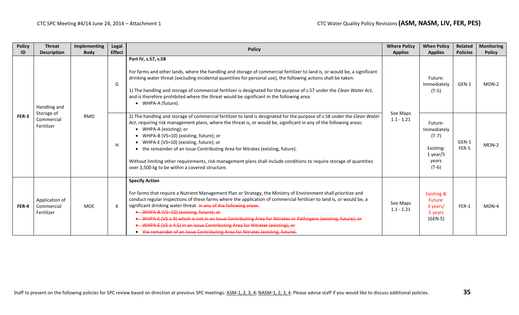| <b>Policy</b> | <b>Threat</b>                                          | Implementing | Legal         | <b>Policy</b>                                                                                                                                                                                                                                                                                                                                                                                                                                                                                                                                                                                                                                                      | <b>Where Policy</b>                                                                                                                                                                                                                                                                                                                                                                                                                                                                                            | <b>When Policy</b>                                                               | Related                           | <b>Monitoring</b> |         |
|---------------|--------------------------------------------------------|--------------|---------------|--------------------------------------------------------------------------------------------------------------------------------------------------------------------------------------------------------------------------------------------------------------------------------------------------------------------------------------------------------------------------------------------------------------------------------------------------------------------------------------------------------------------------------------------------------------------------------------------------------------------------------------------------------------------|----------------------------------------------------------------------------------------------------------------------------------------------------------------------------------------------------------------------------------------------------------------------------------------------------------------------------------------------------------------------------------------------------------------------------------------------------------------------------------------------------------------|----------------------------------------------------------------------------------|-----------------------------------|-------------------|---------|
| ID            | <b>Description</b>                                     | <b>Body</b>  | <b>Effect</b> |                                                                                                                                                                                                                                                                                                                                                                                                                                                                                                                                                                                                                                                                    | <b>Applies</b>                                                                                                                                                                                                                                                                                                                                                                                                                                                                                                 | <b>Applies</b>                                                                   | <b>Policies</b>                   | <b>Policy</b>     |         |
| FER-3         | Handling and<br>Storage of<br>Commercial<br>Fertilizer | <b>RMO</b>   | G             |                                                                                                                                                                                                                                                                                                                                                                                                                                                                                                                                                                                                                                                                    | Part IV, s.57, s.58<br>For farms and other lands, where the handling and storage of commercial fertilizer to land is, or would be, a significant<br>drinking water threat (excluding incidental quantities for personal use), the following actions shall be taken:<br>1) The handling and storage of commercial fertilizer is designated for the purpose of s.57 under the Clean Water Act,<br>and is therefore prohibited where the threat would be significant in the following area:<br>• WHPA-A (future). |                                                                                  | Future:<br>Immediately<br>$(T-5)$ | GEN-1             | $MON-2$ |
|               |                                                        |              | H             | 2) The handling and storage of commercial fertilizer to land is designated for the purpose of s.58 under the Clean Water<br>Act, requiring risk management plans, where the threat is, or would be, significant in any of the following areas:<br>• WHPA-A (existing); or<br>• WHPA-B (VS=10) (existing, future); or<br>• WHPA-E (VS=10) (existing, future); or<br>• the remainder of an Issue Contributing Area for Nitrates (existing, future).<br>Without limiting other requirements, risk management plans shall include conditions to require storage of quantities<br>over 2,500 kg to be within a covered structure.                                       | See Maps<br>$1.1 - 1.21$                                                                                                                                                                                                                                                                                                                                                                                                                                                                                       | Future:<br>Immediately<br>$(T-7)$<br>Existing:<br>$1$ year/5<br>years<br>$(T-6)$ | GEN-1<br>FER-5                    | $MON-2$           |         |
| FER-4         | Application of<br>Commercial<br>Fertilizer             | <b>MOE</b>   |               | <b>Specify Action</b><br>For farms that require a Nutrient Management Plan or Strategy, the Ministry of Environment shall prioritize and<br>conduct regular inspections of these farms where the application of commercial fertilizer to land is, or would be, a<br>significant drinking water threat. in any of the following areas:<br>• WHPA-B (VS=10) (existing, future); or<br>WHPA E (VS ≥ 9) which is not in an Issue Contributing Area for Nitrates or Pathogens (existing, future); or<br>• WHPA-E (VS ≥ 4.5) in an Issue Contributing Area for Nitrates (existing); or<br>• the remainder of an Issue Contributing Area for Nitrates (existing, future). | See Maps<br>$1.1 - 1.21$                                                                                                                                                                                                                                                                                                                                                                                                                                                                                       | <b>Existing &amp;</b><br>Future:<br>3 years/<br>5 years<br>$(GEN-5)$             | FER-1                             | $MON-4$           |         |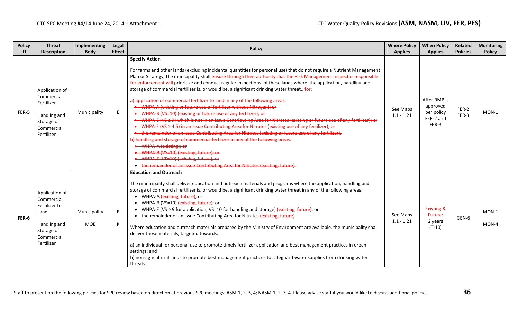| <b>Policy</b><br>ID | <b>Threat</b><br><b>Description</b>                                                                             | Implementing<br><b>Body</b> | Legal<br><b>Effect</b> | <b>Policy</b>                                                                                                                                                                                                                                                                                                                                                                                                                                                                                                                                                                                                                                                                                                                                                                                                                                                                                                                                                                                                                                                                                                                                                                                                                                                                                                                                                   | <b>Where Policy</b><br><b>Applies</b> | <b>When Policy</b><br><b>Applies</b>                         | Related<br><b>Policies</b> | <b>Monitoring</b><br><b>Policy</b> |
|---------------------|-----------------------------------------------------------------------------------------------------------------|-----------------------------|------------------------|-----------------------------------------------------------------------------------------------------------------------------------------------------------------------------------------------------------------------------------------------------------------------------------------------------------------------------------------------------------------------------------------------------------------------------------------------------------------------------------------------------------------------------------------------------------------------------------------------------------------------------------------------------------------------------------------------------------------------------------------------------------------------------------------------------------------------------------------------------------------------------------------------------------------------------------------------------------------------------------------------------------------------------------------------------------------------------------------------------------------------------------------------------------------------------------------------------------------------------------------------------------------------------------------------------------------------------------------------------------------|---------------------------------------|--------------------------------------------------------------|----------------------------|------------------------------------|
| FER-5               | Application of<br>Commercial<br>Fertilizer<br>Handling and<br>Storage of<br>Commercial<br>Fertilizer            | Municipality                | E.                     | <b>Specify Action</b><br>For farms and other lands (excluding incidental quantities for personal use) that do not require a Nutrient Management<br>Plan or Strategy, the municipality shall ensure through their authority that the Risk Management Inspector responsible<br>for enforcement will prioritize and conduct regular inspections of these lands where the application, handling and<br>storage of commercial fertilizer is, or would be, a significant drinking water threat., for:<br>a) application of commercial fertilizer to land in any of the following areas:<br>• WHPA-A (existing or future use of fertilizer without Nitrogen); or<br>• WHPA-B (VS=10) (existing or future use of any fertilizer); or<br>• WHPA-E (VS ≥ 9) which is not in an Issue Contributing Area for Nitrates (existing or future use of any fertilizer); or<br>• WHPA E (VS ≥ 4.5) in an Issue Contributing Area for Nitrates (existing use of any fertilizer); or<br>• the remainder of an Issue Contributing Area for Nitrates (existing or future use of any fertilizer).<br>b) handling and storage of commercial fertilizer in any of the following areas:<br>• WHPA-A (existing); or<br>• WHPA-B (VS-10) (existing, future); or<br>• WHPA-E (VS=10) (existing, future); or<br>• the remainder of an Issue Contributing Area for Nitrates (existing, future). | See Maps<br>$1.1 - 1.21$              | After RMP is<br>approved<br>per policy<br>FER-2 and<br>FER-3 | FER-2<br>FER-3             | MON-1                              |
| FER-6               | Application of<br>Commercial<br>Fertilizer to<br>Land<br>Handling and<br>Storage of<br>Commercial<br>Fertilizer | Municipality<br><b>MOE</b>  | E<br>К                 | <b>Education and Outreach</b><br>The municipality shall deliver education and outreach materials and programs where the application, handling and<br>storage of commercial fertilizer is, or would be, a significant drinking water threat in any of the following areas:<br>• WHPA-A (existing, future); or<br>• WHPA-B (VS=10) (existing, future); or<br>• WHPA-E (VS $\geq$ 9 for application; VS=10 for handling and storage) (existing, future); or<br>• the remainder of an Issue Contributing Area for Nitrates (existing, future).<br>Where education and outreach materials prepared by the Ministry of Environment are available, the municipality shall<br>deliver those materials, targeted towards:<br>a) an individual for personal use to promote timely fertilizer application and best management practices in urban<br>settings; and<br>b) non-agricultural lands to promote best management practices to safeguard water supplies from drinking water<br>threats.                                                                                                                                                                                                                                                                                                                                                                            | See Maps<br>$1.1 - 1.21$              | <b>Existing &amp;</b><br>Future:<br>2 years<br>$(T-10)$      | GEN-6                      | $MON-1$<br>MON-4                   |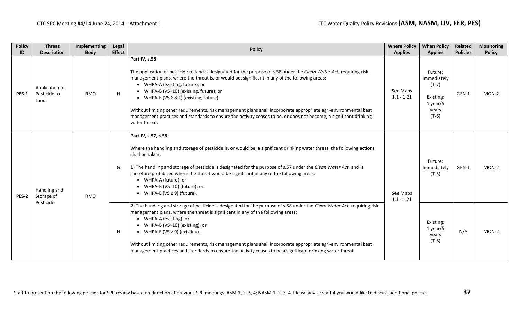| <b>Policy</b><br>ID | <b>Threat</b><br><b>Description</b>     | Implementing<br><b>Body</b> | Legal<br><b>Effect</b> | <b>Policy</b>                                                                                                                                                                                                                                                                                                                                                                                                                                                                                                                                                                                                                    | <b>Where Policy</b><br><b>Applies</b> | <b>When Policy</b><br><b>Applies</b>                                             | Related<br><b>Policies</b> | <b>Monitoring</b><br><b>Policy</b> |
|---------------------|-----------------------------------------|-----------------------------|------------------------|----------------------------------------------------------------------------------------------------------------------------------------------------------------------------------------------------------------------------------------------------------------------------------------------------------------------------------------------------------------------------------------------------------------------------------------------------------------------------------------------------------------------------------------------------------------------------------------------------------------------------------|---------------------------------------|----------------------------------------------------------------------------------|----------------------------|------------------------------------|
| <b>PES-1</b>        | Application of<br>Pesticide to<br>Land  | <b>RMO</b>                  | H.                     | Part IV, s.58<br>The application of pesticide to land is designated for the purpose of s.58 under the Clean Water Act, requiring risk<br>management plans, where the threat is, or would be, significant in any of the following areas:<br>• WHPA-A (existing, future); or<br>• WHPA-B (VS=10) (existing, future); or<br>• WHPA-E (VS $\geq$ 8.1) (existing, future).<br>Without limiting other requirements, risk management plans shall incorporate appropriate agri-environmental best<br>management practices and standards to ensure the activity ceases to be, or does not become, a significant drinking<br>water threat. | See Maps<br>$1.1 - 1.21$              | Future:<br>Immediately<br>$(T-7)$<br>Existing:<br>$1$ year/5<br>years<br>$(T-6)$ | GEN-1                      | MON-2                              |
| <b>PES-2</b>        | Handling and<br>Storage of<br>Pesticide | <b>RMO</b>                  | G                      | Part IV, s.57, s.58<br>Where the handling and storage of pesticide is, or would be, a significant drinking water threat, the following actions<br>shall be taken:<br>1) The handling and storage of pesticide is designated for the purpose of s.57 under the Clean Water Act, and is<br>therefore prohibited where the threat would be significant in any of the following areas:<br>• WHPA-A (future); or<br>• WHPA-B (VS=10) (future); or<br>• WHPA-E (VS $\geq$ 9) (future).                                                                                                                                                 | See Maps<br>$1.1 - 1.21$              | Future:<br>Immediately<br>$(T-5)$                                                | GEN-1                      | $MON-2$                            |
|                     |                                         |                             | H                      | 2) The handling and storage of pesticide is designated for the purpose of s.58 under the Clean Water Act, requiring risk<br>management plans, where the threat is significant in any of the following areas:<br>• WHPA-A (existing); or<br>• WHPA-B (VS=10) (existing); or<br>• WHPA-E (VS $\geq$ 9) (existing).<br>Without limiting other requirements, risk management plans shall incorporate appropriate agri-environmental best<br>management practices and standards to ensure the activity ceases to be a significant drinking water threat.                                                                              |                                       | Existing:<br>$1$ year/5<br>years<br>$(T-6)$                                      | N/A                        | $MON-2$                            |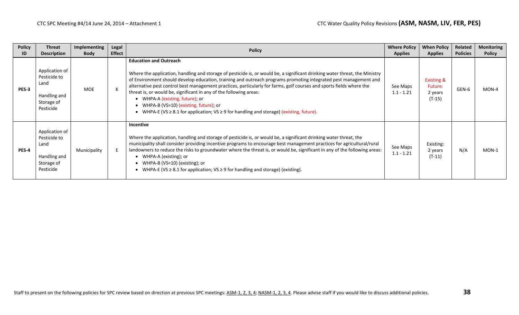| <b>Policy</b><br>ID | <b>Threat</b><br><b>Description</b>                                               | <b>Implementing</b><br><b>Body</b> | Legal<br><b>Effect</b> | <b>Policy</b>                                                                                                                                                                                                                                                                                                                                                                                                                                                                                                                                                                                                                                                      | <b>Where Policy</b><br><b>Applies</b> | <b>When Policy</b><br><b>Applies</b>                    | Related<br><b>Policies</b> | <b>Monitoring</b><br><b>Policy</b> |
|---------------------|-----------------------------------------------------------------------------------|------------------------------------|------------------------|--------------------------------------------------------------------------------------------------------------------------------------------------------------------------------------------------------------------------------------------------------------------------------------------------------------------------------------------------------------------------------------------------------------------------------------------------------------------------------------------------------------------------------------------------------------------------------------------------------------------------------------------------------------------|---------------------------------------|---------------------------------------------------------|----------------------------|------------------------------------|
| PES-3               | Application of<br>Pesticide to<br>Land<br>Handling and<br>Storage of<br>Pesticide | <b>MOE</b>                         |                        | <b>Education and Outreach</b><br>Where the application, handling and storage of pesticide is, or would be, a significant drinking water threat, the Ministry<br>of Environment should develop education, training and outreach programs promoting integrated pest management and<br>alternative pest control best management practices, particularly for farms, golf courses and sports fields where the<br>threat is, or would be, significant in any of the following areas:<br>• WHPA-A (existing, future); or<br>• WHPA-B (VS=10) (existing, future); or<br>• WHPA-E (VS $\geq$ 8.1 for application; VS $\geq$ 9 for handling and storage) (existing, future). | See Maps<br>$1.1 - 1.21$              | <b>Existing &amp;</b><br>Future:<br>2 years<br>$(T-15)$ | GEN-6                      | MON-4                              |
| <b>PES-4</b>        | Application of<br>Pesticide to<br>Land<br>Handling and<br>Storage of<br>Pesticide | Municipality                       |                        | <b>Incentive</b><br>Where the application, handling and storage of pesticide is, or would be, a significant drinking water threat, the<br>municipality shall consider providing incentive programs to encourage best management practices for agricultural/rural<br>landowners to reduce the risks to groundwater where the threat is, or would be, significant in any of the following areas:<br>• WHPA-A (existing); or<br>• WHPA-B (VS=10) (existing); or<br>• WHPA-E (VS $\geq$ 8.1 for application; VS $\geq$ 9 for handling and storage) (existing).                                                                                                         | See Maps<br>$1.1 - 1.21$              | Existing:<br>2 years<br>$(T-11)$                        | N/A                        | $MON-1$                            |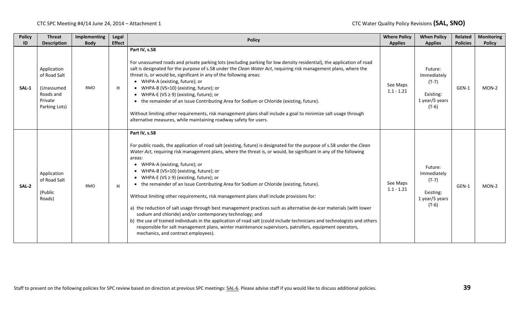| <b>Policy</b><br>ID | <b>Threat</b><br><b>Description</b>                                                | <b>Implementing</b><br><b>Body</b> | <b>Legal</b><br><b>Effect</b> | <b>Policy</b>                                                                                                                                                                                                                                                                                                                                                                                                                                                                                                                                                                                                                                                                                                                                                                                                                                                                                                                                                                                                                                                   | <b>Where Policy</b><br><b>Applies</b> | <b>When Policy</b><br><b>Applies</b>                                        | Related<br><b>Policies</b> | <b>Monitoring</b><br><b>Policy</b> |
|---------------------|------------------------------------------------------------------------------------|------------------------------------|-------------------------------|-----------------------------------------------------------------------------------------------------------------------------------------------------------------------------------------------------------------------------------------------------------------------------------------------------------------------------------------------------------------------------------------------------------------------------------------------------------------------------------------------------------------------------------------------------------------------------------------------------------------------------------------------------------------------------------------------------------------------------------------------------------------------------------------------------------------------------------------------------------------------------------------------------------------------------------------------------------------------------------------------------------------------------------------------------------------|---------------------------------------|-----------------------------------------------------------------------------|----------------------------|------------------------------------|
| SAL-1               | Application<br>of Road Salt<br>(Unassumed<br>Roads and<br>Private<br>Parking Lots) | <b>RMO</b>                         | H                             | Part IV, s.58<br>For unassumed roads and private parking lots (excluding parking for low density residential), the application of road<br>salt is designated for the purpose of s.58 under the Clean Water Act, requiring risk management plans, where the<br>threat is, or would be, significant in any of the following areas:<br>• WHPA-A (existing, future); or<br>• WHPA-B (VS=10) (existing, future); or<br>• WHPA-E (VS $\geq$ 9) (existing, future); or<br>• the remainder of an Issue Contributing Area for Sodium or Chloride (existing, future).<br>Without limiting other requirements, risk management plans shall include a goal to minimize salt usage through<br>alternative measures, while maintaining roadway safety for users.                                                                                                                                                                                                                                                                                                              | See Maps<br>$1.1 - 1.21$              | Future:<br>Immediately<br>$(T-7)$<br>Existing:<br>1 year/5 years<br>$(T-6)$ | GEN-1                      | MON-2                              |
| SAL-2               | Application<br>of Road Salt<br>(Public<br>Roads)                                   | <b>RMO</b>                         | H                             | Part IV, s.58<br>For public roads, the application of road salt (existing, future) is designated for the purpose of s.58 under the Clean<br>Water Act, requiring risk management plans, where the threat is, or would, be significant in any of the following<br>areas:<br>• WHPA-A (existing, future); or<br>• WHPA-B (VS=10) (existing, future); or<br>• WHPA-E (VS $\geq$ 9) (existing, future); or<br>• the remainder of an Issue Contributing Area for Sodium or Chloride (existing, future).<br>Without limiting other requirements, risk management plans shall include provisions for:<br>a) the reduction of salt usage through best management practices such as alternative de-icer materials (with lower<br>sodium and chloride) and/or contemporary technology; and<br>b) the use of trained individuals in the application of road salt (could include technicians and technologists and others<br>responsible for salt management plans, winter maintenance supervisors, patrollers, equipment operators,<br>mechanics, and contract employees). | See Maps<br>$1.1 - 1.21$              | Future:<br>Immediately<br>$(T-7)$<br>Existing:<br>1 year/5 years<br>$(T-6)$ | GEN-1                      | MON-2                              |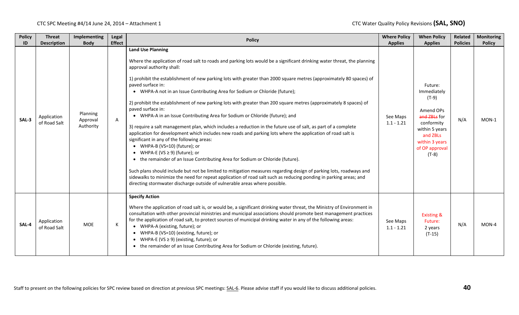| <b>Policy</b><br>ID | <b>Threat</b><br><b>Description</b> | <b>Implementing</b><br><b>Body</b> | Legal<br><b>Effect</b> | <b>Policy</b>                                                                                                                                                                                                                                                                                                                                                                                                                                                                                                                                                                                                                                                                                                                                                                                                                                                                                                                                                                                                                                                                                                                                                                                                                                                                                                                                                                                        | <b>Where Policy</b><br><b>Applies</b> | <b>When Policy</b><br><b>Applies</b>                                                                                                                      | Related<br><b>Policies</b> | <b>Monitoring</b><br><b>Policy</b> |
|---------------------|-------------------------------------|------------------------------------|------------------------|------------------------------------------------------------------------------------------------------------------------------------------------------------------------------------------------------------------------------------------------------------------------------------------------------------------------------------------------------------------------------------------------------------------------------------------------------------------------------------------------------------------------------------------------------------------------------------------------------------------------------------------------------------------------------------------------------------------------------------------------------------------------------------------------------------------------------------------------------------------------------------------------------------------------------------------------------------------------------------------------------------------------------------------------------------------------------------------------------------------------------------------------------------------------------------------------------------------------------------------------------------------------------------------------------------------------------------------------------------------------------------------------------|---------------------------------------|-----------------------------------------------------------------------------------------------------------------------------------------------------------|----------------------------|------------------------------------|
| SAL-3               | Application<br>of Road Salt         | Planning<br>Approval<br>Authority  | A                      | <b>Land Use Planning</b><br>Where the application of road salt to roads and parking lots would be a significant drinking water threat, the planning<br>approval authority shall:<br>1) prohibit the establishment of new parking lots with greater than 2000 square metres (approximately 80 spaces) of<br>paved surface in:<br>• WHPA-A not in an Issue Contributing Area for Sodium or Chloride (future);<br>2) prohibit the establishment of new parking lots with greater than 200 square metres (approximately 8 spaces) of<br>paved surface in:<br>• WHPA-A in an Issue Contributing Area for Sodium or Chloride (future); and<br>3) require a salt management plan, which includes a reduction in the future use of salt, as part of a complete<br>application for development which includes new roads and parking lots where the application of road salt is<br>significant in any of the following areas:<br>• WHPA-B (VS=10) (future); or<br>• WHPA-E (VS $\geq$ 9) (future); or<br>the remainder of an Issue Contributing Area for Sodium or Chloride (future).<br>Such plans should include but not be limited to mitigation measures regarding design of parking lots, roadways and<br>sidewalks to minimize the need for repeat application of road salt such as reducing ponding in parking areas; and<br>directing stormwater discharge outside of vulnerable areas where possible. | See Maps<br>$1.1 - 1.21$              | Future:<br>Immediately<br>$(T-9)$<br>Amend OPs<br>and ZBLs for<br>conformity<br>within 5 years<br>and ZBLs<br>within 3 years<br>of OP approval<br>$(T-8)$ | N/A                        | $MON-1$                            |
| SAL-4               | Application<br>of Road Salt         | <b>MOE</b>                         | К                      | <b>Specify Action</b><br>Where the application of road salt is, or would be, a significant drinking water threat, the Ministry of Environment in<br>consultation with other provincial ministries and municipal associations should promote best management practices<br>for the application of road salt, to protect sources of municipal drinking water in any of the following areas:<br>• WHPA-A (existing, future); or<br>• WHPA-B (VS=10) (existing, future); or<br>WHPA-E (VS $\geq$ 9) (existing, future); or<br>$\bullet$<br>the remainder of an Issue Contributing Area for Sodium or Chloride (existing, future).                                                                                                                                                                                                                                                                                                                                                                                                                                                                                                                                                                                                                                                                                                                                                                         | See Maps<br>$1.1 - 1.21$              | <b>Existing &amp;</b><br>Future:<br>2 years<br>$(T-15)$                                                                                                   | N/A                        | MON-4                              |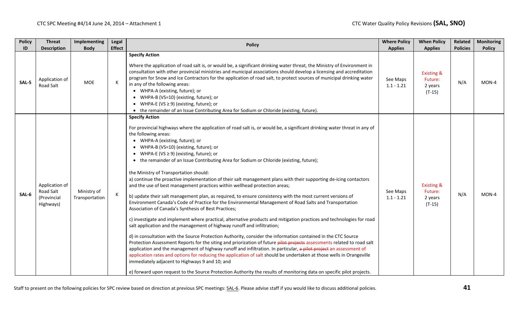| <b>Policy</b> | <b>Threat</b>                                           | Implementing                  | Legal         | <b>Policy</b>                                                                                                                                                                                                                                                                                                                                                                                                                                                                                                                                                                                                                                                                                                                                                                                                                                                                                                                                                                                                                                                                                                                                                                                                                                                                                                                                                                                                                                                                                                                                                                                                                                                                                                                                                                                               | <b>Where Policy</b>      | <b>When Policy</b>                                      | Related         | <b>Monitoring</b> |
|---------------|---------------------------------------------------------|-------------------------------|---------------|-------------------------------------------------------------------------------------------------------------------------------------------------------------------------------------------------------------------------------------------------------------------------------------------------------------------------------------------------------------------------------------------------------------------------------------------------------------------------------------------------------------------------------------------------------------------------------------------------------------------------------------------------------------------------------------------------------------------------------------------------------------------------------------------------------------------------------------------------------------------------------------------------------------------------------------------------------------------------------------------------------------------------------------------------------------------------------------------------------------------------------------------------------------------------------------------------------------------------------------------------------------------------------------------------------------------------------------------------------------------------------------------------------------------------------------------------------------------------------------------------------------------------------------------------------------------------------------------------------------------------------------------------------------------------------------------------------------------------------------------------------------------------------------------------------------|--------------------------|---------------------------------------------------------|-----------------|-------------------|
| ID            | <b>Description</b>                                      | <b>Body</b>                   | <b>Effect</b> |                                                                                                                                                                                                                                                                                                                                                                                                                                                                                                                                                                                                                                                                                                                                                                                                                                                                                                                                                                                                                                                                                                                                                                                                                                                                                                                                                                                                                                                                                                                                                                                                                                                                                                                                                                                                             | <b>Applies</b>           | <b>Applies</b>                                          | <b>Policies</b> | <b>Policy</b>     |
| SAL-5         | Application of<br>Road Salt                             | <b>MOE</b>                    | к             | <b>Specify Action</b><br>Where the application of road salt is, or would be, a significant drinking water threat, the Ministry of Environment in<br>consultation with other provincial ministries and municipal associations should develop a licensing and accreditation<br>program for Snow and Ice Contractors for the application of road salt, to protect sources of municipal drinking water<br>in any of the following areas:<br>• WHPA-A (existing, future); or<br>• WHPA-B (VS=10) (existing, future); or<br>• WHPA-E (VS $\geq$ 9) (existing, future); or<br>• the remainder of an Issue Contributing Area for Sodium or Chloride (existing, future).                                                                                                                                                                                                                                                                                                                                                                                                                                                                                                                                                                                                                                                                                                                                                                                                                                                                                                                                                                                                                                                                                                                                             | See Maps<br>$1.1 - 1.21$ | <b>Existing &amp;</b><br>Future:<br>2 years<br>$(T-15)$ | N/A             | MON-4             |
| SAL-6         | Application of<br>Road Salt<br>(Provincial<br>Highways) | Ministry of<br>Transportation |               | <b>Specify Action</b><br>For provincial highways where the application of road salt is, or would be, a significant drinking water threat in any of<br>the following areas:<br>• WHPA-A (existing, future); or<br>• WHPA-B (VS=10) (existing, future); or<br>• WHPA-E (VS $\geq$ 9) (existing, future); or<br>the remainder of an Issue Contributing Area for Sodium or Chloride (existing, future);<br>the Ministry of Transportation should:<br>a) continue the proactive implementation of their salt management plans with their supporting de-icing contactors<br>and the use of best management practices within wellhead protection areas;<br>b) update their salt management plan, as required, to ensure consistency with the most current versions of<br>Environment Canada's Code of Practice for the Environmental Management of Road Salts and Transportation<br>Association of Canada's Synthesis of Best Practices;<br>c) investigate and implement where practical, alternative products and mitigation practices and technologies for road<br>salt application and the management of highway runoff and infiltration;<br>d) in consultation with the Source Protection Authority, consider the information contained in the CTC Source<br>Protection Assessment Reports for the siting and priorization of future pilot projects assessments related to road salt<br>application and the management of highway runoff and infiltration. In particular, a pilot project an assessment of<br>application rates and options for reducing the application of salt should be undertaken at those wells in Orangeville<br>immediately adjacent to Highways 9 and 10; and<br>e) forward upon request to the Source Protection Authority the results of monitoring data on specific pilot projects. | See Maps<br>$1.1 - 1.21$ | <b>Existing &amp;</b><br>Future:<br>2 years<br>$(T-15)$ | N/A             | MON-4             |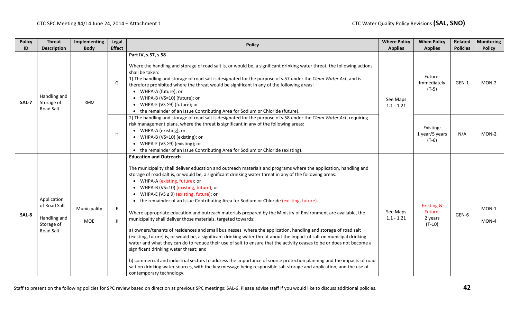|       | <b>Policy</b>                           | <b>Threat</b>                                                          | Implementing               | Legal                                                                                                                                                                                                                                                                                                                                                                                                                                                                                                                                                       | <b>Policy</b>                                                                                                                                                                                                                                                                                                                                                                                                                                                                                                                                                                                                                                                                                                                                                                                                                                                                                                                                                                                                                                                                                                                                                                                                                                                                                                                                                  | <b>Where Policy</b>               | <b>When Policy</b>                                      | Related         | <b>Monitoring</b> |  |  |  |   |                                                                                                                                                                                                                                                                                                                                                                                                         |  |                                        |     |
|-------|-----------------------------------------|------------------------------------------------------------------------|----------------------------|-------------------------------------------------------------------------------------------------------------------------------------------------------------------------------------------------------------------------------------------------------------------------------------------------------------------------------------------------------------------------------------------------------------------------------------------------------------------------------------------------------------------------------------------------------------|----------------------------------------------------------------------------------------------------------------------------------------------------------------------------------------------------------------------------------------------------------------------------------------------------------------------------------------------------------------------------------------------------------------------------------------------------------------------------------------------------------------------------------------------------------------------------------------------------------------------------------------------------------------------------------------------------------------------------------------------------------------------------------------------------------------------------------------------------------------------------------------------------------------------------------------------------------------------------------------------------------------------------------------------------------------------------------------------------------------------------------------------------------------------------------------------------------------------------------------------------------------------------------------------------------------------------------------------------------------|-----------------------------------|---------------------------------------------------------|-----------------|-------------------|--|--|--|---|---------------------------------------------------------------------------------------------------------------------------------------------------------------------------------------------------------------------------------------------------------------------------------------------------------------------------------------------------------------------------------------------------------|--|----------------------------------------|-----|
|       | ID                                      | <b>Description</b>                                                     | <b>Body</b>                | <b>Effect</b>                                                                                                                                                                                                                                                                                                                                                                                                                                                                                                                                               |                                                                                                                                                                                                                                                                                                                                                                                                                                                                                                                                                                                                                                                                                                                                                                                                                                                                                                                                                                                                                                                                                                                                                                                                                                                                                                                                                                | <b>Applies</b>                    | <b>Applies</b>                                          | <b>Policies</b> | <b>Policy</b>     |  |  |  |   |                                                                                                                                                                                                                                                                                                                                                                                                         |  |                                        |     |
| SAL-7 | Handling and<br>Storage of<br>Road Salt | <b>RMO</b>                                                             | G                          | Part IV, s.57, s.58<br>Where the handling and storage of road salt is, or would be, a significant drinking water threat, the following actions<br>shall be taken:<br>1) The handling and storage of road salt is designated for the purpose of s.57 under the Clean Water Act, and is<br>therefore prohibited where the threat would be significant in any of the following areas:<br>• WHPA-A (future); or<br>WHPA-B (VS=10) (future); or<br>WHPA-E (VS ≥9) (future); or<br>• the remainder of an Issue Contributing Area for Sodium or Chloride (future). | See Maps<br>$1.1 - 1.21$                                                                                                                                                                                                                                                                                                                                                                                                                                                                                                                                                                                                                                                                                                                                                                                                                                                                                                                                                                                                                                                                                                                                                                                                                                                                                                                                       | Future:<br>Immediately<br>$(T-5)$ | GEN-1                                                   | MON-2           |                   |  |  |  |   |                                                                                                                                                                                                                                                                                                                                                                                                         |  |                                        |     |
|       |                                         |                                                                        |                            |                                                                                                                                                                                                                                                                                                                                                                                                                                                                                                                                                             |                                                                                                                                                                                                                                                                                                                                                                                                                                                                                                                                                                                                                                                                                                                                                                                                                                                                                                                                                                                                                                                                                                                                                                                                                                                                                                                                                                |                                   |                                                         |                 |                   |  |  |  | H | 2) The handling and storage of road salt is designated for the purpose of s.58 under the Clean Water Act, requiring<br>risk management plans, where the threat is significant in any of the following areas:<br>• WHPA-A (existing); or<br>• WHPA-B (VS=10) (existing); or<br>• WHPA-E (VS $\geq$ 9) (existing); or<br>• the remainder of an Issue Contributing Area for Sodium or Chloride (existing). |  | Existing:<br>1 year/5 years<br>$(T-6)$ | N/A |
|       | SAL-8                                   | Application<br>of Road Salt<br>Handling and<br>Storage of<br>Road Salt | Municipality<br><b>MOE</b> | E.<br>к                                                                                                                                                                                                                                                                                                                                                                                                                                                                                                                                                     | <b>Education and Outreach</b><br>The municipality shall deliver education and outreach materials and programs where the application, handling and<br>storage of road salt is, or would be, a significant drinking water threat in any of the following areas:<br>• WHPA-A (existing, future); or<br>WHPA-B (VS=10) (existing, future); or<br>WHPA-E (VS $\geq$ 9) (existing, future); or<br>• the remainder of an Issue Contributing Area for Sodium or Chloride (existing, future).<br>Where appropriate education and outreach materials prepared by the Ministry of Environment are available, the<br>municipality shall deliver those materials, targeted towards:<br>a) owners/tenants of residences and small businesses where the application, handling and storage of road salt<br>(existing, future) is, or would be, a significant drinking water threat about the impact of salt on municipal drinking<br>water and what they can do to reduce their use of salt to ensure that the activity ceases to be or does not become a<br>significant drinking water threat; and<br>b) commercial and industrial sectors to address the importance of source protection planning and the impacts of road<br>salt on drinking water sources, with the key message being responsible salt storage and application, and the use of<br>contemporary technology. | See Maps<br>$1.1 - 1.21$          | <b>Existing &amp;</b><br>Future:<br>2 years<br>$(T-10)$ | GEN-6           | MON-1<br>$MON-4$  |  |  |  |   |                                                                                                                                                                                                                                                                                                                                                                                                         |  |                                        |     |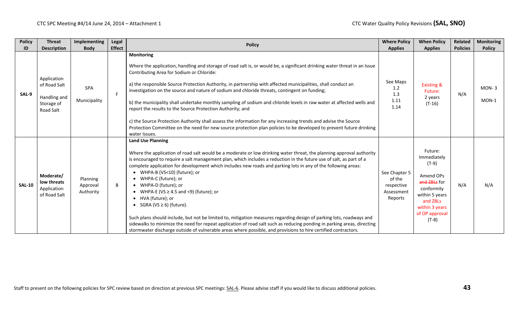| <b>Policy</b> | <b>Threat</b>                                                          | Implementing                      | Legal         | <b>Policy</b>                                                                                                                                                                                                                                                                                                                                                                                                                                                                                                                                                                                                                                                                                                                                                                                                                                                                                                                                                 | <b>Where Policy</b>                                            | <b>When Policy</b>                                                                                                                                        | Related         | <b>Monitoring</b> |
|---------------|------------------------------------------------------------------------|-----------------------------------|---------------|---------------------------------------------------------------------------------------------------------------------------------------------------------------------------------------------------------------------------------------------------------------------------------------------------------------------------------------------------------------------------------------------------------------------------------------------------------------------------------------------------------------------------------------------------------------------------------------------------------------------------------------------------------------------------------------------------------------------------------------------------------------------------------------------------------------------------------------------------------------------------------------------------------------------------------------------------------------|----------------------------------------------------------------|-----------------------------------------------------------------------------------------------------------------------------------------------------------|-----------------|-------------------|
| ID            | <b>Description</b>                                                     | <b>Body</b>                       | <b>Effect</b> |                                                                                                                                                                                                                                                                                                                                                                                                                                                                                                                                                                                                                                                                                                                                                                                                                                                                                                                                                               | <b>Applies</b>                                                 | <b>Applies</b>                                                                                                                                            | <b>Policies</b> | <b>Policy</b>     |
| SAL-9         | Application<br>of Road Salt<br>Handling and<br>Storage of<br>Road Salt | SPA<br>Municipality               | F.            | <b>Monitoring</b><br>Where the application, handling and storage of road salt is, or would be, a significant drinking water threat in an Issue<br>Contributing Area for Sodium or Chloride:<br>a) the responsible Source Protection Authority, in partnership with affected municipalities, shall conduct an<br>investigation on the source and nature of sodium and chloride threats, contingent on funding;<br>b) the municipality shall undertake monthly sampling of sodium and chloride levels in raw water at affected wells and<br>report the results to the Source Protection Authority; and<br>c) the Source Protection Authority shall assess the information for any increasing trends and advise the Source<br>Protection Committee on the need for new source protection plan policies to be developed to prevent future drinking<br>water Issues.                                                                                               | See Maps<br>1.2<br>1.3<br>1.11<br>1.14                         | <b>Existing &amp;</b><br>Future:<br>2 years<br>$(T-16)$                                                                                                   | N/A             | $MON-3$<br>MON-1  |
| <b>SAL-10</b> | Moderate/<br>low threats<br>Application<br>of Road Salt                | Planning<br>Approval<br>Authority | B             | <b>Land Use Planning</b><br>Where the application of road salt would be a moderate or low drinking water threat, the planning approval authority<br>is encouraged to require a salt management plan, which includes a reduction in the future use of salt, as part of a<br>complete application for development which includes new roads and parking lots in any of the following areas:<br>• WHPA-B (VS<10) (future); or<br>WHPA-C (future); or<br>$\bullet$<br>WHPA-D (future); or<br>WHPA-E (VS $\geq$ 4.5 and <9) (future); or<br>• HVA (future); or<br>SGRA (VS $\geq$ 6) (future).<br>Such plans should include, but not be limited to, mitigation measures regarding design of parking lots, roadways and<br>sidewalks to minimize the need for repeat application of road salt such as reducing ponding in parking areas, directing<br>stormwater discharge outside of vulnerable areas where possible, and provisions to hire certified contractors. | See Chapter 5<br>of the<br>respective<br>Assessment<br>Reports | Future:<br>Immediately<br>$(T-9)$<br>Amend OPs<br>and ZBLs for<br>conformity<br>within 5 years<br>and ZBLs<br>within 3 years<br>of OP approval<br>$(T-8)$ | N/A             | N/A               |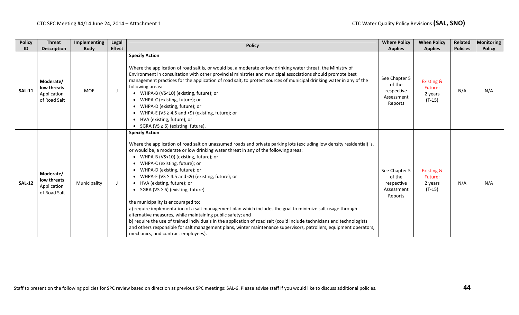| <b>Policy</b> | <b>Threat</b>                                           | Implementing | Legal         | <b>Policy</b>                                                                                                                                                                                                                                                                                                                                                                                                                                                                                                                                                                                                                                                                                                                                                                                                                                                                                                                                                                               | <b>Where Policy</b>                                            | <b>When Policy</b>                                      | Related         | <b>Monitoring</b> |
|---------------|---------------------------------------------------------|--------------|---------------|---------------------------------------------------------------------------------------------------------------------------------------------------------------------------------------------------------------------------------------------------------------------------------------------------------------------------------------------------------------------------------------------------------------------------------------------------------------------------------------------------------------------------------------------------------------------------------------------------------------------------------------------------------------------------------------------------------------------------------------------------------------------------------------------------------------------------------------------------------------------------------------------------------------------------------------------------------------------------------------------|----------------------------------------------------------------|---------------------------------------------------------|-----------------|-------------------|
| ID            | <b>Description</b>                                      | <b>Body</b>  | <b>Effect</b> |                                                                                                                                                                                                                                                                                                                                                                                                                                                                                                                                                                                                                                                                                                                                                                                                                                                                                                                                                                                             | <b>Applies</b>                                                 | <b>Applies</b>                                          | <b>Policies</b> | <b>Policy</b>     |
| <b>SAL-11</b> | Moderate/<br>low threats<br>Application<br>of Road Salt | <b>MOE</b>   |               | <b>Specify Action</b><br>Where the application of road salt is, or would be, a moderate or low drinking water threat, the Ministry of<br>Environment in consultation with other provincial ministries and municipal associations should promote best<br>management practices for the application of road salt, to protect sources of municipal drinking water in any of the<br>following areas:<br>WHPA-B (VS<10) (existing, future); or<br>WHPA-C (existing, future); or<br>WHPA-D (existing, future); or<br>WHPA-E (VS $\geq$ 4.5 and <9) (existing, future); or<br>HVA (existing, future); or<br>• SGRA (VS $\geq$ 6) (existing, future).                                                                                                                                                                                                                                                                                                                                                | See Chapter 5<br>of the<br>respective<br>Assessment<br>Reports | <b>Existing &amp;</b><br>Future:<br>2 years<br>$(T-15)$ | N/A             | N/A               |
| <b>SAL-12</b> | Moderate/<br>low threats<br>Application<br>of Road Salt | Municipality | $\mathbf{J}$  | <b>Specify Action</b><br>Where the application of road salt on unassumed roads and private parking lots (excluding low density residential) is,<br>or would be, a moderate or low drinking water threat in any of the following areas:<br>WHPA-B (VS<10) (existing, future); or<br>WHPA-C (existing, future); or<br>WHPA-D (existing, future); or<br>WHPA-E (VS $\geq$ 4.5 and <9) (existing, future); or<br>• HVA (existing, future); or<br>SGRA (VS $\geq$ 6) (existing, future)<br>the municipality is encouraged to:<br>a) require implementation of a salt management plan which includes the goal to minimize salt usage through<br>alternative measures, while maintaining public safety; and<br>b) require the use of trained individuals in the application of road salt (could include technicians and technologists<br>and others responsible for salt management plans, winter maintenance supervisors, patrollers, equipment operators,<br>mechanics, and contract employees). | See Chapter 5<br>of the<br>respective<br>Assessment<br>Reports | <b>Existing &amp;</b><br>Future:<br>2 years<br>$(T-15)$ | N/A             | N/A               |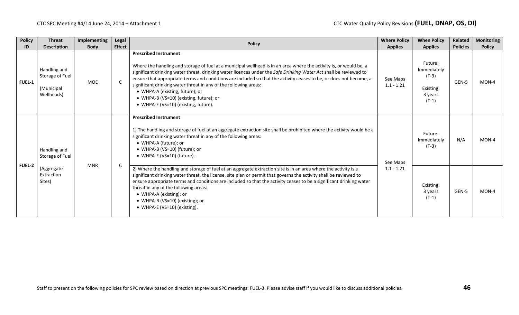| <b>Policy</b><br>ID | <b>Threat</b><br><b>Description</b>                                                 | Implementing<br><b>Body</b>                                                                                                                         | Legal<br><b>Effect</b>                                                                                                                                                                                                                                                                                                                                       | <b>Policy</b>                                                                                                                                                                                                                                                                                                                                                                                                                                                                                                                                                                           | <b>Where Policy</b><br><b>Applies</b> | <b>When Policy</b><br><b>Applies</b>                                 | <b>Related</b><br><b>Policies</b> | Monitoring<br><b>Policy</b> |
|---------------------|-------------------------------------------------------------------------------------|-----------------------------------------------------------------------------------------------------------------------------------------------------|--------------------------------------------------------------------------------------------------------------------------------------------------------------------------------------------------------------------------------------------------------------------------------------------------------------------------------------------------------------|-----------------------------------------------------------------------------------------------------------------------------------------------------------------------------------------------------------------------------------------------------------------------------------------------------------------------------------------------------------------------------------------------------------------------------------------------------------------------------------------------------------------------------------------------------------------------------------------|---------------------------------------|----------------------------------------------------------------------|-----------------------------------|-----------------------------|
| FUEL-1              | Handling and<br>Storage of Fuel<br>(Municipal<br>Wellheads)                         | <b>MOE</b>                                                                                                                                          | $\mathsf{C}$                                                                                                                                                                                                                                                                                                                                                 | <b>Prescribed Instrument</b><br>Where the handling and storage of fuel at a municipal wellhead is in an area where the activity is, or would be, a<br>significant drinking water threat, drinking water licences under the Safe Drinking Water Act shall be reviewed to<br>ensure that appropriate terms and conditions are included so that the activity ceases to be, or does not become, a<br>significant drinking water threat in any of the following areas:<br>• WHPA-A (existing, future); or<br>• WHPA-B (VS=10) (existing, future); or<br>• WHPA-E (VS=10) (existing, future). | See Maps<br>$1.1 - 1.21$              | Future:<br>Immediately<br>$(T-3)$<br>Existing:<br>3 years<br>$(T-1)$ | GEN-5                             | MON-4                       |
| <b>FUEL-2</b>       | Handling and<br>Storage of Fuel<br><b>MNR</b><br>(Aggregate<br>Extraction<br>Sites) |                                                                                                                                                     | <b>Prescribed Instrument</b><br>1) The handling and storage of fuel at an aggregate extraction site shall be prohibited where the activity would be a<br>significant drinking water threat in any of the following areas:<br>• WHPA-A (future); or<br>• WHPA-B (VS=10) (future); or<br>• WHPA-E (VS=10) (future).                                            | See Maps                                                                                                                                                                                                                                                                                                                                                                                                                                                                                                                                                                                | Future:<br>Immediately<br>(T-3)       | N/A                                                                  | $MON-4$                           |                             |
|                     |                                                                                     | $\mathsf{C}$<br>threat in any of the following areas:<br>• WHPA-A (existing); or<br>• WHPA-B (VS=10) (existing); or<br>• WHPA-E (VS=10) (existing). | 2) Where the handling and storage of fuel at an aggregate extraction site is in an area where the activity is a<br>significant drinking water threat, the license, site plan or permit that governs the activity shall be reviewed to<br>ensure appropriate terms and conditions are included so that the activity ceases to be a significant drinking water | $1.1 - 1.21$                                                                                                                                                                                                                                                                                                                                                                                                                                                                                                                                                                            | Existing:<br>3 years<br>$(T-1)$       | GEN-5                                                                | $MON-4$                           |                             |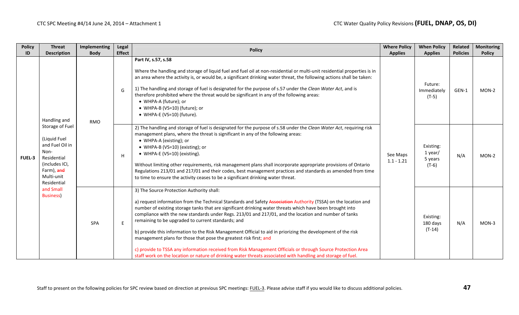| <b>Policy</b> | <b>Threat</b>                                                                                                                                                                                                       | <b>Implementing</b> | Legal         | <b>Policy</b>                                                                                                                                                                                                                                                                                                                                                                                                                                                                                                                                                                                                                                                                                                                                                                                                                                                 | <b>Where Policy</b>      | <b>When Policy</b>                         | Related         | <b>Monitoring</b> |
|---------------|---------------------------------------------------------------------------------------------------------------------------------------------------------------------------------------------------------------------|---------------------|---------------|---------------------------------------------------------------------------------------------------------------------------------------------------------------------------------------------------------------------------------------------------------------------------------------------------------------------------------------------------------------------------------------------------------------------------------------------------------------------------------------------------------------------------------------------------------------------------------------------------------------------------------------------------------------------------------------------------------------------------------------------------------------------------------------------------------------------------------------------------------------|--------------------------|--------------------------------------------|-----------------|-------------------|
| ID            | <b>Description</b>                                                                                                                                                                                                  | <b>Body</b>         | <b>Effect</b> |                                                                                                                                                                                                                                                                                                                                                                                                                                                                                                                                                                                                                                                                                                                                                                                                                                                               | <b>Applies</b>           | <b>Applies</b>                             | <b>Policies</b> | <b>Policy</b>     |
| <b>FUEL-3</b> | Handling and<br><b>RMO</b><br>Storage of Fuel<br>(Liquid Fuel<br>and Fuel Oil in<br>Non-<br>Residential<br>(includes ICI,<br>Farm), and<br>Multi-unit<br>Residential<br>and Small<br><b>Business)</b><br><b>SPA</b> |                     | G             | Part IV, s.57, s.58<br>Where the handling and storage of liquid fuel and fuel oil at non-residential or multi-unit residential properties is in<br>an area where the activity is, or would be, a significant drinking water threat, the following actions shall be taken:<br>1) The handling and storage of fuel is designated for the purpose of s.57 under the Clean Water Act, and is<br>therefore prohibited where the threat would be significant in any of the following areas:<br>• WHPA-A (future); or<br>• WHPA-B (VS=10) (future); or<br>• WHPA-E (VS=10) (future).                                                                                                                                                                                                                                                                                 |                          | Future:<br>Immediately<br>$(T-5)$          | GEN-1           | MON-2             |
|               |                                                                                                                                                                                                                     |                     | H             | 2) The handling and storage of fuel is designated for the purpose of s.58 under the Clean Water Act, requiring risk<br>management plans, where the threat is significant in any of the following areas:<br>• WHPA-A (existing); or<br>• WHPA-B (VS=10) (existing); or<br>• WHPA-E (VS=10) (existing).<br>Without limiting other requirements, risk management plans shall incorporate appropriate provisions of Ontario<br>Regulations 213/01 and 217/01 and their codes, best management practices and standards as amended from time<br>to time to ensure the activity ceases to be a significant drinking water threat.                                                                                                                                                                                                                                    | See Maps<br>$1.1 - 1.21$ | Existing:<br>1 year/<br>5 years<br>$(T-6)$ | N/A             | MON-2             |
|               |                                                                                                                                                                                                                     |                     | E             | 3) The Source Protection Authority shall:<br>a) request information from the Technical Standards and Safety Association Authority (TSSA) on the location and<br>number of existing storage tanks that are significant drinking water threats which have been brought into<br>compliance with the new standards under Regs. 213/01 and 217/01, and the location and number of tanks<br>remaining to be upgraded to current standards; and<br>b) provide this information to the Risk Management Official to aid in priorizing the development of the risk<br>management plans for those that pose the greatest risk first; and<br>c) provide to TSSA any information received from Risk Management Officials or through Source Protection Area<br>staff work on the location or nature of drinking water threats associated with handling and storage of fuel. |                          | Existing:<br>180 days<br>$(T-14)$          | N/A             | $MON-3$           |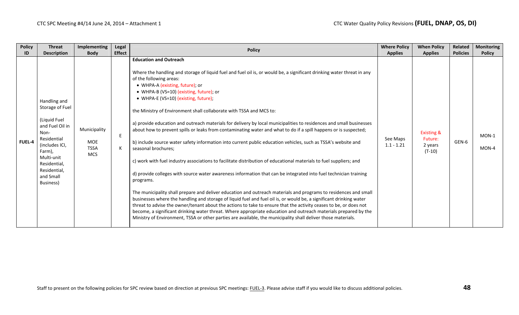| <b>Policy</b> | <b>Threat</b>                                                                                                                                                                                 | <b>Implementing</b>                              | Legal         | <b>Policy</b>                                                                                                                                                                                                                                                                                                                                                                                                                                                                                                                                                                                                                                                                                                                                                                                                                                                                                                                                                                                                                                                                                                                                                                                                                                                                                                                                                                                                                                                                                                                                                                                                                 | <b>Where Policy</b>      | <b>When Policy</b>                                      | Related         | <b>Monitoring</b>  |
|---------------|-----------------------------------------------------------------------------------------------------------------------------------------------------------------------------------------------|--------------------------------------------------|---------------|-------------------------------------------------------------------------------------------------------------------------------------------------------------------------------------------------------------------------------------------------------------------------------------------------------------------------------------------------------------------------------------------------------------------------------------------------------------------------------------------------------------------------------------------------------------------------------------------------------------------------------------------------------------------------------------------------------------------------------------------------------------------------------------------------------------------------------------------------------------------------------------------------------------------------------------------------------------------------------------------------------------------------------------------------------------------------------------------------------------------------------------------------------------------------------------------------------------------------------------------------------------------------------------------------------------------------------------------------------------------------------------------------------------------------------------------------------------------------------------------------------------------------------------------------------------------------------------------------------------------------------|--------------------------|---------------------------------------------------------|-----------------|--------------------|
| ID            | <b>Description</b>                                                                                                                                                                            | <b>Body</b>                                      | <b>Effect</b> |                                                                                                                                                                                                                                                                                                                                                                                                                                                                                                                                                                                                                                                                                                                                                                                                                                                                                                                                                                                                                                                                                                                                                                                                                                                                                                                                                                                                                                                                                                                                                                                                                               | <b>Applies</b>           | <b>Applies</b>                                          | <b>Policies</b> | <b>Policy</b>      |
| <b>FUEL-4</b> | Handling and<br>Storage of Fuel<br>(Liquid Fuel<br>and Fuel Oil in<br>Non-<br>Residential<br>(includes ICI,<br>Farm),<br>Multi-unit<br>Residential,<br>Residential,<br>and Small<br>Business) | Municipality<br>MOE<br><b>TSSA</b><br><b>MCS</b> | E<br>К        | <b>Education and Outreach</b><br>Where the handling and storage of liquid fuel and fuel oil is, or would be, a significant drinking water threat in any<br>of the following areas:<br>• WHPA-A (existing, future); or<br>• WHPA-B (VS=10) (existing, future); or<br>• WHPA-E (VS=10) (existing, future);<br>the Ministry of Environment shall collaborate with TSSA and MCS to:<br>a) provide education and outreach materials for delivery by local municipalities to residences and small businesses<br>about how to prevent spills or leaks from contaminating water and what to do if a spill happens or is suspected;<br>b) include source water safety information into current public education vehicles, such as TSSA's website and<br>seasonal brochures;<br>c) work with fuel industry associations to facilitate distribution of educational materials to fuel suppliers; and<br>d) provide colleges with source water awareness information that can be integrated into fuel technician training<br>programs.<br>The municipality shall prepare and deliver education and outreach materials and programs to residences and small<br>businesses where the handling and storage of liquid fuel and fuel oil is, or would be, a significant drinking water<br>threat to advise the owner/tenant about the actions to take to ensure that the activity ceases to be, or does not<br>become, a significant drinking water threat. Where appropriate education and outreach materials prepared by the<br>Ministry of Environment, TSSA or other parties are available, the municipality shall deliver those materials. | See Maps<br>$1.1 - 1.21$ | <b>Existing &amp;</b><br>Future:<br>2 years<br>$(T-10)$ | GEN-6           | $MON-1$<br>$MON-4$ |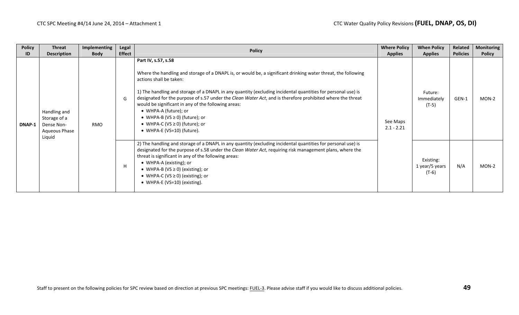| <b>Policy</b> | <b>Threat</b>                                                         | Implementing | Legal         | <b>Policy</b>                                                                                                                                                                                                                                                                                                                                                                                                                                                                                                                                                                             | <b>Where Policy</b>      | <b>When Policy</b>                     | Related         | <b>Monitoring</b> |
|---------------|-----------------------------------------------------------------------|--------------|---------------|-------------------------------------------------------------------------------------------------------------------------------------------------------------------------------------------------------------------------------------------------------------------------------------------------------------------------------------------------------------------------------------------------------------------------------------------------------------------------------------------------------------------------------------------------------------------------------------------|--------------------------|----------------------------------------|-----------------|-------------------|
| ID            | <b>Description</b>                                                    | <b>Body</b>  | <b>Effect</b> |                                                                                                                                                                                                                                                                                                                                                                                                                                                                                                                                                                                           | <b>Applies</b>           | <b>Applies</b>                         | <b>Policies</b> | <b>Policy</b>     |
| DNAP-1        | Handling and<br>Storage of a<br>Dense Non-<br>Aqueous Phase<br>Liquid | <b>RMO</b>   | G             | Part IV, s.57, s.58<br>Where the handling and storage of a DNAPL is, or would be, a significant drinking water threat, the following<br>actions shall be taken:<br>1) The handling and storage of a DNAPL in any quantity (excluding incidental quantities for personal use) is<br>designated for the purpose of s.57 under the Clean Water Act, and is therefore prohibited where the threat<br>would be significant in any of the following areas:<br>• WHPA-A (future); or<br>• WHPA-B (VS $\geq$ 0) (future); or<br>• WHPA-C (VS $\geq$ 0) (future); or<br>• WHPA-E (VS=10) (future). | See Maps<br>$2.1 - 2.21$ | Future:<br>Immediately<br>$(T-5)$      | GEN-1           | MON-2             |
|               |                                                                       |              | H             | 2) The handling and storage of a DNAPL in any quantity (excluding incidental quantities for personal use) is<br>designated for the purpose of s.58 under the Clean Water Act, requiring risk management plans, where the<br>threat is significant in any of the following areas:<br>• WHPA-A (existing); or<br>• WHPA-B (VS $\geq$ 0) (existing); or<br>• WHPA-C (VS $\geq$ 0) (existing); or<br>• WHPA-E (VS=10) (existing).                                                                                                                                                             |                          | Existing:<br>1 year/5 years<br>$(T-6)$ | N/A             | MON-2             |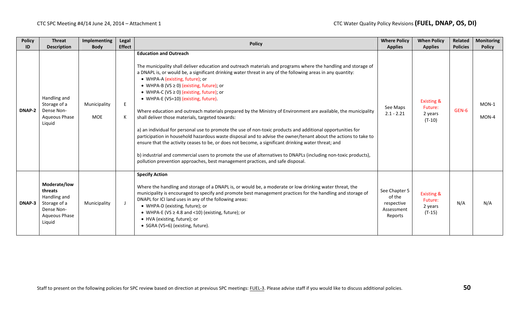| <b>Policy</b><br>ID | <b>Threat</b><br><b>Description</b>                                                              | <b>Implementing</b><br><b>Body</b> | Legal<br><b>Effect</b> | <b>Policy</b>                                                                                                                                                                                                                                                                                                                                                                                                                                                                                                                                                                                                                                                                                                                                                                                                                                                                                                                                                                                                                                                                                                                                                   | <b>Where Policy</b><br><b>Applies</b>                          | <b>When Policy</b><br><b>Applies</b>                    | Related<br><b>Policies</b> | <b>Monitoring</b><br><b>Policy</b> |
|---------------------|--------------------------------------------------------------------------------------------------|------------------------------------|------------------------|-----------------------------------------------------------------------------------------------------------------------------------------------------------------------------------------------------------------------------------------------------------------------------------------------------------------------------------------------------------------------------------------------------------------------------------------------------------------------------------------------------------------------------------------------------------------------------------------------------------------------------------------------------------------------------------------------------------------------------------------------------------------------------------------------------------------------------------------------------------------------------------------------------------------------------------------------------------------------------------------------------------------------------------------------------------------------------------------------------------------------------------------------------------------|----------------------------------------------------------------|---------------------------------------------------------|----------------------------|------------------------------------|
| DNAP-2              | Handling and<br>Storage of a<br>Dense Non-<br>Aqueous Phase<br>Liquid                            | Municipality<br><b>MOE</b>         | E.<br>К                | <b>Education and Outreach</b><br>The municipality shall deliver education and outreach materials and programs where the handling and storage of<br>a DNAPL is, or would be, a significant drinking water threat in any of the following areas in any quantity:<br>• WHPA-A (existing, future); or<br>• WHPA-B (VS $\geq$ 0) (existing, future); or<br>• WHPA-C (VS $\geq$ 0) (existing, future); or<br>• WHPA-E (VS=10) (existing, future).<br>Where education and outreach materials prepared by the Ministry of Environment are available, the municipality<br>shall deliver those materials, targeted towards:<br>a) an individual for personal use to promote the use of non-toxic products and additional opportunities for<br>participation in household hazardous waste disposal and to advise the owner/tenant about the actions to take to<br>ensure that the activity ceases to be, or does not become, a significant drinking water threat; and<br>b) industrial and commercial users to promote the use of alternatives to DNAPLs (including non-toxic products),<br>pollution prevention approaches, best management practices, and safe disposal. | See Maps<br>$2.1 - 2.21$                                       | <b>Existing &amp;</b><br>Future:<br>2 years<br>$(T-10)$ | GEN-6                      | $MON-1$<br>MON-4                   |
| DNAP-3              | Moderate/low<br>threats<br>Handling and<br>Storage of a<br>Dense Non-<br>Aqueous Phase<br>Liquid | Municipality                       | J                      | <b>Specify Action</b><br>Where the handling and storage of a DNAPL is, or would be, a moderate or low drinking water threat, the<br>municipality is encouraged to specify and promote best management practices for the handling and storage of<br>DNAPL for ICI land uses in any of the following areas:<br>• WHPA-D (existing, future); or<br>• WHPA-E (VS $\geq$ 4.8 and <10) (existing, future); or<br>• HVA (existing, future); or<br>• SGRA (VS=6) (existing, future).                                                                                                                                                                                                                                                                                                                                                                                                                                                                                                                                                                                                                                                                                    | See Chapter 5<br>of the<br>respective<br>Assessment<br>Reports | <b>Existing &amp;</b><br>Future:<br>2 years<br>$(T-15)$ | N/A                        | N/A                                |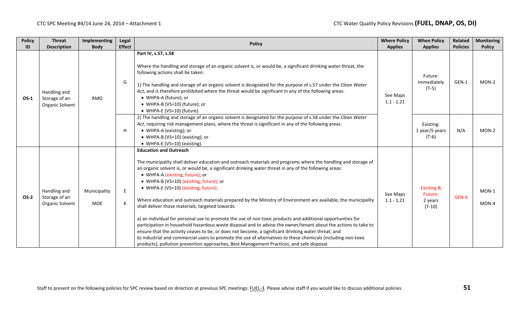| <b>Policy</b> | <b>Threat</b>                                    | Implementing               | Legal         | <b>Policy</b>                                                                                                                                                                                                                                                                                                                                                                                                                                                                                                                                                                                                                                                                                                                                                                                                                                                                                                                                                                                                                                                                                                | <b>Where Policy</b>      | <b>When Policy</b>                                      | Related         | <b>Monitoring</b> |
|---------------|--------------------------------------------------|----------------------------|---------------|--------------------------------------------------------------------------------------------------------------------------------------------------------------------------------------------------------------------------------------------------------------------------------------------------------------------------------------------------------------------------------------------------------------------------------------------------------------------------------------------------------------------------------------------------------------------------------------------------------------------------------------------------------------------------------------------------------------------------------------------------------------------------------------------------------------------------------------------------------------------------------------------------------------------------------------------------------------------------------------------------------------------------------------------------------------------------------------------------------------|--------------------------|---------------------------------------------------------|-----------------|-------------------|
| ID            | <b>Description</b>                               | <b>Body</b>                | <b>Effect</b> |                                                                                                                                                                                                                                                                                                                                                                                                                                                                                                                                                                                                                                                                                                                                                                                                                                                                                                                                                                                                                                                                                                              | <b>Applies</b>           | <b>Applies</b>                                          | <b>Policies</b> | <b>Policy</b>     |
| $OS-1$        | Handling and<br>Storage of an<br>Organic Solvent | <b>RMO</b>                 | G             | Part IV, s.57, s.58<br>Where the handling and storage of an organic solvent is, or would be, a significant drinking water threat, the<br>following actions shall be taken:<br>1) The handling and storage of an organic solvent is designated for the purpose of s.57 under the Clean Water<br>Act, and is therefore prohibited where the threat would be significant in any of the following areas:<br>• WHPA-A (future); or<br>• WHPA-B (VS=10) (future); or<br>• WHPA-E (VS=10) (future).                                                                                                                                                                                                                                                                                                                                                                                                                                                                                                                                                                                                                 | See Maps<br>$1.1 - 1.21$ | Future:<br>Immediately<br>$(T-5)$                       | GEN-1           | MON-2             |
|               |                                                  |                            | H             | 2) The handling and storage of an organic solvent is designated for the purpose of s.58 under the Clean Water<br>Act, requiring risk management plans, where the threat is significant in any of the following areas:<br>• WHPA-A (existing); or<br>• WHPA-B (VS=10) (existing); or<br>• WHPA-E (VS=10) (existing).                                                                                                                                                                                                                                                                                                                                                                                                                                                                                                                                                                                                                                                                                                                                                                                          |                          | Existing:<br>1 year/5 years<br>$(T-6)$                  | N/A             | MON-2             |
| $OS-2$        | Handling and<br>Storage of an<br>Organic Solvent | Municipality<br><b>MOE</b> | E<br>К        | <b>Education and Outreach</b><br>The municipality shall deliver education and outreach materials and programs where the handling and storage of<br>an organic solvent is, or would be, a significant drinking water threat in any of the following areas:<br>• WHPA-A (existing, future); or<br>• WHPA-B (VS=10) (existing, future); or<br>• WHPA-E (VS=10) (existing, future).<br>Where education and outreach materials prepared by the Ministry of Environment are available, the municipality<br>shall deliver those materials, targeted towards:<br>a) an individual for personal use to promote the use of non-toxic products and additional opportunities for<br>participation in household hazardous waste disposal and to advise the owner/tenant about the actions to take to<br>ensure that the activity ceases to be, or does not become, a significant drinking water threat; and<br>b) industrial and commercial users to promote the use of alternatives to these chemicals (including non-toxic<br>products), pollution prevention approaches, Best Management Practices, and safe disposal. | See Maps<br>$1.1 - 1.21$ | <b>Existing &amp;</b><br>Future:<br>2 years<br>$(T-10)$ | GEN-6           | MON-1<br>MON-4    |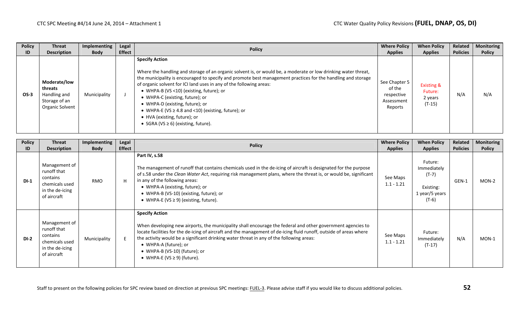| <b>Policy</b> | <b>Threat</b>                                                               | Implementing | <b>Legal</b>  | <b>Policy</b>                                                                                                                                                                                                                                                                                                                                                                                                                                                                                                                                                                            | <b>Where Policy</b>                                            | <b>When Policy</b>                                      | Related         | <b>Monitoring</b> |
|---------------|-----------------------------------------------------------------------------|--------------|---------------|------------------------------------------------------------------------------------------------------------------------------------------------------------------------------------------------------------------------------------------------------------------------------------------------------------------------------------------------------------------------------------------------------------------------------------------------------------------------------------------------------------------------------------------------------------------------------------------|----------------------------------------------------------------|---------------------------------------------------------|-----------------|-------------------|
| ID            | <b>Description</b>                                                          | <b>Body</b>  | <b>Effect</b> |                                                                                                                                                                                                                                                                                                                                                                                                                                                                                                                                                                                          | <b>Applies</b>                                                 | <b>Applies</b>                                          | <b>Policies</b> | <b>Policy</b>     |
| $OS-3$        | Moderate/low<br>threats<br>Handling and<br>Storage of an<br>Organic Solvent | Municipality |               | <b>Specify Action</b><br>Where the handling and storage of an organic solvent is, or would be, a moderate or low drinking water threat,<br>the municipality is encouraged to specify and promote best management practices for the handling and storage<br>of organic solvent for ICI land uses in any of the following areas:<br>• WHPA-B (VS <10) (existing, future); or<br>• WHPA-C (existing, future); or<br>• WHPA-D (existing, future); or<br>• WHPA-E (VS $\geq$ 4.8 and <10) (existing, future); or<br>• HVA (existing, future); or<br>• SGRA ( $VS \ge 6$ ) (existing, future). | See Chapter 5<br>of the<br>respective<br>Assessment<br>Reports | <b>Existing &amp;</b><br>Future:<br>2 years<br>$(T-15)$ | N/A             | N/A               |

| <b>Policy</b><br>ID | <b>Threat</b><br><b>Description</b>                                                          | <b>Implementing</b><br><b>Body</b> | Legal<br><b>Effect</b> | <b>Policy</b>                                                                                                                                                                                                                                                                                                                                                                                                                                        | <b>Where Policy</b><br><b>Applies</b> | <b>When Policy</b><br><b>Applies</b>                                        | Related<br><b>Policies</b> | <b>Monitoring</b><br><b>Policy</b> |
|---------------------|----------------------------------------------------------------------------------------------|------------------------------------|------------------------|------------------------------------------------------------------------------------------------------------------------------------------------------------------------------------------------------------------------------------------------------------------------------------------------------------------------------------------------------------------------------------------------------------------------------------------------------|---------------------------------------|-----------------------------------------------------------------------------|----------------------------|------------------------------------|
| $DI-1$              | Management of<br>runoff that<br>contains<br>chemicals used<br>in the de-icing<br>of aircraft | <b>RMO</b>                         | H                      | Part IV, s.58<br>The management of runoff that contains chemicals used in the de-icing of aircraft is designated for the purpose<br>of s.58 under the Clean Water Act, requiring risk management plans, where the threat is, or would be, significant<br>in any of the following areas:<br>• WHPA-A (existing, future); or<br>• WHPA-B (VS-10) (existing, future); or<br>• WHPA-E (VS $\geq$ 9) (existing, future).                                  | See Maps<br>$1.1 - 1.21$              | Future:<br>Immediately<br>$(T-7)$<br>Existing:<br>1 year/5 years<br>$(T-6)$ | GEN-1                      | MON-2                              |
| $DI-2$              | Management of<br>runoff that<br>contains<br>chemicals used<br>in the de-icing<br>of aircraft | Municipality                       |                        | <b>Specify Action</b><br>When developing new airports, the municipality shall encourage the federal and other government agencies to<br>locate facilities for the de-icing of aircraft and the management of de-icing fluid runoff, outside of areas where<br>the activity would be a significant drinking water threat in any of the following areas:<br>• WHPA-A (future); or<br>• WHPA-B (VS-10) (future); or<br>• WHPA-E (VS $\geq$ 9) (future). | See Maps<br>$1.1 - 1.21$              | Future:<br>Immediately<br>$(T-17)$                                          | N/A                        | MON-1                              |